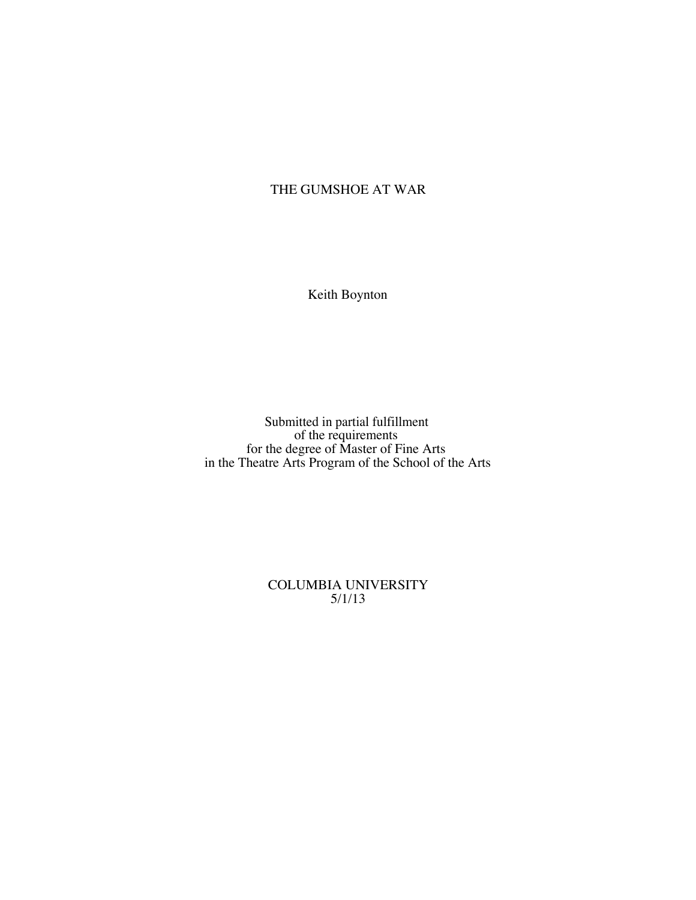# THE GUMSHOE AT WAR

Keith Boynton

Submitted in partial fulfillment of the requirements for the degree of Master of Fine Arts in the Theatre Arts Program of the School of the Arts

> COLUMBIA UNIVERSITY 5/1/13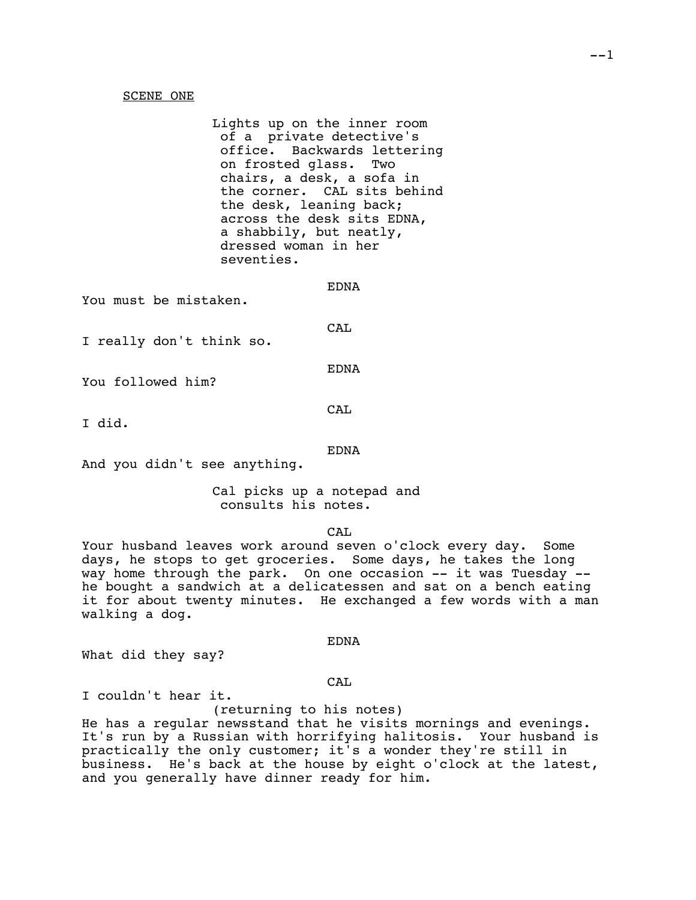### SCENE ONE

Lights up on the inner room of a private detective's office. Backwards lettering on frosted glass. Two chairs, a desk, a sofa in the corner. CAL sits behind the desk, leaning back; across the desk sits EDNA, a shabbily, but neatly, dressed woman in her seventies.

EDNA

You must be mistaken.

CA<sub>L</sub>

I really don't think so.

EDNA

You followed him?

CA<sub>L</sub>

I did.

### EDNA

And you didn't see anything.

Cal picks up a notepad and consults his notes.

CA<sub>L</sub>

Your husband leaves work around seven o'clock every day. Some days, he stops to get groceries. Some days, he takes the long way home through the park. On one occasion -- it was Tuesday - he bought a sandwich at a delicatessen and sat on a bench eating it for about twenty minutes. He exchanged a few words with a man walking a dog.

EDNA

What did they say?

### CAL

I couldn't hear it.

(returning to his notes) He has a regular newsstand that he visits mornings and evenings. It's run by a Russian with horrifying halitosis. Your husband is practically the only customer; it's a wonder they're still in business. He's back at the house by eight o'clock at the latest, and you generally have dinner ready for him.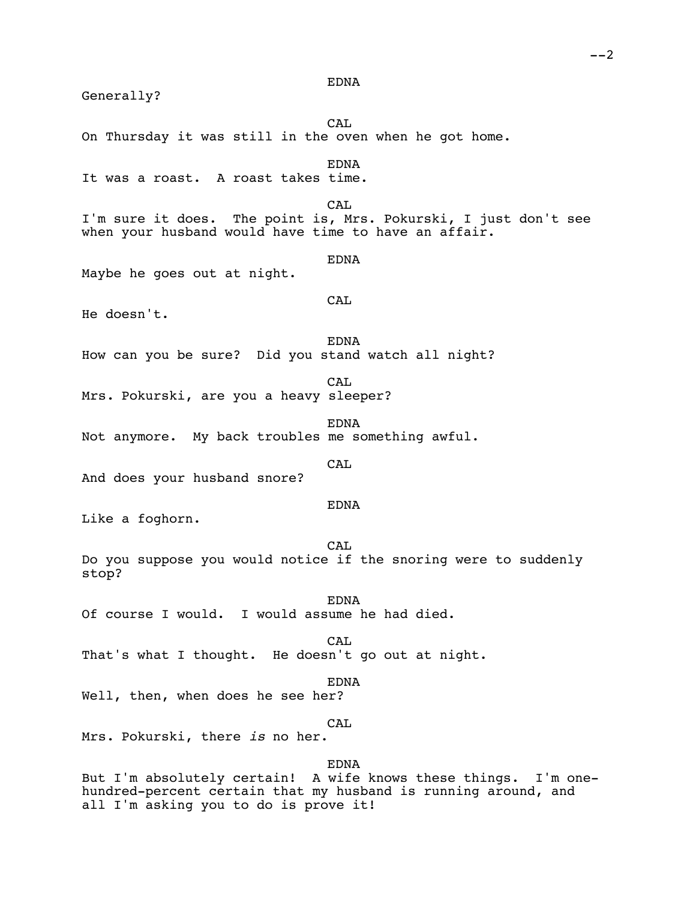Generally? CA<sub>L</sub> On Thursday it was still in the oven when he got home. EDNA It was a roast. A roast takes time. CAL. I'm sure it does. The point is, Mrs. Pokurski, I just don't see when your husband would have time to have an affair. EDNA Maybe he goes out at night. CAL He doesn't. **EDNA** How can you be sure? Did you stand watch all night? CAL Mrs. Pokurski, are you a heavy sleeper? EDNA Not anymore. My back troubles me something awful. CAL And does your husband snore? EDNA Like a foghorn. CAL Do you suppose you would notice if the snoring were to suddenly stop? EDNA Of course I would. I would assume he had died. CAL That's what I thought. He doesn't go out at night. EDNA Well, then, when does he see her? CAL Mrs. Pokurski, there *is* no her. EDNA But I'm absolutely certain! A wife knows these things. I'm onehundred-percent certain that my husband is running around, and

EDNA

all I'm asking you to do is prove it!

 $--2$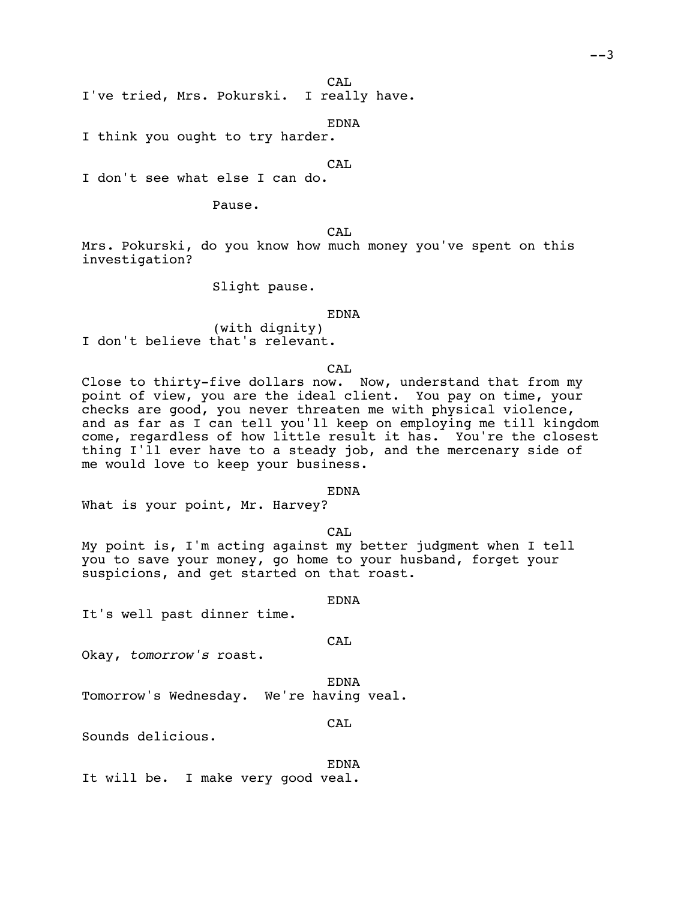CA<sub>L</sub>

I've tried, Mrs. Pokurski. I really have.

EDNA

I think you ought to try harder.

CAL

I don't see what else I can do.

Pause.

CA<sub>L</sub>

Mrs. Pokurski, do you know how much money you've spent on this investigation?

Slight pause.

EDNA

(with dignity) I don't believe that's relevant.

CA<sub>L</sub>

Close to thirty-five dollars now. Now, understand that from my point of view, you are the ideal client. You pay on time, your checks are good, you never threaten me with physical violence, and as far as I can tell you'll keep on employing me till kingdom come, regardless of how little result it has. You're the closest thing I'll ever have to a steady job, and the mercenary side of me would love to keep your business.

#### EDNA

What is your point, Mr. Harvey?

CAL

My point is, I'm acting against my better judgment when I tell you to save your money, go home to your husband, forget your suspicions, and get started on that roast.

EDNA

It's well past dinner time.

CAL

Okay, *tomorrow's* roast.

EDNA

Tomorrow's Wednesday. We're having veal.

CAL

Sounds delicious.

EDNA It will be. I make very good veal.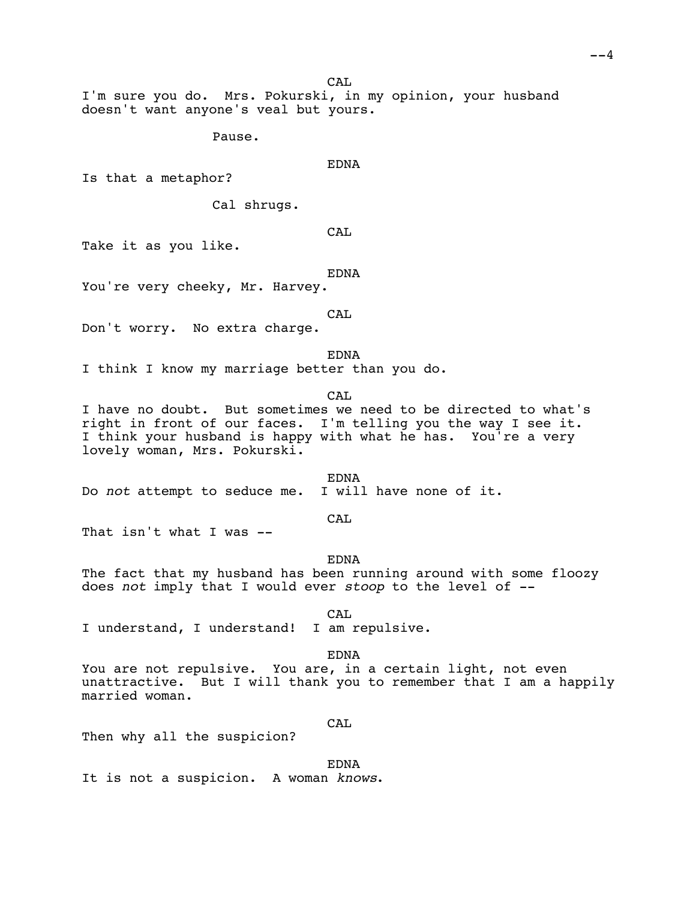CA<sub>L</sub>

I'm sure you do. Mrs. Pokurski, in my opinion, your husband doesn't want anyone's veal but yours.

Pause.

EDNA

Is that a metaphor?

Cal shrugs.

CAL

Take it as you like.

EDNA

You're very cheeky, Mr. Harvey.

CAL

Don't worry. No extra charge.

EDNA

I think I know my marriage better than you do.

CAL

I have no doubt. But sometimes we need to be directed to what's right in front of our faces. I'm telling you the way I see it. I think your husband is happy with what he has. You're a very lovely woman, Mrs. Pokurski.

EDNA<br>I will have none of it. Do *not* attempt to seduce me.

CAL

That isn't what I was --

EDNA

The fact that my husband has been running around with some floozy does *not* imply that I would ever *stoop* to the level of --

CAL

I understand, I understand! I am repulsive.

EDNA

You are not repulsive. You are, in a certain light, not even unattractive. But I will thank you to remember that I am a happily married woman.

CAL

Then why all the suspicion?

EDNA

It is not a suspicion. A woman *knows*.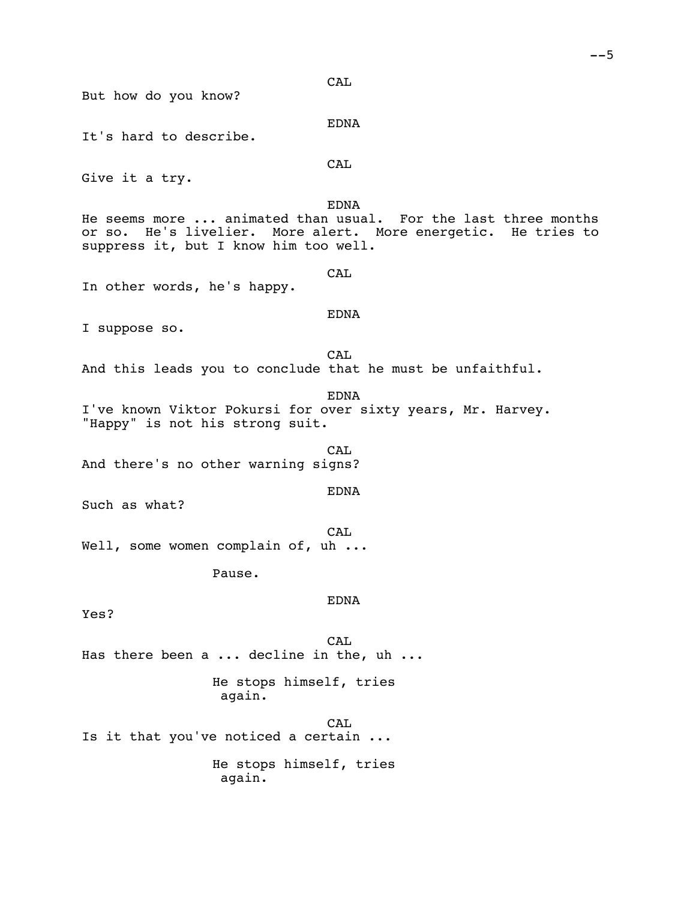|  | ٠<br>۰. |
|--|---------|
|--|---------|

**CAL** But how do you know? EDNA It's hard to describe. **CAL** Give it a try. EDNA He seems more ... animated than usual. For the last three months or so. He's livelier. More alert. More energetic. He tries to suppress it, but I know him too well. CAL In other words, he's happy. EDNA I suppose so. CAL And this leads you to conclude that he must be unfaithful. EDNA I've known Viktor Pokursi for over sixty years, Mr. Harvey. "Happy" is not his strong suit. CAL And there's no other warning signs? EDNA Such as what? CAL. Well, some women complain of, uh ... Pause. EDNA Yes? **CAL** Has there been a ... decline in the, uh ... He stops himself, tries again. CAL Is it that you've noticed a certain ... He stops himself, tries again.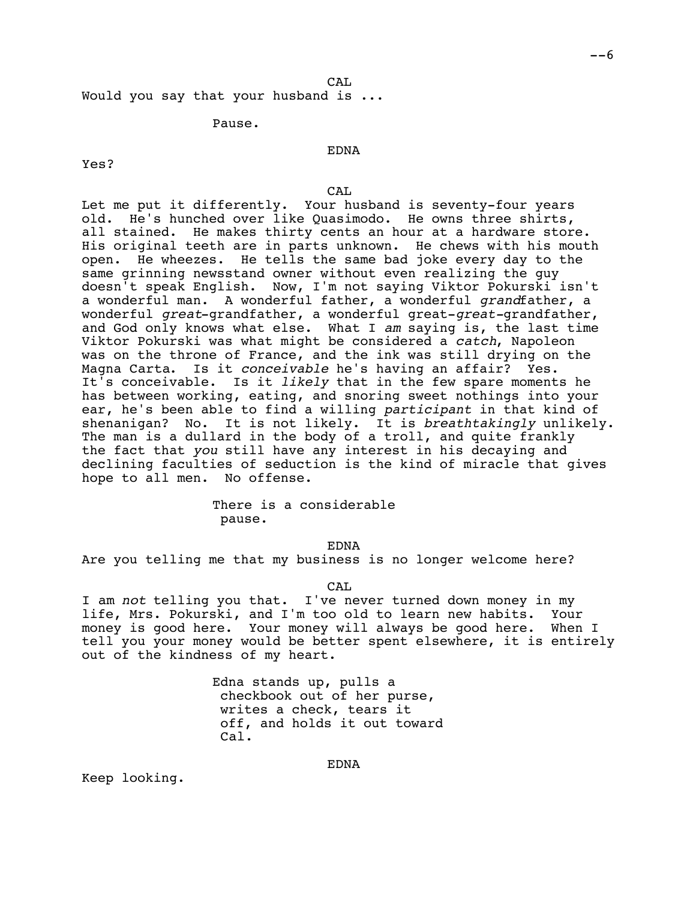Would you say that your husband is ...

### Pause.

Yes?

# EDNA

### CAL

Let me put it differently. Your husband is seventy-four years old. He's hunched over like Quasimodo. He owns three shirts, all stained. He makes thirty cents an hour at a hardware store. His original teeth are in parts unknown. He chews with his mouth open. He wheezes. He tells the same bad joke every day to the same grinning newsstand owner without even realizing the guy doesn't speak English. Now, I'm not saying Viktor Pokurski isn't a wonderful man. A wonderful father, a wonderful *grand*father, a wonderful *great*-grandfather, a wonderful great-*great-*grandfather, and God only knows what else. What I *am* saying is, the last time Viktor Pokurski was what might be considered a *catch*, Napoleon was on the throne of France, and the ink was still drying on the Magna Carta. Is it *conceivable* he's having an affair? Yes. It's conceivable. Is it *likely* that in the few spare moments he has between working, eating, and snoring sweet nothings into your ear, he's been able to find a willing *participant* in that kind of shenanigan? No. It is not likely. It is *breathtakingly* unlikely. The man is a dullard in the body of a troll, and quite frankly the fact that *you* still have any interest in his decaying and declining faculties of seduction is the kind of miracle that gives hope to all men. No offense.

# There is a considerable pause.

EDNA

Are you telling me that my business is no longer welcome here?

CAL

I am *not* telling you that. I've never turned down money in my life, Mrs. Pokurski, and I'm too old to learn new habits. Your money is good here. Your money will always be good here. When I tell you your money would be better spent elsewhere, it is entirely out of the kindness of my heart.

> Edna stands up, pulls a checkbook out of her purse, writes a check, tears it off, and holds it out toward Cal.

> > EDNA

Keep looking.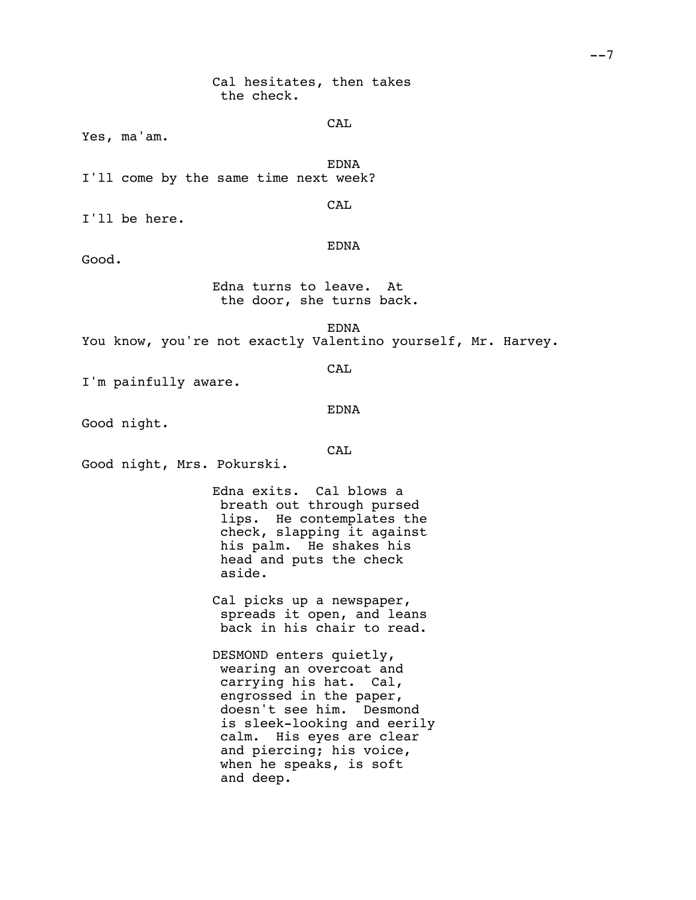CAL

Yes, ma'am.

EDNA I'll come by the same time next week?

CAL

I'll be here.

EDNA

Good.

Edna turns to leave. At the door, she turns back.

EDNA

You know, you're not exactly Valentino yourself, Mr. Harvey.

CAL

I'm painfully aware.

### EDNA

Good night.

# CAL

Good night, Mrs. Pokurski.

Edna exits. Cal blows a breath out through pursed lips. He contemplates the check, slapping it against his palm. He shakes his head and puts the check aside.

Cal picks up a newspaper, spreads it open, and leans back in his chair to read.

DESMOND enters quietly, wearing an overcoat and carrying his hat. Cal, engrossed in the paper, doesn't see him. Desmond is sleek-looking and eerily calm. His eyes are clear and piercing; his voice, when he speaks, is soft and deep.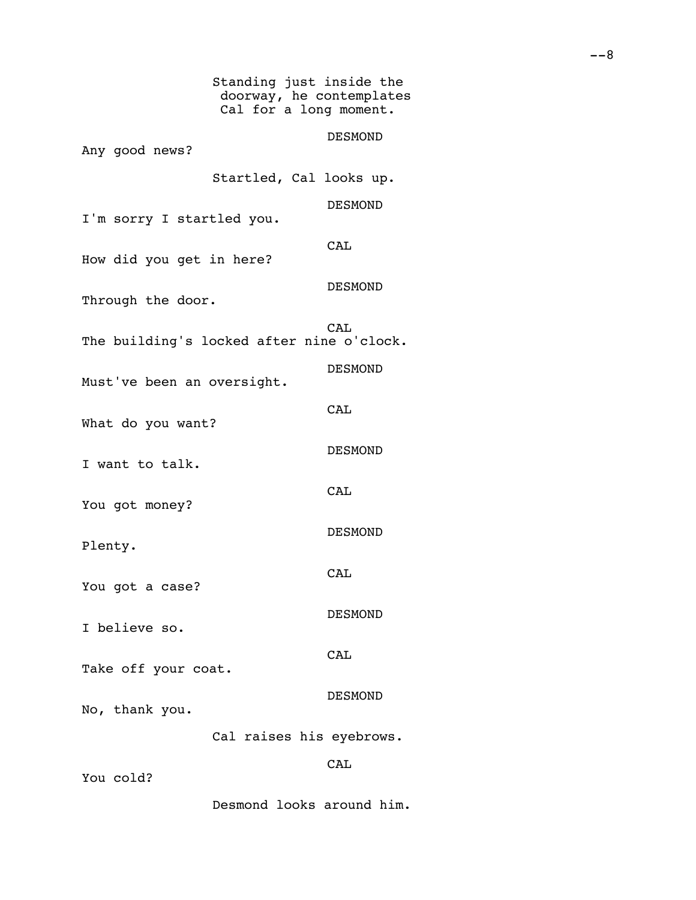Standing just inside the doorway, he contemplates Cal for a long moment. DESMOND Any good news? Startled, Cal looks up. DESMOND I'm sorry I startled you. **CAL** How did you get in here? DESMOND Through the door. CA<sub>L</sub> The building's locked after nine o'clock. DESMOND Must've been an oversight. **CAL** What do you want? DESMOND I want to talk. **CAL** You got money? DESMOND Plenty. CAL You got a case? DESMOND I believe so. CAL Take off your coat. DESMOND No, thank you. Cal raises his eyebrows. **CAL** You cold? Desmond looks around him.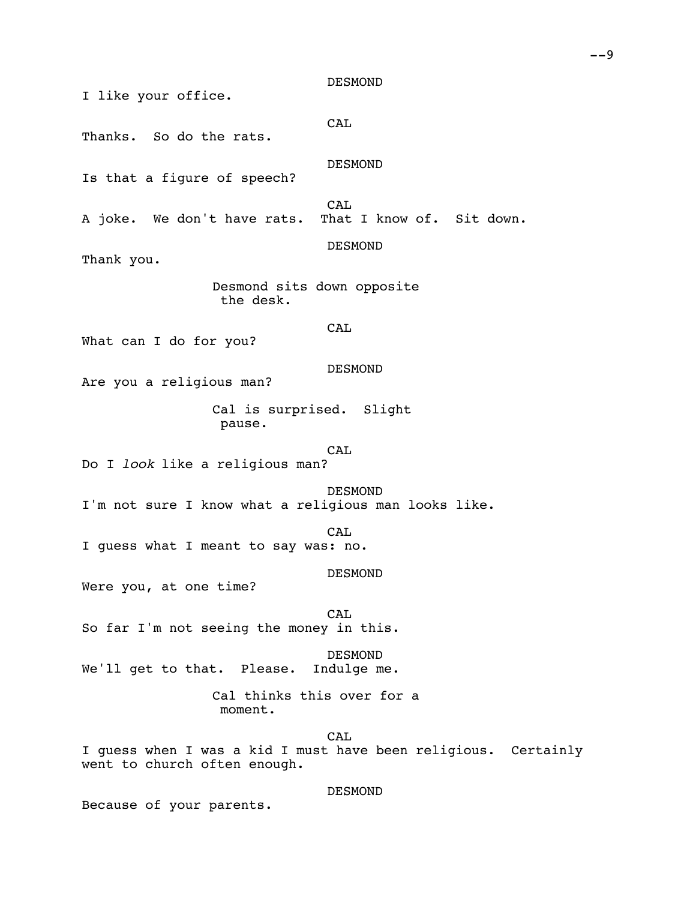DESMOND

I like your office.

CAL

Thanks. So do the rats.

DESMOND

Is that a figure of speech?

CAL<br>That I know of. Sit down. A joke. We don't have rats.

DESMOND

Thank you.

Desmond sits down opposite the desk.

CA<sub>L</sub>

What can I do for you?

DESMOND

Are you a religious man?

Cal is surprised. Slight pause.

CAL

Do I *look* like a religious man?

DESMOND I'm not sure I know what a religious man looks like.

CAL

I guess what I meant to say was: no.

DESMOND

Were you, at one time?

**CAL** So far I'm not seeing the money in this.

DESMOND<br>Indulge me. We'll get to that. Please.

> Cal thinks this over for a moment.

CAL I guess when I was a kid I must have been religious. Certainly went to church often enough.

DESMOND

Because of your parents.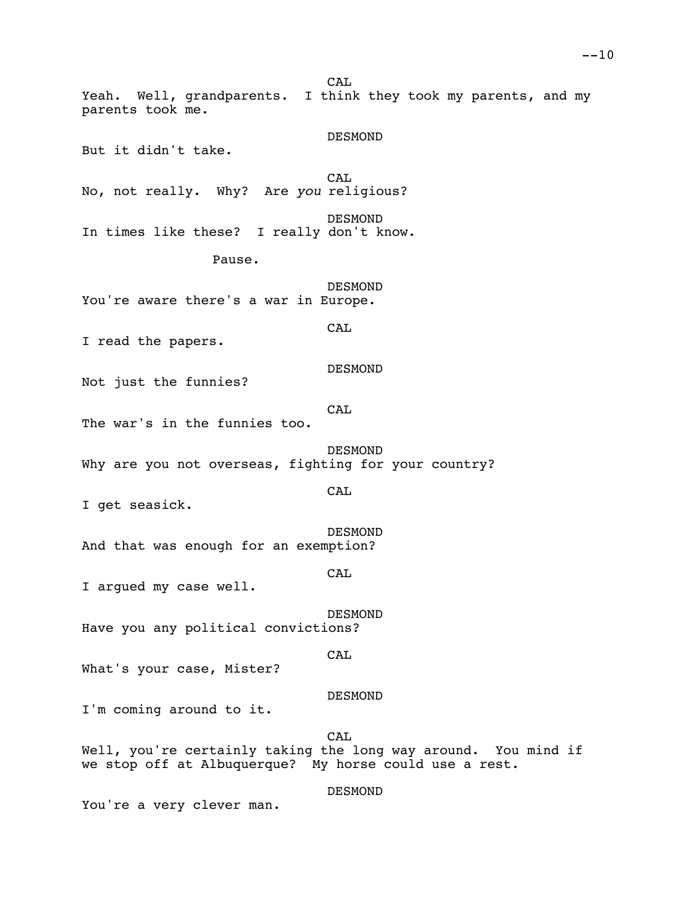CA<sub>L</sub> Yeah. Well, grandparents. I think they took my parents, and my parents took me. DESMOND But it didn't take. CA<sub>L</sub> No, not really. Why? Are *you* religious? DESMOND In times like these? I really don't know. Pause. DESMOND You're aware there's a war in Europe. CAL I read the papers. DESMOND Not just the funnies? CA<sub>L</sub> The war's in the funnies too. DESMOND Why are you not overseas, fighting for your country? CAL I get seasick. DESMOND And that was enough for an exemption? CAL I argued my case well. DESMOND Have you any political convictions? CAL What's your case, Mister? DESMOND I'm coming around to it. CAL Well, you're certainly taking the long way around. You mind if we stop off at Albuquerque? My horse could use a rest.

DESMOND

You're a very clever man.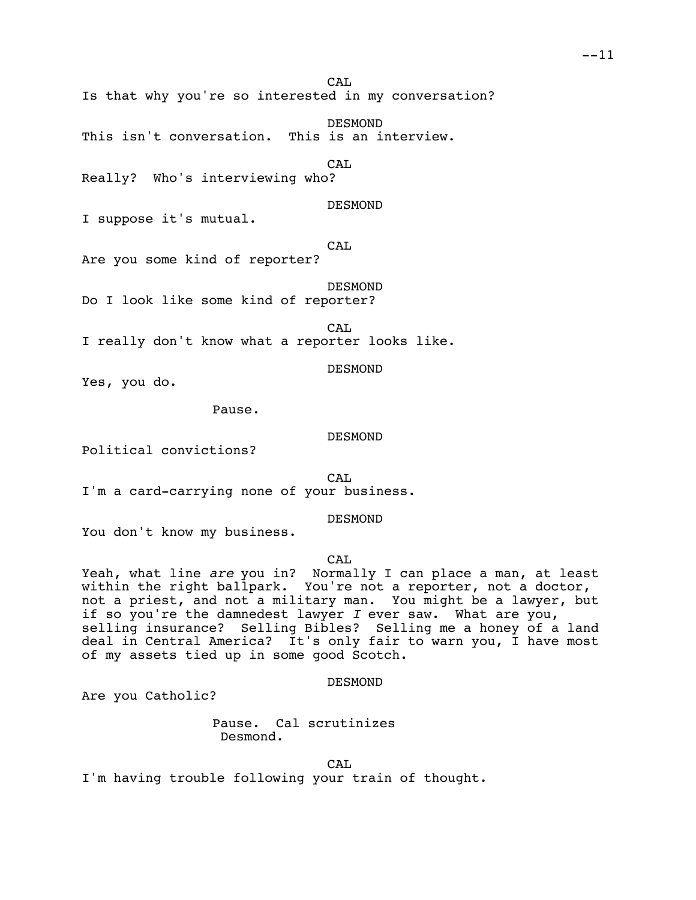CA<sub>L</sub>

Is that why you're so interested in my conversation?

DESMOND<br>This is an interview. This isn't conversation.

CAL

Really? Who's interviewing who?

DESMOND

I suppose it's mutual.

CAL

Are you some kind of reporter?

DESMOND Do I look like some kind of reporter?

CA<sub>L</sub>

I really don't know what a reporter looks like.

DESMOND

Yes, you do.

Pause.

DESMOND

Political convictions?

CA<sub>L</sub> I'm a card-carrying none of your business.

DESMOND

You don't know my business.

CA<sub>L</sub>

Yeah, what line *are* you in? Normally I can place a man, at least within the right ballpark. You're not a reporter, not a doctor, not a priest, and not a military man. You might be a lawyer, but if so you're the damnedest lawyer *I* ever saw. What are you, selling insurance? Selling Bibles? Selling me a honey of a land deal in Central America? It's only fair to warn you, I have most of my assets tied up in some good Scotch.

DESMOND

Are you Catholic?

Pause. Cal scrutinizes Desmond.

CAL

I'm having trouble following your train of thought.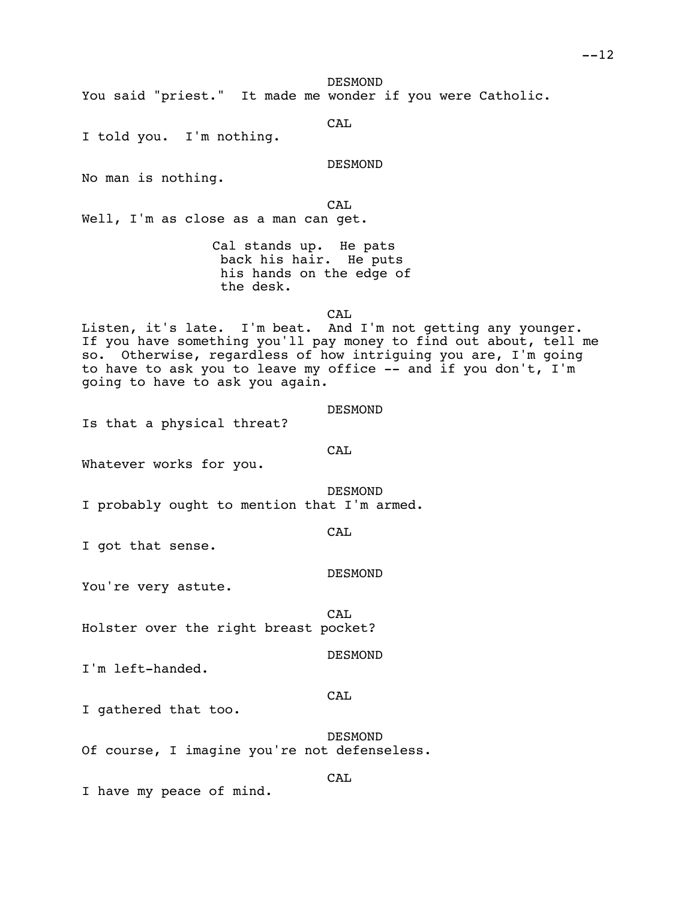DESMOND

You said "priest." It made me wonder if you were Catholic.

CAL

I told you. I'm nothing.

DESMOND

No man is nothing.

CAL

Well, I'm as close as a man can get.

Cal stands up. He pats back his hair. He puts his hands on the edge of the desk.

CAL

Listen, it's late. I'm beat. And I'm not getting any younger. If you have something you'll pay money to find out about, tell me so. Otherwise, regardless of how intriguing you are, I'm going to have to ask you to leave my office -- and if you don't, I'm going to have to ask you again.

| DESMOND |
|---------|
|---------|

Is that a physical threat?

CAL

Whatever works for you.

DESMOND I probably ought to mention that I'm armed.

CAL

I got that sense.

DESMOND

You're very astute.

CAL Holster over the right breast pocket?

DESMOND

I'm left-handed.

I gathered that too.

DESMOND Of course, I imagine you're not defenseless.

CA<sub>L</sub>

CAL

I have my peace of mind.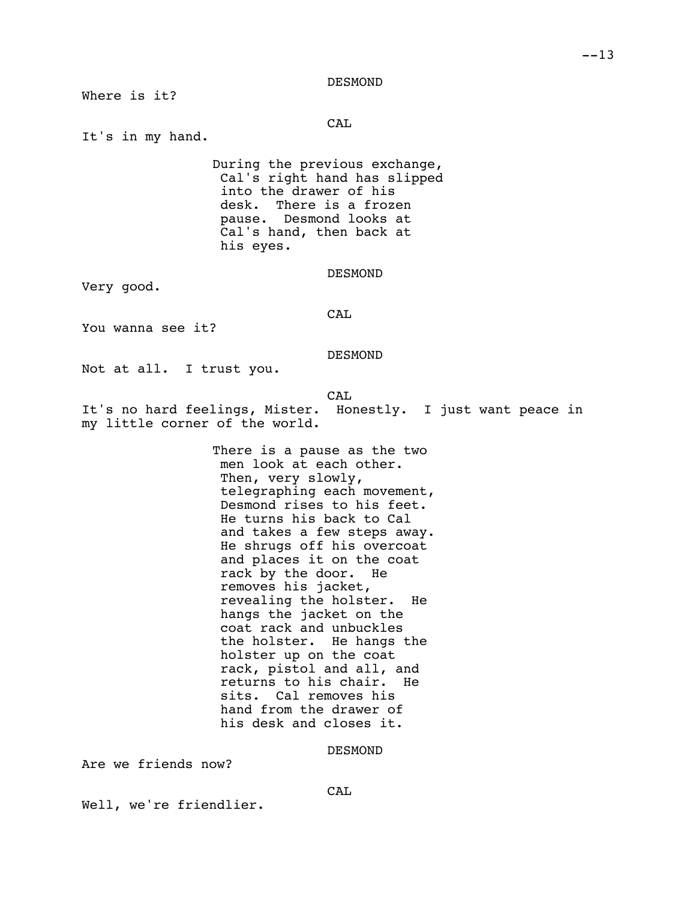DESMOND

Where is it?

CAL

It's in my hand.

During the previous exchange, Cal's right hand has slipped into the drawer of his<br>desk. There is a froze There is a frozen pause. Desmond looks at Cal's hand, then back at his eyes.

DESMOND

Very good.

CAL

You wanna see it?

DESMOND

Not at all. I trust you.

CAL

It's no hard feelings, Mister. Honestly. I just want peace in my little corner of the world.

> There is a pause as the two men look at each other. Then, very slowly, telegraphing each movement, Desmond rises to his feet. He turns his back to Cal and takes a few steps away. He shrugs off his overcoat and places it on the coat rack by the door. He removes his jacket, revealing the holster. He hangs the jacket on the coat rack and unbuckles the holster. He hangs the holster up on the coat rack, pistol and all, and<br>returns to his chair. He returns to his chair. sits. Cal removes his hand from the drawer of his desk and closes it.

> > DESMOND

Are we friends now?

CAL

Well, we're friendlier.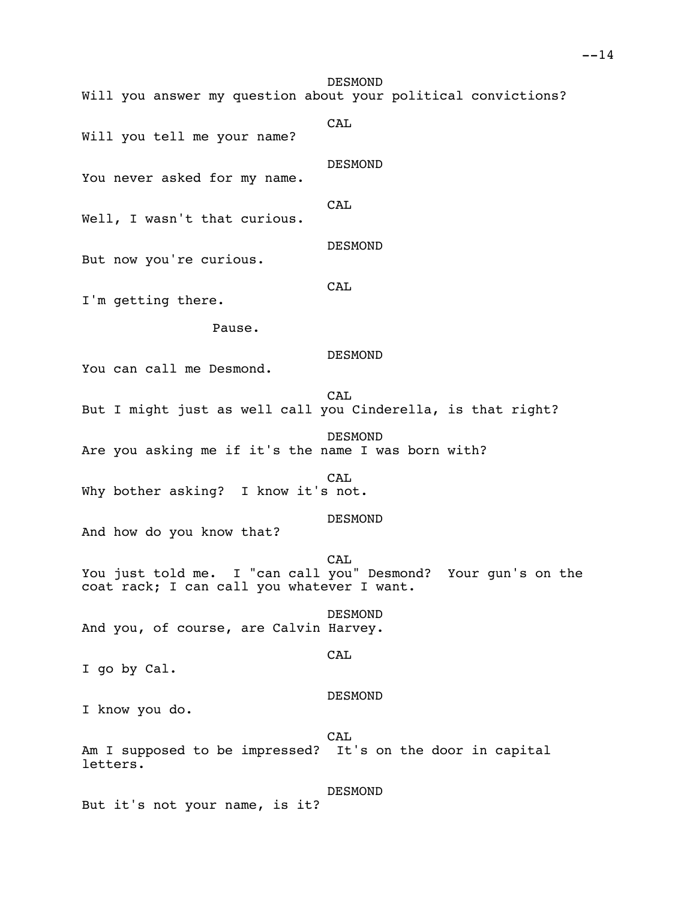DESMOND Will you answer my question about your political convictions? CAL Will you tell me your name? DESMOND You never asked for my name. CAL Well, I wasn't that curious. DESMOND But now you're curious. CAL I'm getting there. Pause. DESMOND You can call me Desmond. **CAL** But I might just as well call you Cinderella, is that right? DESMOND Are you asking me if it's the name I was born with? CAL. Why bother asking? I know it's not. DESMOND And how do you know that? CA<sub>L</sub> You just told me. I "can call you" Desmond? Your gun's on the coat rack; I can call you whatever I want. DESMOND And you, of course, are Calvin Harvey. CAL I go by Cal. DESMOND I know you do. CAL Am I supposed to be impressed? It's on the door in capital letters. DESMOND But it's not your name, is it?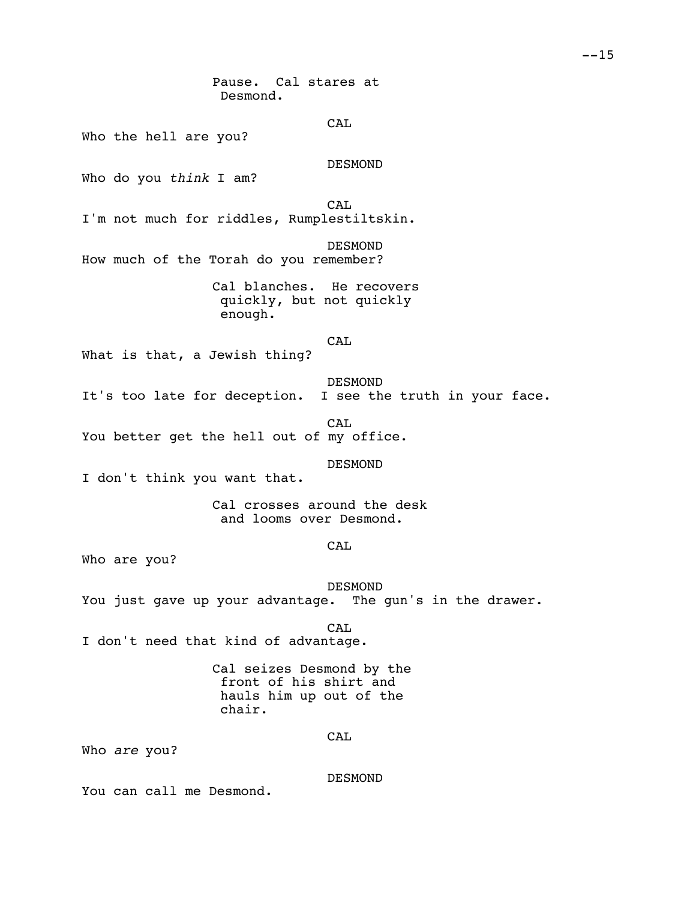Pause. Cal stares at Desmond.

CAL

Who the hell are you?

DESMOND

Who do you *think* I am?

CAL I'm not much for riddles, Rumplestiltskin.

DESMOND How much of the Torah do you remember?

> Cal blanches. He recovers quickly, but not quickly enough.

> > CAL

What is that, a Jewish thing?

DESMOND It's too late for deception. I see the truth in your face.

CAL You better get the hell out of my office.

DESMOND

I don't think you want that.

Cal crosses around the desk and looms over Desmond.

CAL

Who are you?

DESMOND You just gave up your advantage. The gun's in the drawer.

CA<sub>L</sub>

I don't need that kind of advantage.

Cal seizes Desmond by the front of his shirt and hauls him up out of the chair.

CAL

Who *are* you?

DESMOND

You can call me Desmond.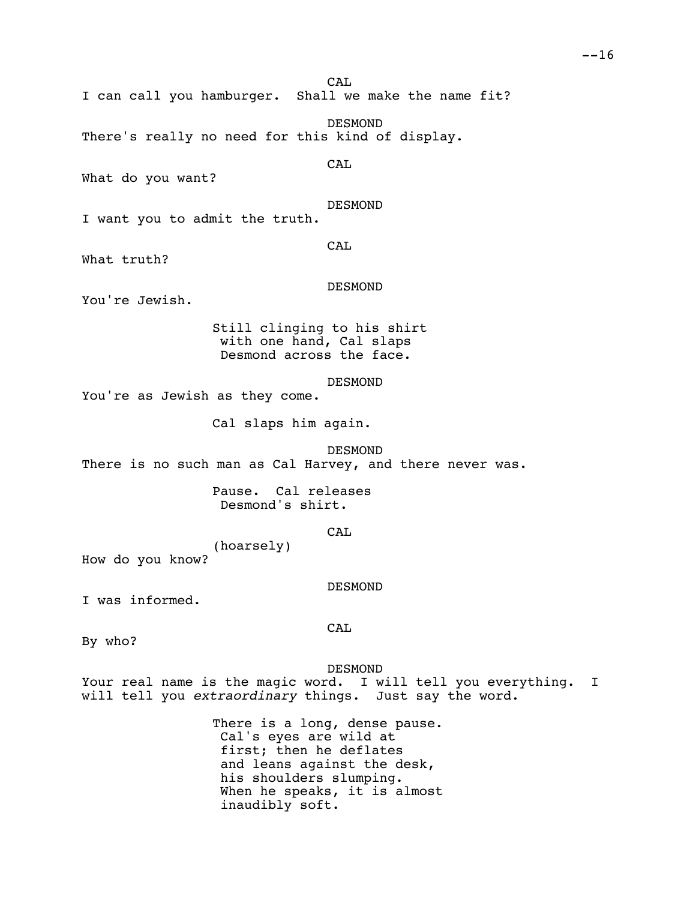CAL<br>Shall we make the name fit? I can call you hamburger. DESMOND There's really no need for this kind of display. CAL What do you want? DESMOND I want you to admit the truth. CAL What truth? DESMOND You're Jewish. Still clinging to his shirt with one hand, Cal slaps Desmond across the face. DESMOND You're as Jewish as they come. Cal slaps him again. DESMOND There is no such man as Cal Harvey, and there never was. Pause. Cal releases Desmond's shirt. **CAL** (hoarsely) How do you know?

DESMOND

I was informed.

CAL

By who?

DESMOND

Your real name is the magic word. I will tell you everything. I will tell you *extraordinary* things. Just say the word.

> There is a long, dense pause. Cal's eyes are wild at first; then he deflates and leans against the desk, his shoulders slumping. When he speaks, it is almost inaudibly soft.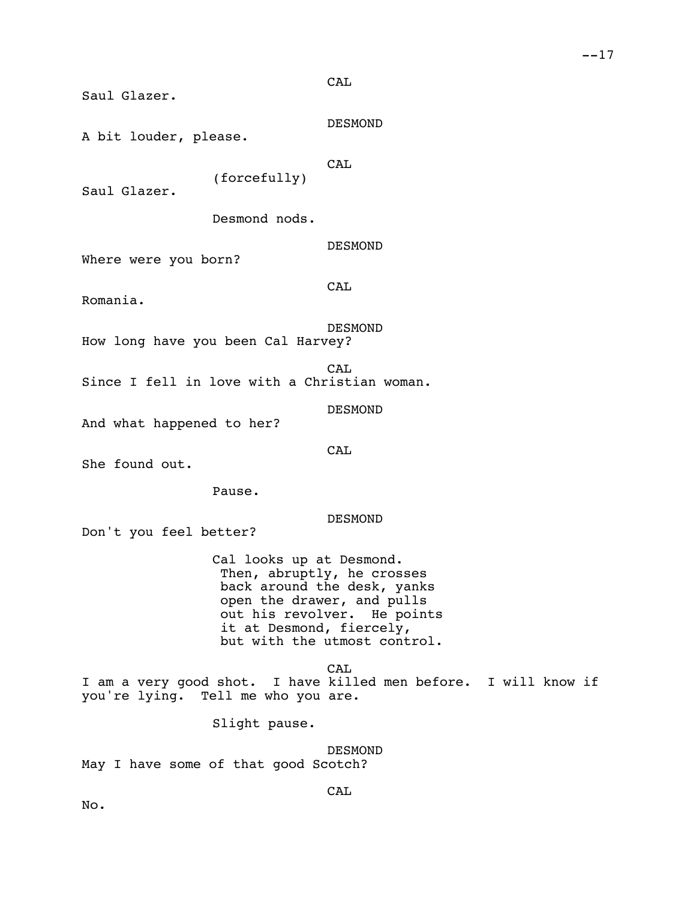CAL

Saul Glazer.

DESMOND

A bit louder, please.

**CAL** 

Saul Glazer.

Desmond nods.

(forcefully)

DESMOND

Where were you born?

CAL

Romania.

DESMOND

How long have you been Cal Harvey?

CAL Since I fell in love with a Christian woman.

DESMOND

And what happened to her?

**CAL** 

She found out.

Pause.

DESMOND

Don't you feel better?

Cal looks up at Desmond. Then, abruptly, he crosses back around the desk, yanks open the drawer, and pulls out his revolver. He points it at Desmond, fiercely, but with the utmost control.

CAL I am a very good shot. I have killed men before. I will know if you're lying. Tell me who you are.

Slight pause.

DESMOND May I have some of that good Scotch?

CAL

No.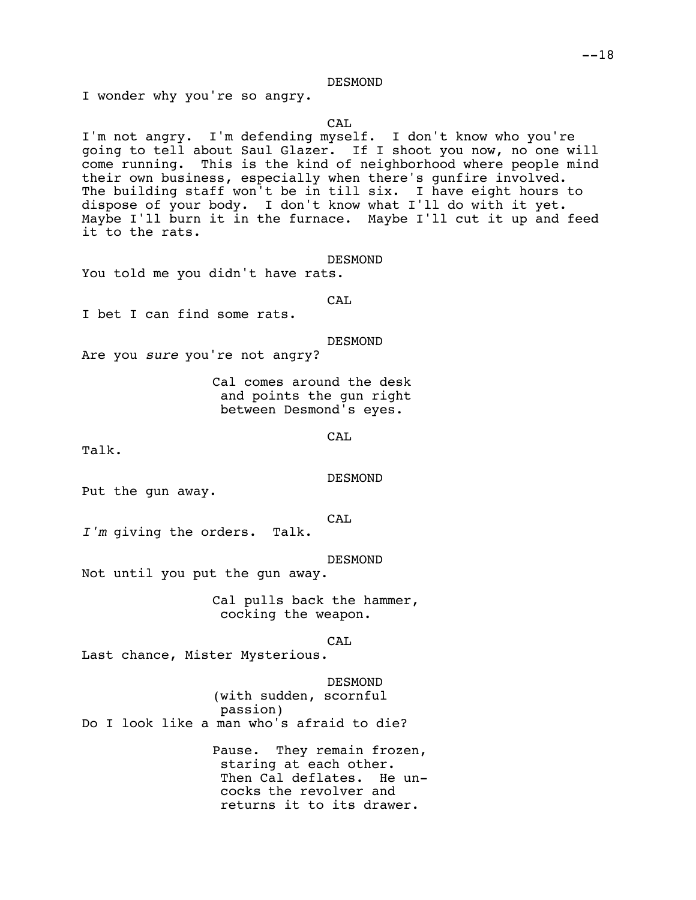### DESMOND

I wonder why you're so angry.

CAL

I'm not angry. I'm defending myself. I don't know who you're going to tell about Saul Glazer. If I shoot you now, no one will come running. This is the kind of neighborhood where people mind their own business, especially when there's gunfire involved. The building staff won't be in till six. I have eight hours to dispose of your body. I don't know what I'll do with it yet. Maybe I'll burn it in the furnace. Maybe I'll cut it up and feed it to the rats.

DESMOND

You told me you didn't have rats.

CAL

I bet I can find some rats.

DESMOND

Are you *sure* you're not angry?

Cal comes around the desk and points the gun right between Desmond's eyes.

CAL

Talk.

DESMOND

Put the gun away.

CAL

*I'm* giving the orders. Talk.

DESMOND

Not until you put the gun away.

Cal pulls back the hammer, cocking the weapon.

CAL

Last chance, Mister Mysterious.

DESMOND

(with sudden, scornful passion) Do I look like a man who's afraid to die?

> Pause. They remain frozen, staring at each other. Then Cal deflates. He uncocks the revolver and returns it to its drawer.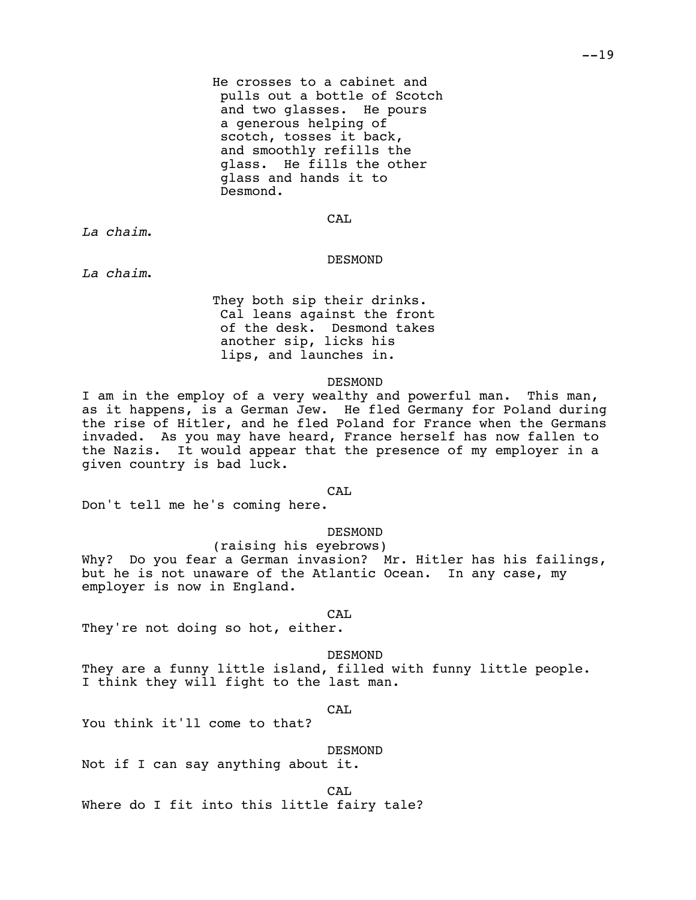He crosses to a cabinet and pulls out a bottle of Scotch and two glasses. He pours a generous helping of scotch, tosses it back, and smoothly refills the glass. He fills the other glass and hands it to Desmond.

CAL

*La chaim*.

## DESMOND

*La chaim*.

They both sip their drinks. Cal leans against the front of the desk. Desmond takes another sip, licks his lips, and launches in.

### DESMOND

I am in the employ of a very wealthy and powerful man. This man, as it happens, is a German Jew. He fled Germany for Poland during the rise of Hitler, and he fled Poland for France when the Germans invaded. As you may have heard, France herself has now fallen to the Nazis. It would appear that the presence of my employer in a given country is bad luck.

CAL

Don't tell me he's coming here.

DESMOND

(raising his eyebrows) Why? Do you fear a German invasion? Mr. Hitler has his failings, but he is not unaware of the Atlantic Ocean. In any case, my employer is now in England.

CAL

They're not doing so hot, either.

DESMOND

They are a funny little island, filled with funny little people. I think they will fight to the last man.

CAL

You think it'll come to that?

DESMOND

Not if I can say anything about it.

CAL Where do I fit into this little fairy tale?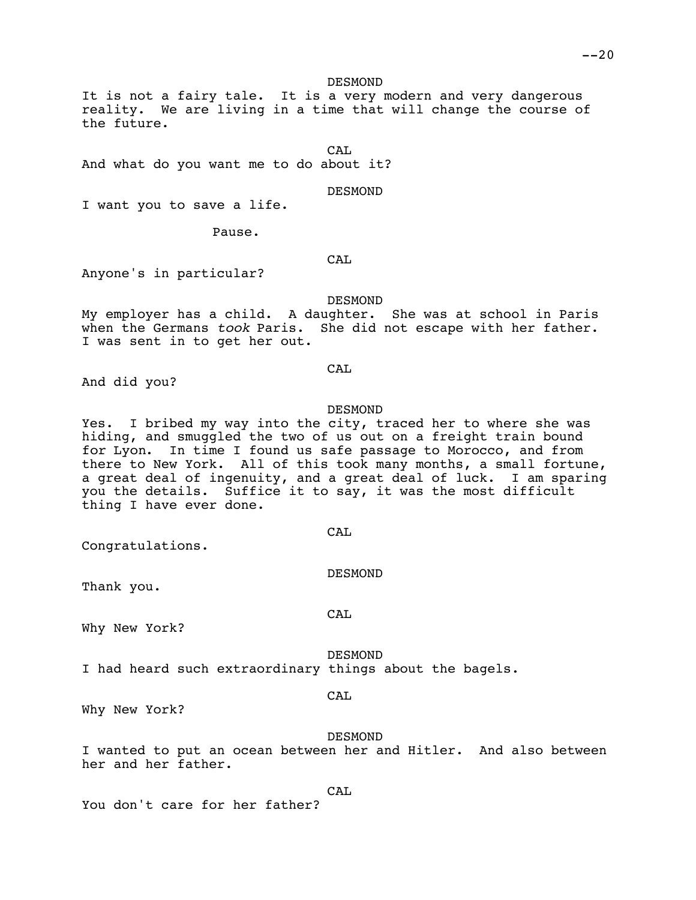DESMOND

It is not a fairy tale. It is a very modern and very dangerous reality. We are living in a time that will change the course of the future.

CAL And what do you want me to do about it?

DESMOND

I want you to save a life.

Pause.

CAL

Anyone's in particular?

DESMOND

My employer has a child. A daughter. She was at school in Paris when the Germans *took* Paris. She did not escape with her father. I was sent in to get her out.

CAL

And did you?

### DESMOND

Yes. I bribed my way into the city, traced her to where she was hiding, and smuggled the two of us out on a freight train bound for Lyon. In time I found us safe passage to Morocco, and from there to New York. All of this took many months, a small fortune, a great deal of ingenuity, and a great deal of luck. I am sparing you the details. Suffice it to say, it was the most difficult thing I have ever done.

CAL

CAL

Congratulations.

DESMOND

Thank you.

Why New York?

DESMOND

I had heard such extraordinary things about the bagels.

#### CAL

Why New York?

### DESMOND

I wanted to put an ocean between her and Hitler. And also between her and her father.

CAL

You don't care for her father?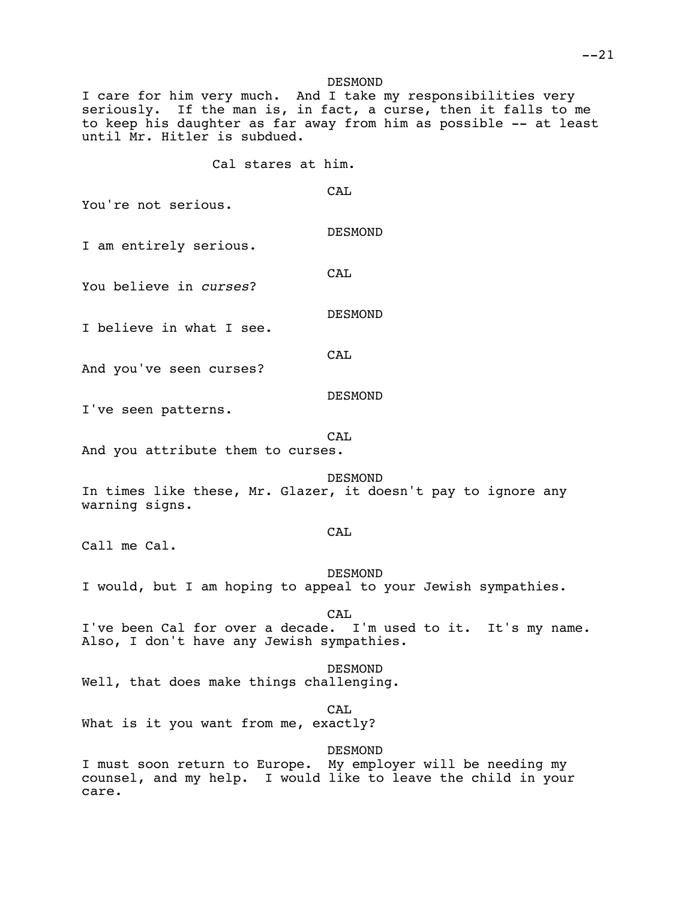I care for him very much. And I take my responsibilities very seriously. If the man is, in fact, a curse, then it falls to me to keep his daughter as far away from him as possible -- at least until Mr. Hitler is subdued.

CAL

Cal stares at him.

You're not serious.

DESMOND

DESMOND

DESMOND

I am entirely serious.

You believe in *curses*?

CAL

I believe in what I see.

CAL

And you've seen curses?

I've seen patterns.

CA<sub>L</sub>

And you attribute them to curses.

**DESMOND** In times like these, Mr. Glazer, it doesn't pay to ignore any warning signs.

# CAL

Call me Cal.

DESMOND I would, but I am hoping to appeal to your Jewish sympathies.

CAL

I've been Cal for over a decade. I'm used to it. It's my name. Also, I don't have any Jewish sympathies.

### DESMOND

Well, that does make things challenging.

### CAL.

What is it you want from me, exactly?

DESMOND

I must soon return to Europe. My employer will be needing my counsel, and my help. I would like to leave the child in your care.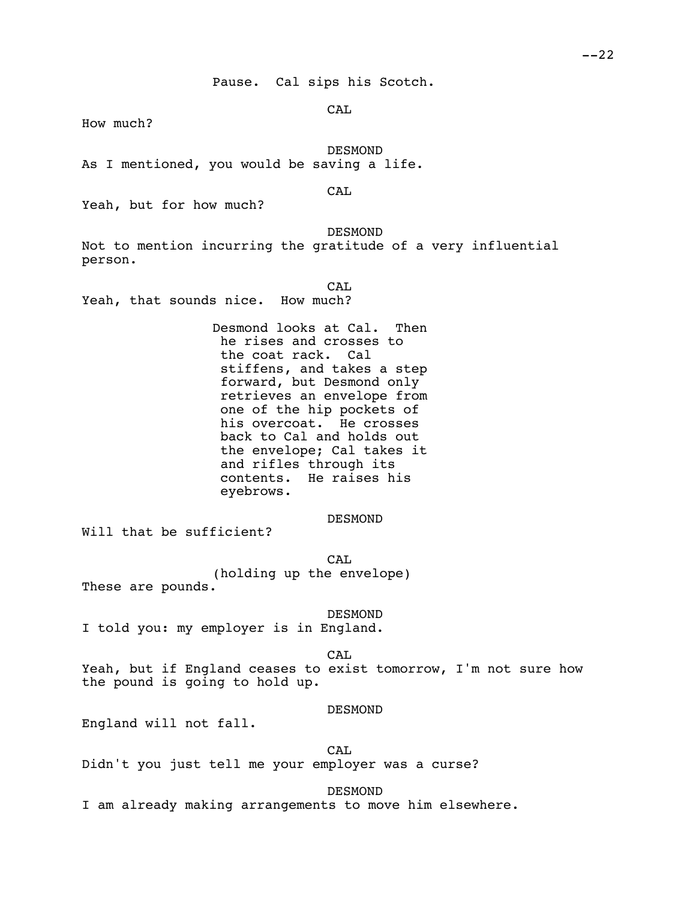Pause. Cal sips his Scotch.

CA<sub>L</sub>

How much?

DESMOND

As I mentioned, you would be saving a life.

CAL

Yeah, but for how much?

DESMOND

Not to mention incurring the gratitude of a very influential person.

CAL

Yeah, that sounds nice. How much?

Desmond looks at Cal. Then he rises and crosses to the coat rack. Cal stiffens, and takes a step forward, but Desmond only retrieves an envelope from one of the hip pockets of his overcoat. He crosses back to Cal and holds out the envelope; Cal takes it and rifles through its contents. He raises his eyebrows.

DESMOND

Will that be sufficient?

CA<sub>L</sub> (holding up the envelope) These are pounds.

DESMOND

I told you: my employer is in England.

CAL

Yeah, but if England ceases to exist tomorrow, I'm not sure how the pound is going to hold up.

DESMOND

England will not fall.

CAL Didn't you just tell me your employer was a curse?

DESMOND

I am already making arrangements to move him elsewhere.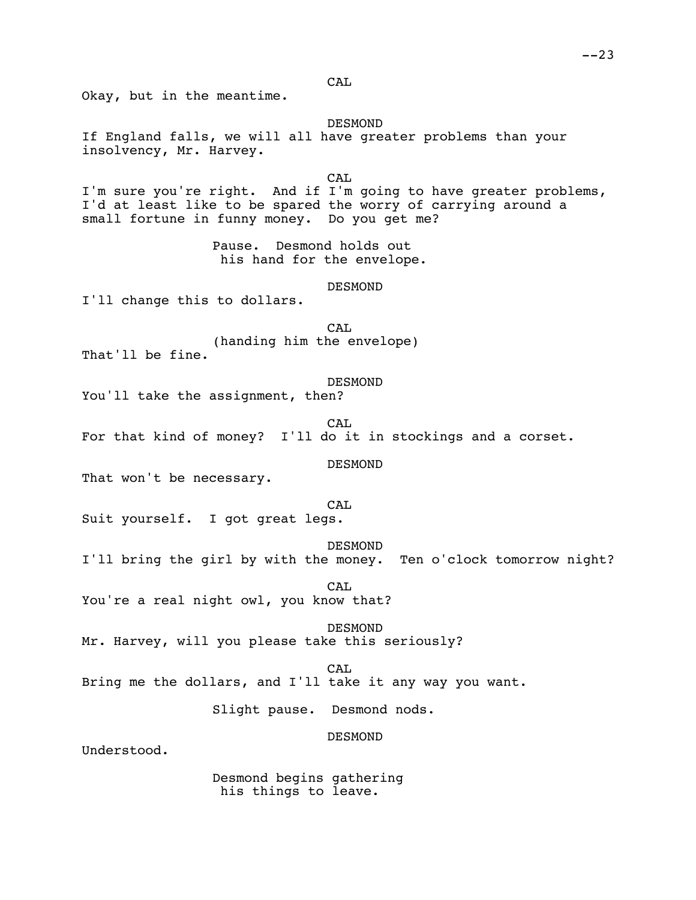CAL

Okay, but in the meantime.

DESMOND

If England falls, we will all have greater problems than your insolvency, Mr. Harvey.

CA<sub>L</sub> I'm sure you're right. And if I'm going to have greater problems, I'd at least like to be spared the worry of carrying around a small fortune in funny money. Do you get me?

> Pause. Desmond holds out his hand for the envelope.

> > DESMOND

I'll change this to dollars.

CA<sub>L</sub> (handing him the envelope) That'll be fine.

DESMOND You'll take the assignment, then?

CAL

For that kind of money? I'll do it in stockings and a corset.

DESMOND

That won't be necessary.

CA<sub>L</sub>

Suit yourself. I got great legs.

DESMOND I'll bring the girl by with the money. Ten o'clock tomorrow night?

CAL You're a real night owl, you know that?

DESMOND

Mr. Harvey, will you please take this seriously?

CAL

Bring me the dollars, and I'll take it any way you want.

Slight pause. Desmond nods.

DESMOND

Understood.

Desmond begins gathering his things to leave.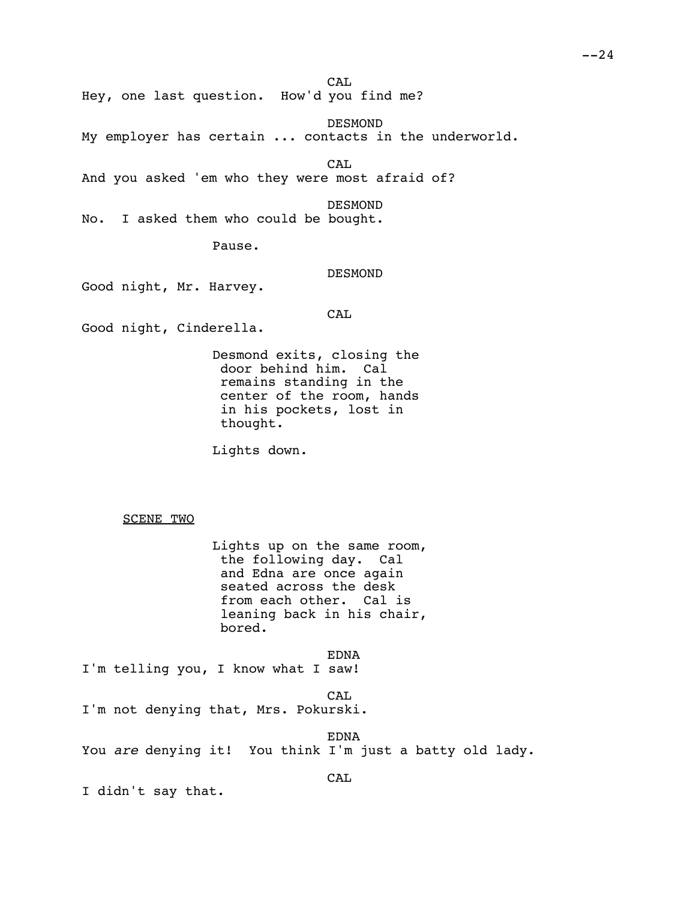Hey, one last question. How'd you find me?

DESMOND My employer has certain ... contacts in the underworld.

CAL And you asked 'em who they were most afraid of?

DESMOND No. I asked them who could be bought.

Pause.

DESMOND

Good night, Mr. Harvey.

CAL

CAL

Good night, Cinderella.

Desmond exits, closing the door behind him. Cal remains standing in the center of the room, hands in his pockets, lost in thought.

Lights down.

SCENE TWO

Lights up on the same room, the following day. Cal and Edna are once again seated across the desk from each other. Cal is leaning back in his chair, bored.

EDNA I'm telling you, I know what I saw!

CAL I'm not denying that, Mrs. Pokurski.

EDNA You *are* denying it! You think I'm just a batty old lady.

CAL

I didn't say that.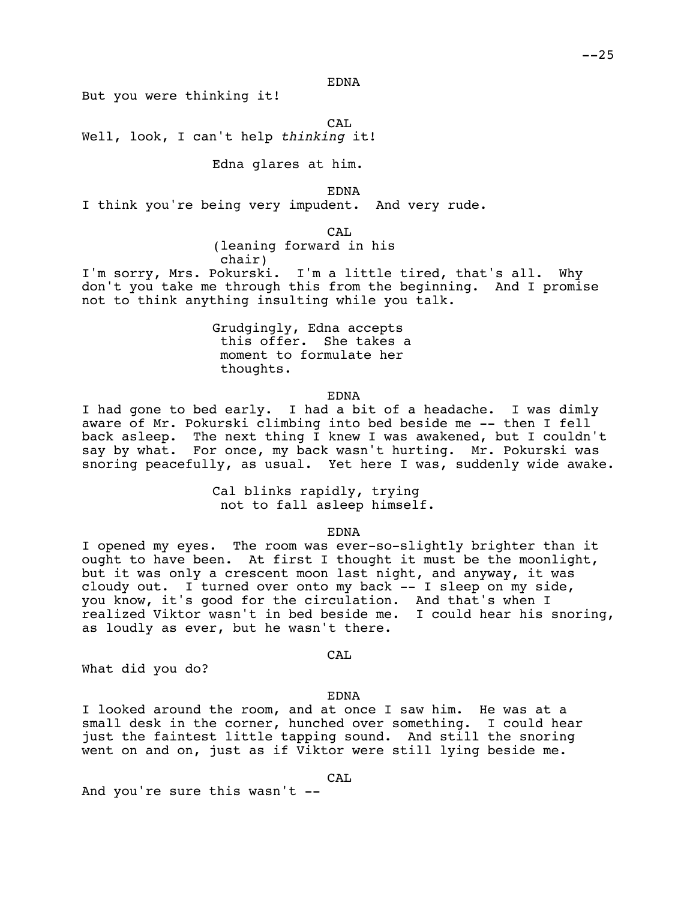EDNA

But you were thinking it!

CA<sub>L</sub>

Well, look, I can't help *thinking* it!

Edna glares at him.

EDNA

I think you're being very impudent. And very rude.

CAL

(leaning forward in his chair)

I'm sorry, Mrs. Pokurski. I'm a little tired, that's all. Why don't you take me through this from the beginning. And I promise not to think anything insulting while you talk.

> Grudgingly, Edna accepts this offer. She takes a moment to formulate her thoughts.

> > EDNA

I had gone to bed early. I had a bit of a headache. I was dimly aware of Mr. Pokurski climbing into bed beside me -- then I fell back asleep. The next thing I knew I was awakened, but I couldn't say by what. For once, my back wasn't hurting. Mr. Pokurski was snoring peacefully, as usual. Yet here I was, suddenly wide awake.

> Cal blinks rapidly, trying not to fall asleep himself.

> > EDNA

I opened my eyes. The room was ever-so-slightly brighter than it ought to have been. At first I thought it must be the moonlight, but it was only a crescent moon last night, and anyway, it was cloudy out. I turned over onto my back -- I sleep on my side, you know, it's good for the circulation. And that's when I realized Viktor wasn't in bed beside me. I could hear his snoring, as loudly as ever, but he wasn't there.

CAL

What did you do?

### EDNA

I looked around the room, and at once I saw him. He was at a small desk in the corner, hunched over something. I could hear just the faintest little tapping sound. And still the snoring went on and on, just as if Viktor were still lying beside me.

CAL

And you're sure this wasn't --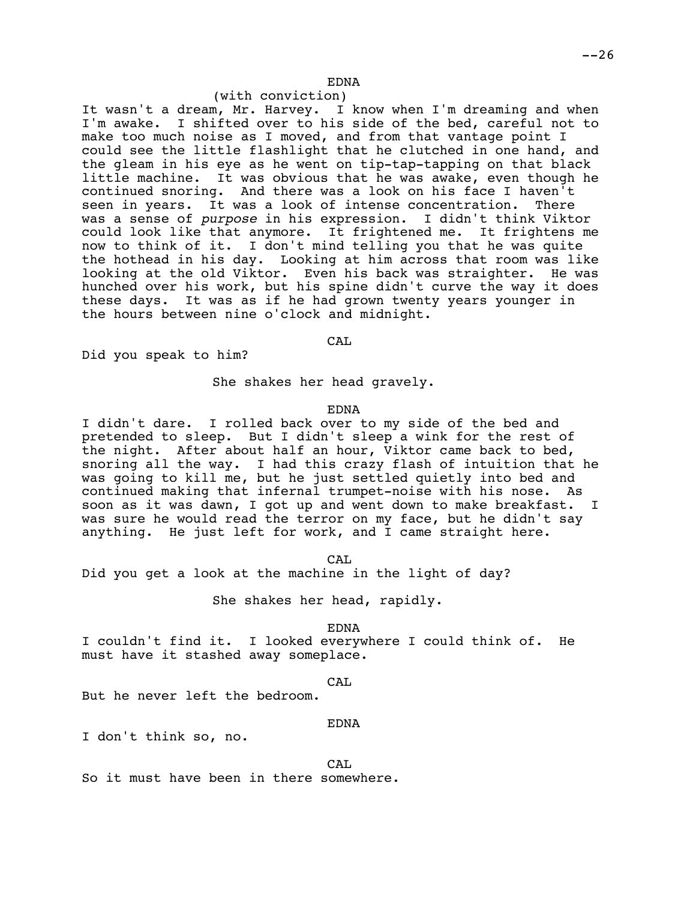# EDNA

# (with conviction)

It wasn't a dream, Mr. Harvey. I know when I'm dreaming and when I'm awake. I shifted over to his side of the bed, careful not to make too much noise as I moved, and from that vantage point I could see the little flashlight that he clutched in one hand, and the gleam in his eye as he went on tip-tap-tapping on that black little machine. It was obvious that he was awake, even though he continued snoring. And there was a look on his face I haven't<br>seen in vears. It was a look of intense concentration. There seen in years. It was a look of intense concentration. was a sense of *purpose* in his expression. I didn't think Viktor could look like that anymore. It frightened me. It frightens me now to think of it. I don't mind telling you that he was quite the hothead in his day. Looking at him across that room was like looking at the old Viktor. Even his back was straighter. He was hunched over his work, but his spine didn't curve the way it does these days. It was as if he had grown twenty years younger in the hours between nine o'clock and midnight.

CAL

Did you speak to him?

She shakes her head gravely.

EDNA

I didn't dare. I rolled back over to my side of the bed and pretended to sleep. But I didn't sleep a wink for the rest of the night. After about half an hour, Viktor came back to bed, snoring all the way. I had this crazy flash of intuition that he was going to kill me, but he just settled quietly into bed and continued making that infernal trumpet-noise with his nose. As soon as it was dawn, I got up and went down to make breakfast. I was sure he would read the terror on my face, but he didn't say anything. He just left for work, and I came straight here.

CA<sub>L</sub>

Did you get a look at the machine in the light of day?

She shakes her head, rapidly.

EDNA

I couldn't find it. I looked everywhere I could think of. He must have it stashed away someplace.

CAL

But he never left the bedroom.

EDNA

I don't think so, no.

CAL

So it must have been in there somewhere.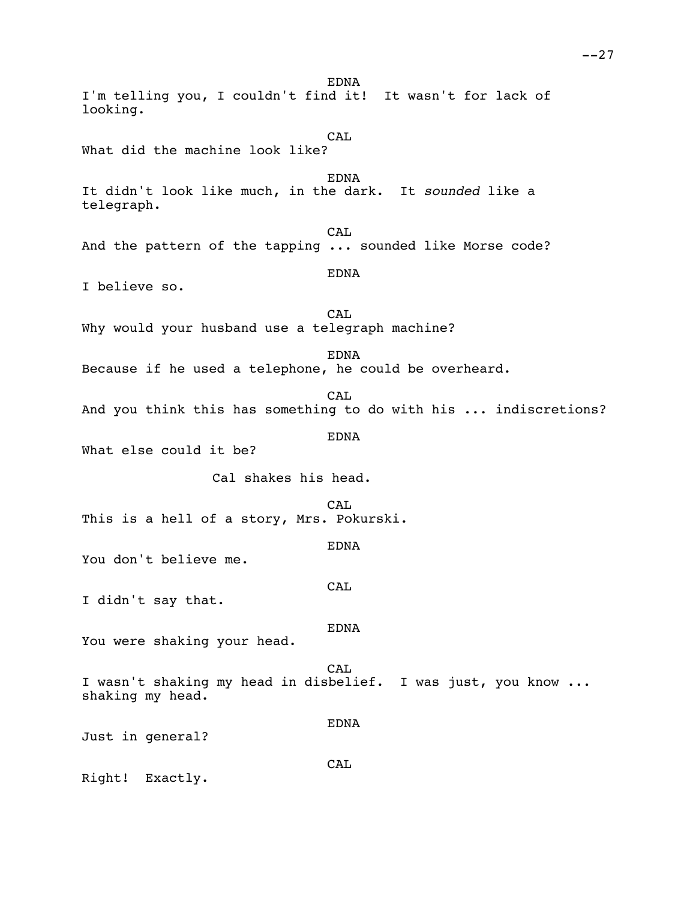EDNA I'm telling you, I couldn't find it! It wasn't for lack of looking. CA<sub>L</sub> What did the machine look like? EDNA It didn't look like much, in the dark. It *sounded* like a telegraph. CAL And the pattern of the tapping ... sounded like Morse code? EDNA I believe so. CAL Why would your husband use a telegraph machine? EDNA Because if he used a telephone, he could be overheard. CAL And you think this has something to do with his ... indiscretions? EDNA What else could it be? Cal shakes his head. CA<sub>L</sub> This is a hell of a story, Mrs. Pokurski. EDNA You don't believe me. CAL I didn't say that. EDNA You were shaking your head. CAL I wasn't shaking my head in disbelief. I was just, you know ... shaking my head. EDNA Just in general? **CAL** Right! Exactly.

 $--27$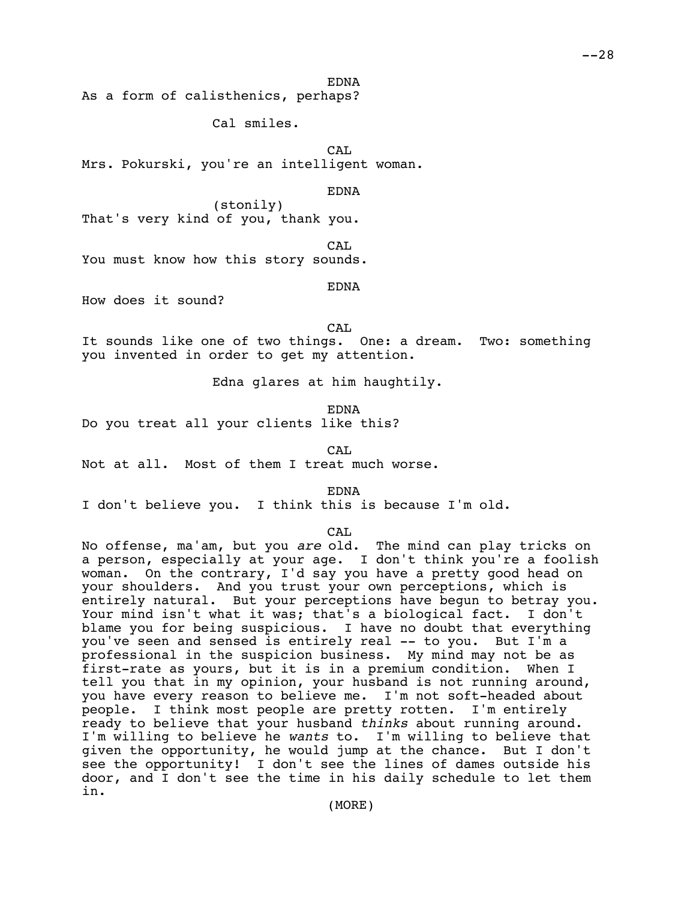EDNA

As a form of calisthenics, perhaps?

Cal smiles.

CAL Mrs. Pokurski, you're an intelligent woman.

EDNA

(stonily) That's very kind of you, thank you.

CAL

You must know how this story sounds.

EDNA

How does it sound?

CA<sub>L</sub>

It sounds like one of two things. One: a dream. Two: something you invented in order to get my attention.

Edna glares at him haughtily.

EDNA

Do you treat all your clients like this?

 $CAT$ 

Not at all. Most of them I treat much worse.

EDNA

I don't believe you. I think this is because I'm old.

### CAL

No offense, ma'am, but you *are* old. The mind can play tricks on a person, especially at your age. I don't think you're a foolish woman. On the contrary, I'd say you have a pretty good head on your shoulders. And you trust your own perceptions, which is entirely natural. But your perceptions have begun to betray you. Your mind isn't what it was; that's a biological fact. I don't blame you for being suspicious. I have no doubt that everything you've seen and sensed is entirely real -- to you. But I'm a professional in the suspicion business. My mind may not be as first-rate as yours, but it is in a premium condition. When I tell you that in my opinion, your husband is not running around, you have every reason to believe me. I'm not soft-headed about people. I think most people are pretty rotten. I'm entirely ready to believe that your husband *thinks* about running around. I'm willing to believe he *wants* to. I'm willing to believe that given the opportunity, he would jump at the chance. But I don't see the opportunity! I don't see the lines of dames outside his door, and I don't see the time in his daily schedule to let them in.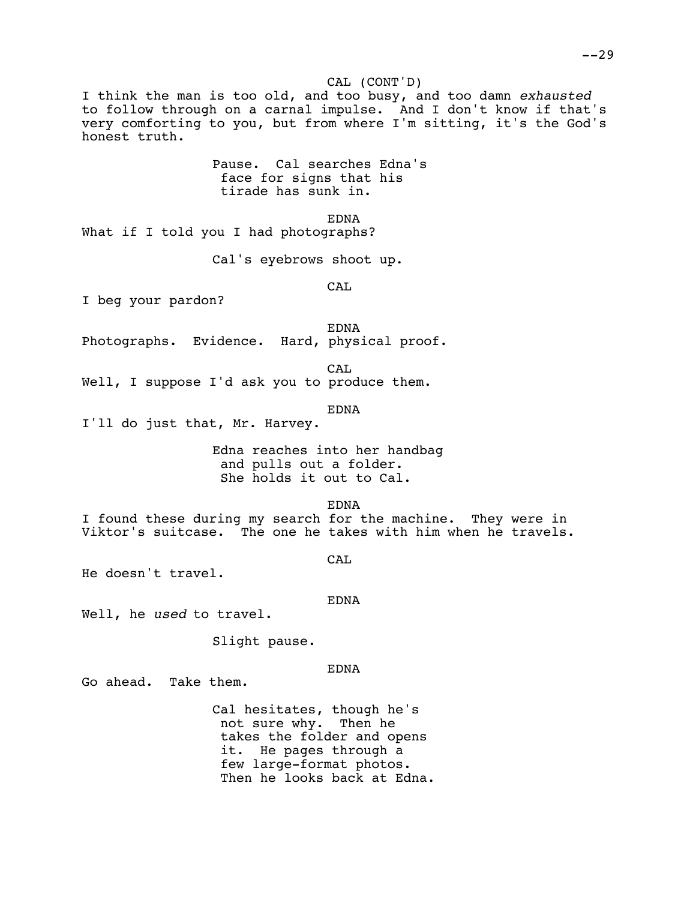## CAL (CONT'D)

I think the man is too old, and too busy, and too damn *exhausted* to follow through on a carnal impulse. And I don't know if that's very comforting to you, but from where I'm sitting, it's the God's honest truth.

> Pause. Cal searches Edna's face for signs that his tirade has sunk in.

> > EDNA

What if I told you I had photographs?

Cal's eyebrows shoot up.

CAL

I beg your pardon?

EDNA

Photographs. Evidence. Hard, physical proof.

CAL

Well, I suppose I'd ask you to produce them.

EDNA

I'll do just that, Mr. Harvey.

Edna reaches into her handbag and pulls out a folder. She holds it out to Cal.

EDNA

I found these during my search for the machine. They were in Viktor's suitcase. The one he takes with him when he travels.

CA<sub>L</sub>

He doesn't travel.

EDNA

Well, he *used* to travel.

Slight pause.

### EDNA

Go ahead. Take them.

Cal hesitates, though he's not sure why. Then he takes the folder and opens it. He pages through a few large-format photos. Then he looks back at Edna.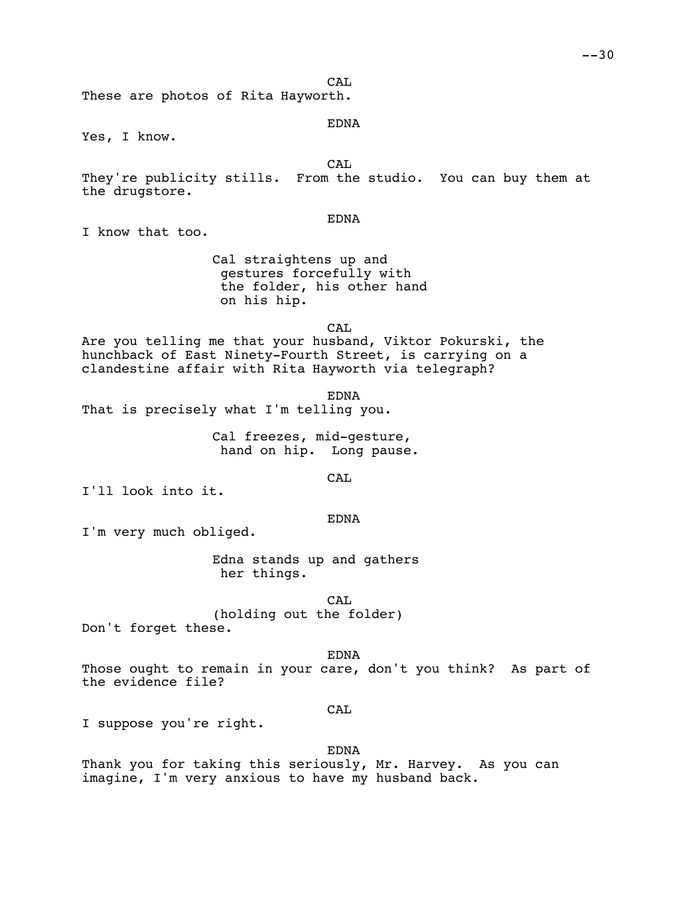CA<sub>L</sub>

These are photos of Rita Hayworth.

### EDNA

Yes, I know.

CAL

They're publicity stills. From the studio. You can buy them at the drugstore.

## EDNA

I know that too.

Cal straightens up and gestures forcefully with the folder, his other hand on his hip.

CA<sub>L</sub>

Are you telling me that your husband, Viktor Pokurski, the hunchback of East Ninety-Fourth Street, is carrying on a clandestine affair with Rita Hayworth via telegraph?

EDNA That is precisely what I'm telling you.

> Cal freezes, mid-gesture, hand on hip. Long pause.

> > CA<sub>L</sub>

I'll look into it.

#### EDNA

I'm very much obliged.

Edna stands up and gathers her things.

CAL (holding out the folder) Don't forget these.

EDNA

Those ought to remain in your care, don't you think? As part of the evidence file?

### CAL

I suppose you're right.

# EDNA

Thank you for taking this seriously, Mr. Harvey. As you can imagine, I'm very anxious to have my husband back.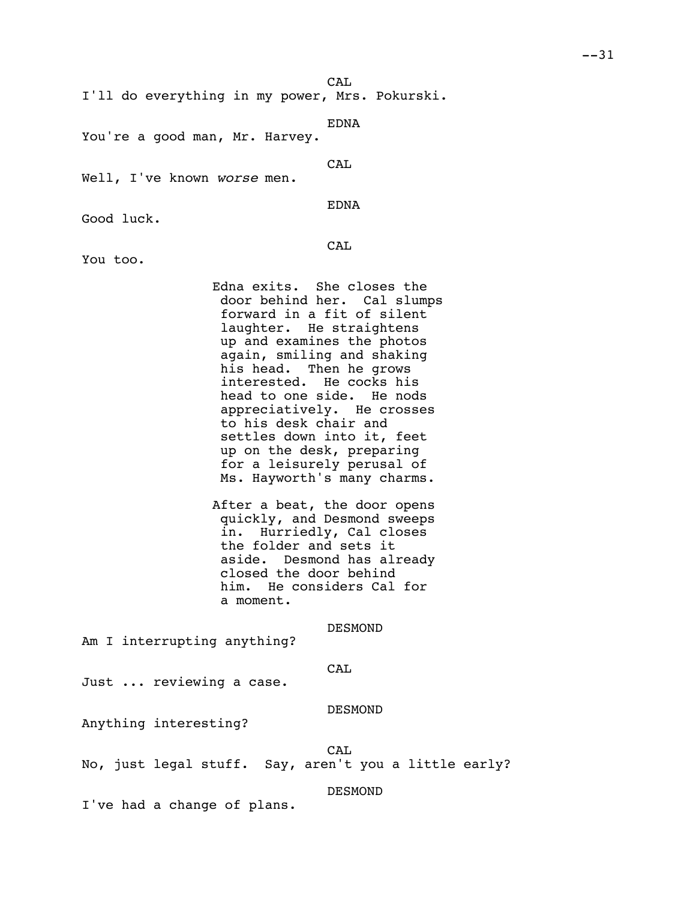CA<sub>L</sub>

I'll do everything in my power, Mrs. Pokurski.

EDNA

You're a good man, Mr. Harvey.

CAL

Well, I've known *worse* men.

EDNA

Good luck.

CAL

You too.

Edna exits. She closes the door behind her. Cal slumps forward in a fit of silent laughter. He straightens up and examines the photos again, smiling and shaking his head. Then he grows interested. He cocks his head to one side. He nods appreciatively. He crosses to his desk chair and settles down into it, feet up on the desk, preparing for a leisurely perusal of Ms. Hayworth's many charms.

After a beat, the door opens quickly, and Desmond sweeps in. Hurriedly, Cal closes the folder and sets it aside. Desmond has already closed the door behind him. He considers Cal for a moment.

DESMOND

Am I interrupting anything?

CAL

Just ... reviewing a case.

DESMOND

Anything interesting?

CAL

No, just legal stuff. Say, aren't you a little early?

DESMOND

I've had a change of plans.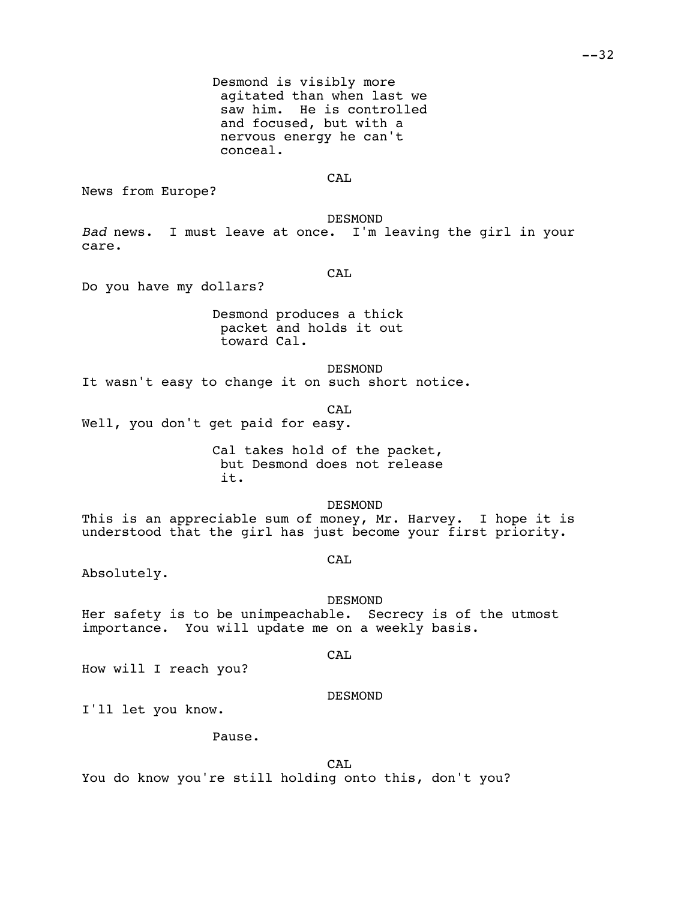Desmond is visibly more agitated than when last we saw him. He is controlled and focused, but with a nervous energy he can't conceal.

CA<sub>L</sub>

News from Europe?

DESMOND

*Bad* news. I must leave at once. I'm leaving the girl in your care.

CAL

Do you have my dollars?

Desmond produces a thick packet and holds it out toward Cal.

DESMOND

It wasn't easy to change it on such short notice.

CA<sub>L</sub>

Well, you don't get paid for easy.

Cal takes hold of the packet, but Desmond does not release it.

DESMOND

This is an appreciable sum of money, Mr. Harvey. I hope it is understood that the girl has just become your first priority.

CAL

CAL

Absolutely.

DESMOND Her safety is to be unimpeachable. Secrecy is of the utmost importance. You will update me on a weekly basis.

How will I reach you?

DESMOND

I'll let you know.

Pause.

CAL

You do know you're still holding onto this, don't you?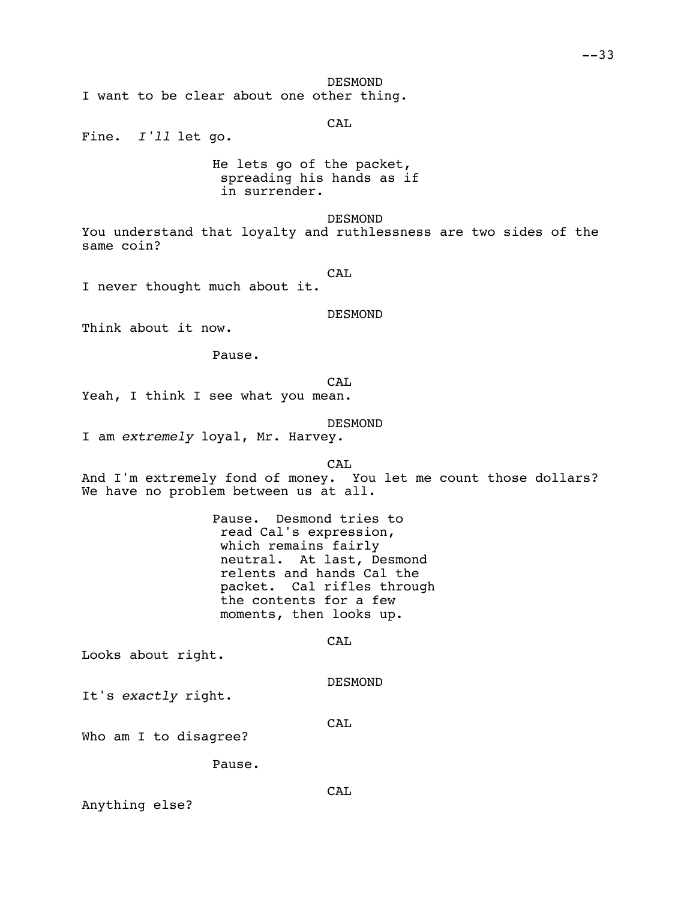DESMOND

I want to be clear about one other thing.

CAL

Fine. *I'll* let go.

He lets go of the packet, spreading his hands as if in surrender.

DESMOND

You understand that loyalty and ruthlessness are two sides of the same coin?

CAL

I never thought much about it.

DESMOND

Think about it now.

Pause.

CAL Yeah, I think I see what you mean.

DESMOND

I am *extremely* loyal, Mr. Harvey.

CAL

And I'm extremely fond of money. You let me count those dollars? We have no problem between us at all.

> Pause. Desmond tries to read Cal's expression, which remains fairly neutral. At last, Desmond relents and hands Cal the packet. Cal rifles through the contents for a few moments, then looks up.

> > CAL

Looks about right.

DESMOND

It's *exactly* right.

CAL

Who am I to disagree?

Pause.

Anything else?

CAL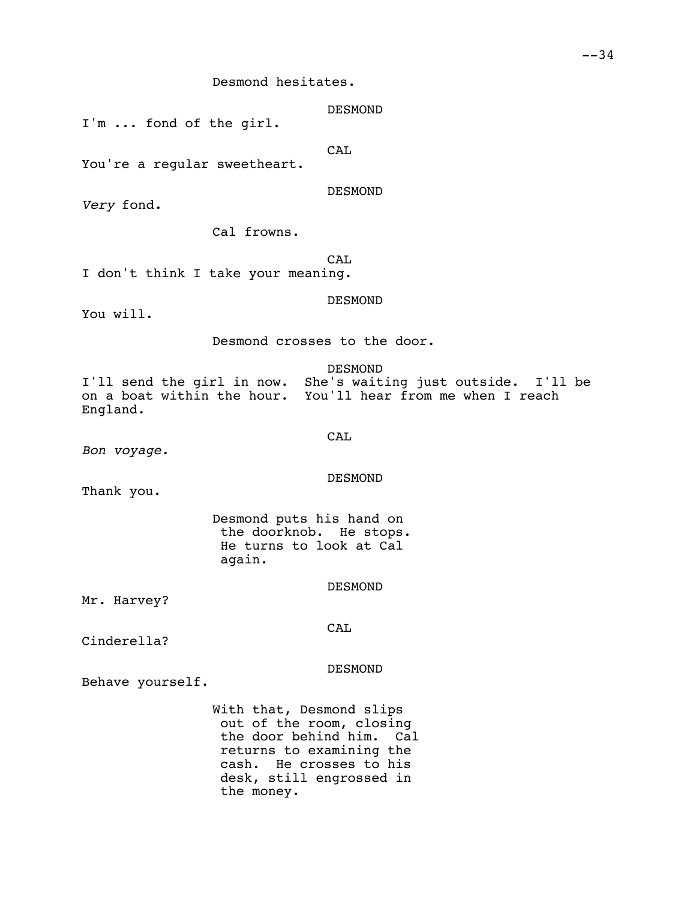Desmond hesitates.

DESMOND

I'm ... fond of the girl.

CAL

You're a reqular sweetheart.

DESMOND

*Very* fond.

Cal frowns.

CAL

I don't think I take your meaning.

DESMOND

You will.

Desmond crosses to the door.

DESMOND

I'll send the girl in now. She's waiting just outside. I'll be on a boat within the hour. You'll hear from me when I reach England.

CAL

*Bon voyage.*

DESMOND

Thank you.

Desmond puts his hand on the doorknob. He stops. He turns to look at Cal again.

DESMOND

Mr. Harvey?

CAL

Cinderella?

DESMOND

Behave yourself.

With that, Desmond slips out of the room, closing the door behind him. Cal returns to examining the cash. He crosses to his desk, still engrossed in the money.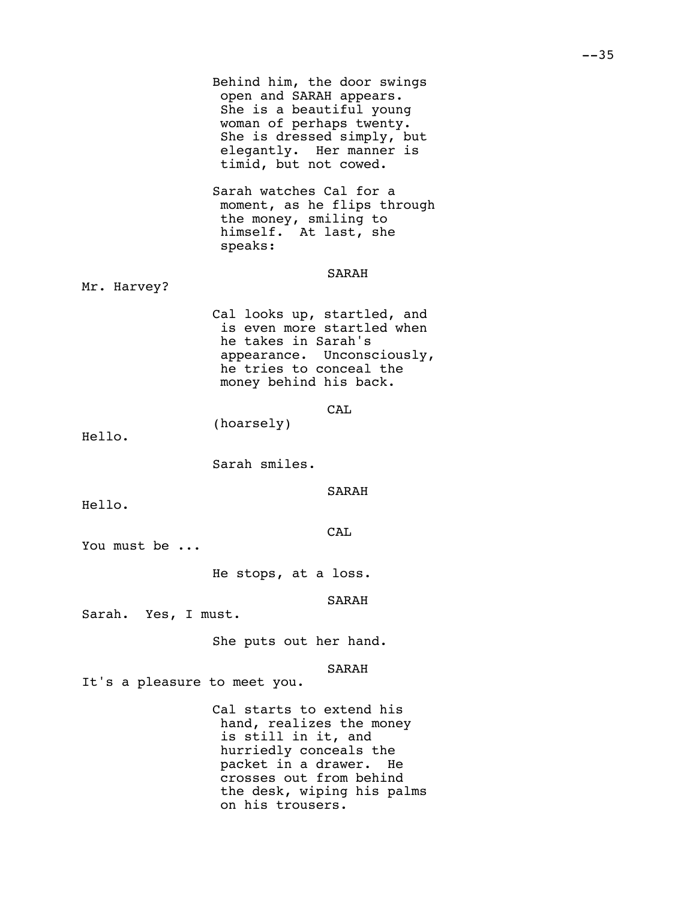|                              | Behind him, the door swings<br>open and SARAH appears.<br>She is a beautiful young<br>woman of perhaps twenty.<br>She is dressed simply, but<br>elegantly. Her manner is<br>timid, but not cowed.            |
|------------------------------|--------------------------------------------------------------------------------------------------------------------------------------------------------------------------------------------------------------|
|                              | Sarah watches Cal for a<br>moment, as he flips through<br>the money, smiling to<br>himself. At last, she<br>speaks:                                                                                          |
| Mr. Harvey?                  | SARAH                                                                                                                                                                                                        |
|                              | Cal looks up, startled, and<br>is even more startled when<br>he takes in Sarah's<br>appearance. Unconsciously,<br>he tries to conceal the<br>money behind his back.                                          |
| Hello.                       | CAL<br>(hoarsely)                                                                                                                                                                                            |
|                              | Sarah smiles.                                                                                                                                                                                                |
| Hello.                       | SARAH                                                                                                                                                                                                        |
| You must be                  | CAL                                                                                                                                                                                                          |
|                              | He stops, at a loss.                                                                                                                                                                                         |
| Sarah. Yes, I must.          | SARAH                                                                                                                                                                                                        |
|                              | She puts out her hand.                                                                                                                                                                                       |
| It's a pleasure to meet you. | <b>SARAH</b>                                                                                                                                                                                                 |
|                              | Cal starts to extend his<br>hand, realizes the money<br>is still in it, and<br>hurriedly conceals the<br>packet in a drawer. He<br>crosses out from behind<br>the desk, wiping his palms<br>on his trousers. |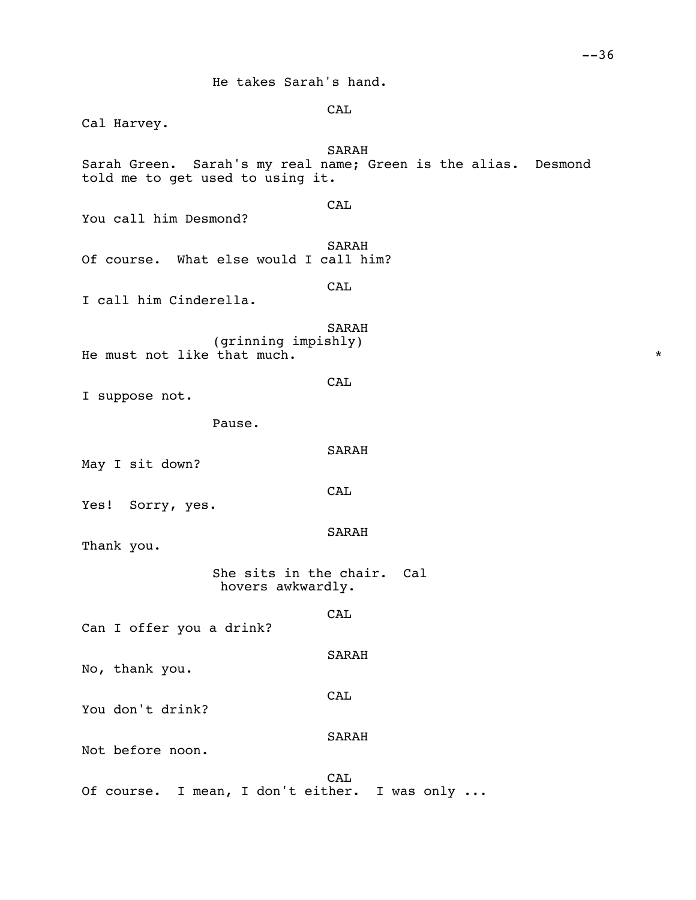He takes Sarah's hand.

CAL

SARAH

CAL

SARAH

CAL

SARAH

CAL

SARAH

SARAH

**CAL** 

SARAH

CAL

SARAH

CAL

Cal Harvey. Sarah Green. Sarah's my real name; Green is the alias. Desmond told me to get used to using it. You call him Desmond? Of course. What else would I call him? I call him Cinderella. (grinning impishly) He must not like that much.  $*$ I suppose not. Pause. May I sit down? Yes! Sorry, yes. Thank you. She sits in the chair. Cal hovers awkwardly. Can I offer you a drink?

No, thank you.

You don't drink?

Not before noon.

CAL Of course. I mean, I don't either. I was only ...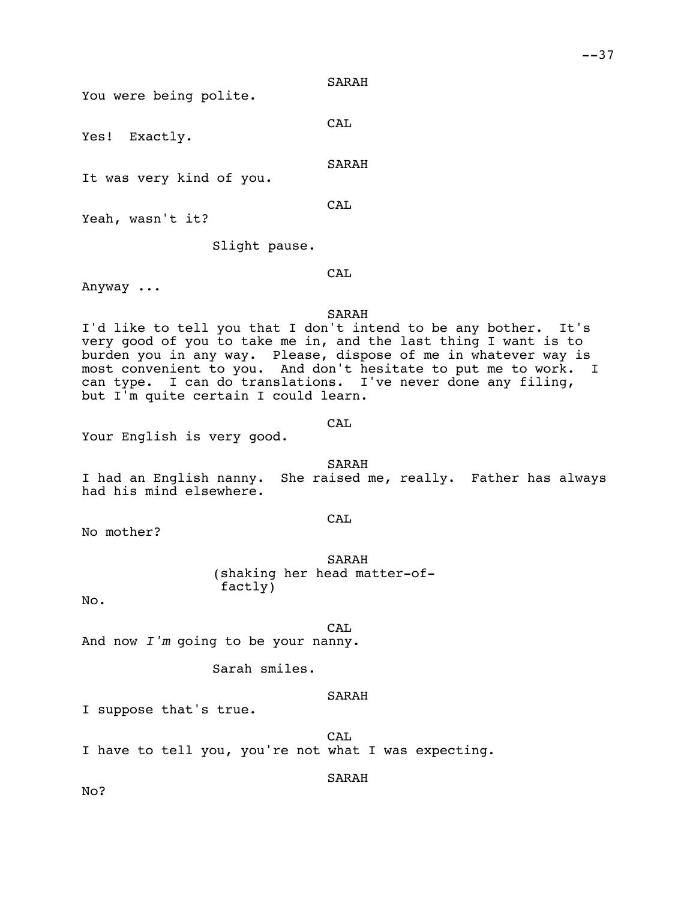You were being polite.

CAL

Yes! Exactly.

SARAH

It was very kind of you.

CAL

Yeah, wasn't it?

Slight pause.

CAL

Anyway ...

### SARAH

I'd like to tell you that I don't intend to be any bother. It's very good of you to take me in, and the last thing I want is to burden you in any way. Please, dispose of me in whatever way is most convenient to you. And don't hesitate to put me to work. I can type. I can do translations. I've never done any filing, but I'm quite certain I could learn.

CAL

Your English is very good.

SARAH I had an English nanny. She raised me, really. Father has always had his mind elsewhere.

CAL

No mother?

SARAH (shaking her head matter-offactly)

No.

CA<sub>L</sub>

And now *I'm* going to be your nanny.

Sarah smiles.

### SARAH

I suppose that's true.

CAL

I have to tell you, you're not what I was expecting.

SARAH

No?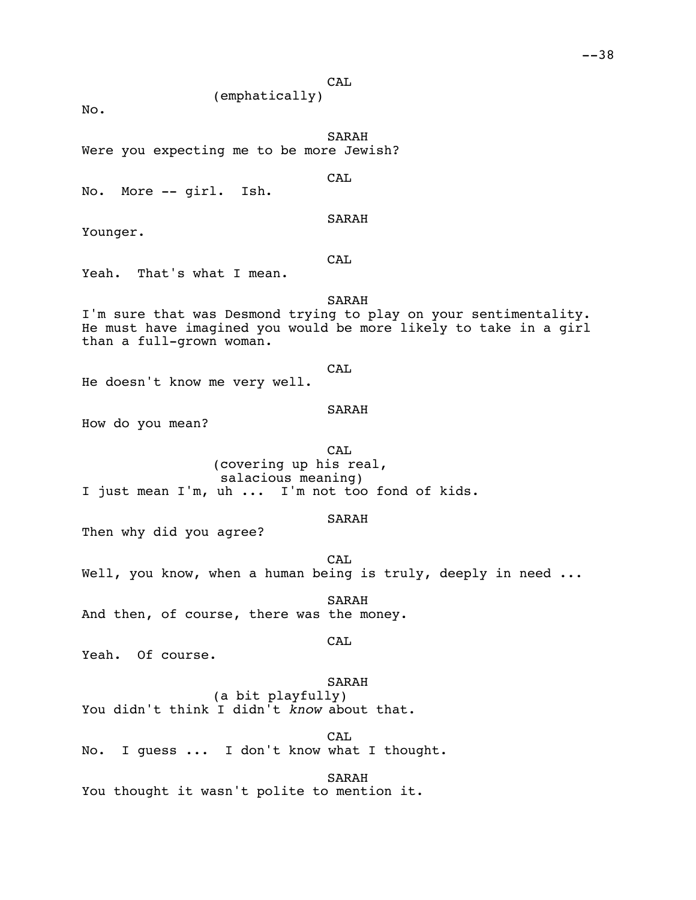CAL (emphatically)

No.

SARAH

Were you expecting me to be more Jewish?

No. More -- girl. Ish.

Younger.

CAL

SARAH

CAL

Yeah. That's what I mean.

SARAH

I'm sure that was Desmond trying to play on your sentimentality. He must have imagined you would be more likely to take in a girl than a full-grown woman.

**CAL** 

He doesn't know me very well.

SARAH

How do you mean?

CAL (covering up his real, salacious meaning) I just mean I'm, uh ... I'm not too fond of kids.

### SARAH

Then why did you agree?

CA<sub>L</sub> Well, you know, when a human being is truly, deeply in need ...

SARAH And then, of course, there was the money.

CAL

Yeah. Of course.

# SARAH

(a bit playfully) You didn't think I didn't *know* about that.

CAL No. I guess ... I don't know what I thought.

SARAH

You thought it wasn't polite to mention it.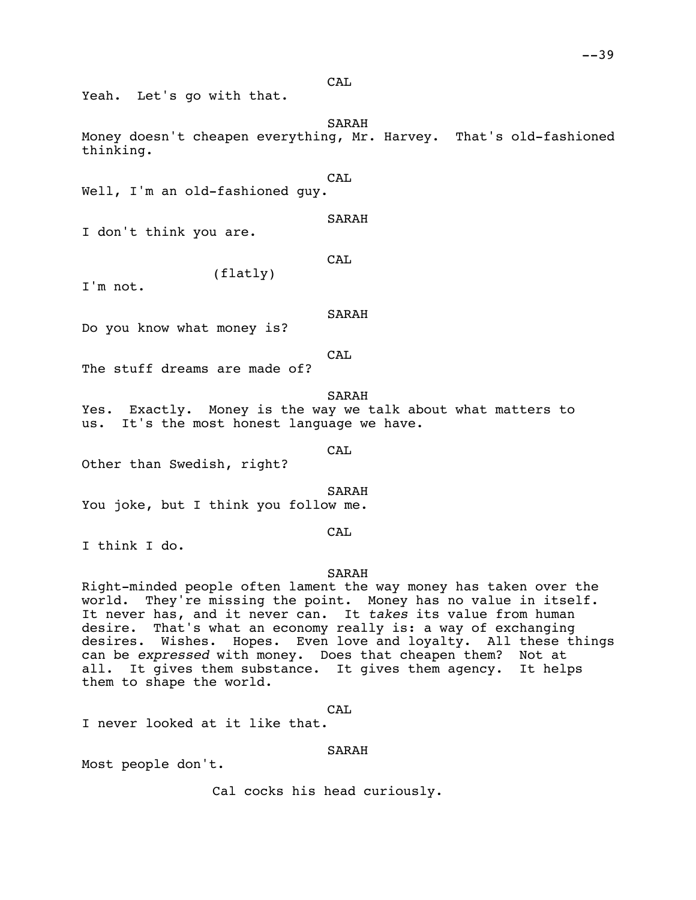CAL

Yeah. Let's go with that.

SARAH Money doesn't cheapen everything, Mr. Harvey. That's old-fashioned thinking.

CA<sub>L</sub>

Well, I'm an old-fashioned quy.

SARAH

I don't think you are.

CAL

(flatly)

I'm not.

SARAH

Do you know what money is?

CAL

The stuff dreams are made of?

SARAH

Yes. Exactly. Money is the way we talk about what matters to us. It's the most honest language we have.

CAL

Other than Swedish, right?

SARAH

You joke, but I think you follow me.

# CAL

I think I do.

### SARAH

Right-minded people often lament the way money has taken over the world. They're missing the point. Money has no value in itself. It never has, and it never can. It *takes* its value from human desire. That's what an economy really is: a way of exchanging desires. Wishes. Hopes. Even love and loyalty. All these things can be *expressed* with money. Does that cheapen them? Not at all. It gives them substance. It gives them agency. It helps them to shape the world.

CAL

I never looked at it like that.

# SARAH

Most people don't.

Cal cocks his head curiously.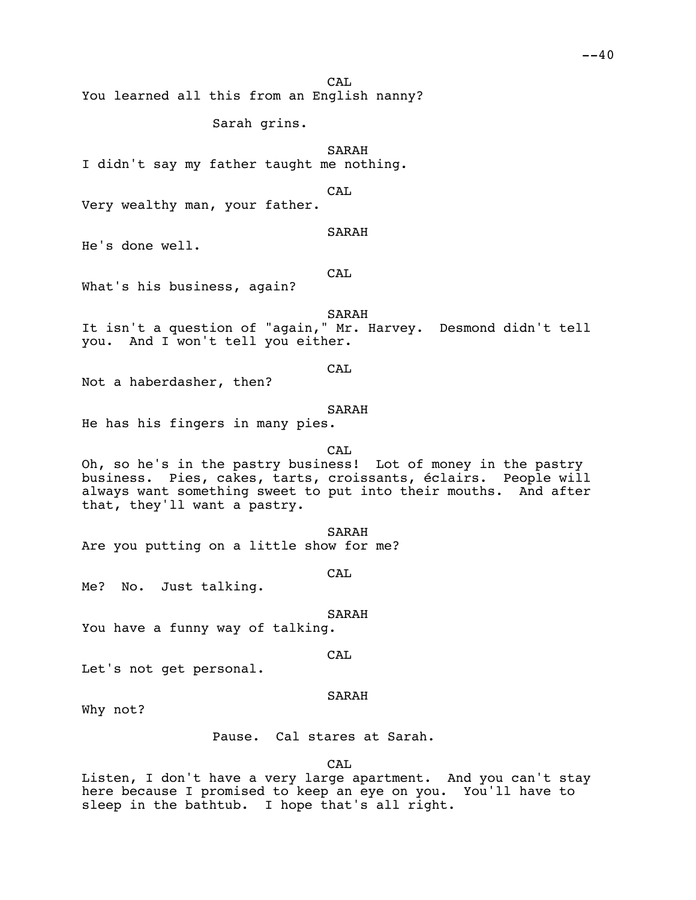CA<sub>L</sub>

You learned all this from an English nanny?

Sarah grins.

SARAH

I didn't say my father taught me nothing.

CAL

Very wealthy man, your father.

SARAH

He's done well.

CAL

What's his business, again?

SARAH

It isn't a question of "again," Mr. Harvey. Desmond didn't tell you. And I won't tell you either.

CAL

Not a haberdasher, then?

SARAH

He has his fingers in many pies.

CAL

Oh, so he's in the pastry business! Lot of money in the pastry business. Pies, cakes, tarts, croissants, éclairs. People will always want something sweet to put into their mouths. And after that, they'll want a pastry.

SARAH Are you putting on a little show for me?

CAL

Me? No. Just talking.

SARAH

You have a funny way of talking.

CA<sub>L</sub>

Let's not get personal.

#### SARAH

Why not?

Pause. Cal stares at Sarah.

CAL

Listen, I don't have a very large apartment. And you can't stay here because I promised to keep an eye on you. You'll have to sleep in the bathtub. I hope that's all right.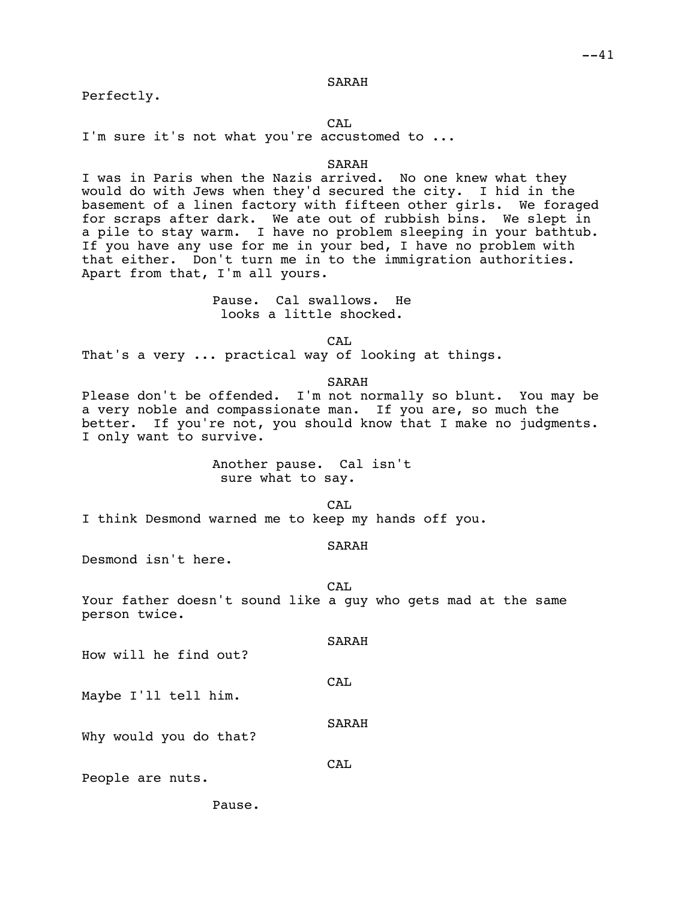Perfectly.

CA<sub>L</sub>

I'm sure it's not what you're accustomed to ...

#### SARAH

I was in Paris when the Nazis arrived. No one knew what they would do with Jews when they'd secured the city. I hid in the basement of a linen factory with fifteen other girls. We foraged for scraps after dark. We ate out of rubbish bins. We slept in a pile to stay warm. I have no problem sleeping in your bathtub. If you have any use for me in your bed, I have no problem with that either. Don't turn me in to the immigration authorities. Apart from that, I'm all yours.

## Pause. Cal swallows. He looks a little shocked.

 $CAT$ 

That's a very ... practical way of looking at things.

SARAH

Please don't be offended. I'm not normally so blunt. You may be a very noble and compassionate man. If you are, so much the better. If you're not, you should know that I make no judgments. I only want to survive.

> Another pause. Cal isn't sure what to say.

> > $CAT$ .

I think Desmond warned me to keep my hands off you.

#### SARAH

Desmond isn't here.

CA<sub>L</sub>

Your father doesn't sound like a guy who gets mad at the same person twice.

How will he find out?

CAL

SARAH

Maybe I'll tell him.

Why would you do that?

CAL

SARAH

People are nuts.

Pause.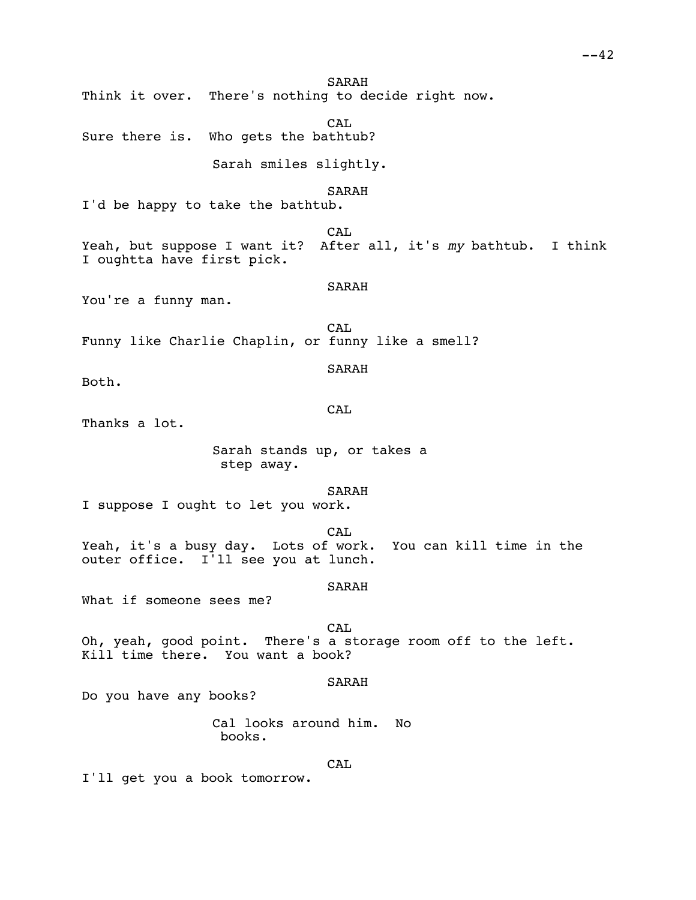SARAH Think it over. There's nothing to decide right now. CA<sub>L</sub> Sure there is. Who gets the bathtub? Sarah smiles slightly. SARAH I'd be happy to take the bathtub. CAL Yeah, but suppose I want it? After all, it's *my* bathtub. I think I oughtta have first pick. SARAH You're a funny man. CA<sub>L</sub> Funny like Charlie Chaplin, or funny like a smell? SARAH Both. CAL Thanks a lot. Sarah stands up, or takes a step away. SARAH I suppose I ought to let you work. CAL Yeah, it's a busy day. Lots of work. You can kill time in the outer office. I'll see you at lunch. SARAH What if someone sees me? CAL. Oh, yeah, good point. There's a storage room off to the left. Kill time there. You want a book? SARAH Do you have any books? Cal looks around him. No books. **CAL** I'll get you a book tomorrow.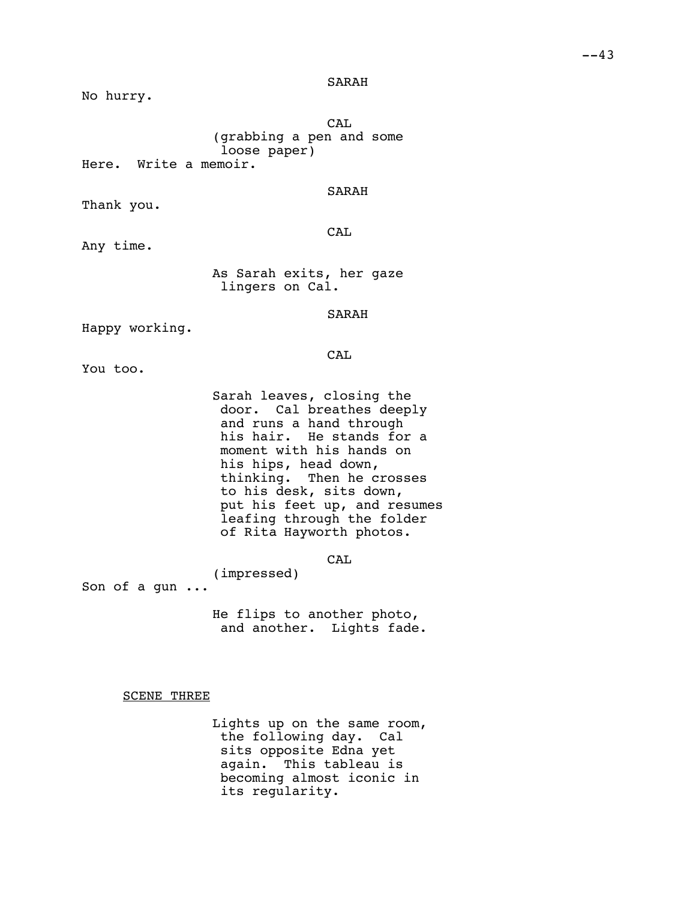No hurry.

CAL (grabbing a pen and some loose paper) Here. Write a memoir.

## SARAH

Thank you.

**CAL** 

Any time.

As Sarah exits, her gaze lingers on Cal.

SARAH

Happy working.

CAL

You too.

Sarah leaves, closing the door. Cal breathes deeply and runs a hand through his hair. He stands for a moment with his hands on his hips, head down, thinking. Then he crosses to his desk, sits down, put his feet up, and resumes leafing through the folder of Rita Hayworth photos.

CAL

Son of a gun ...

He flips to another photo, and another. Lights fade.

(impressed)

SCENE THREE

Lights up on the same room, the following day. Cal sits opposite Edna yet again. This tableau is becoming almost iconic in its regularity.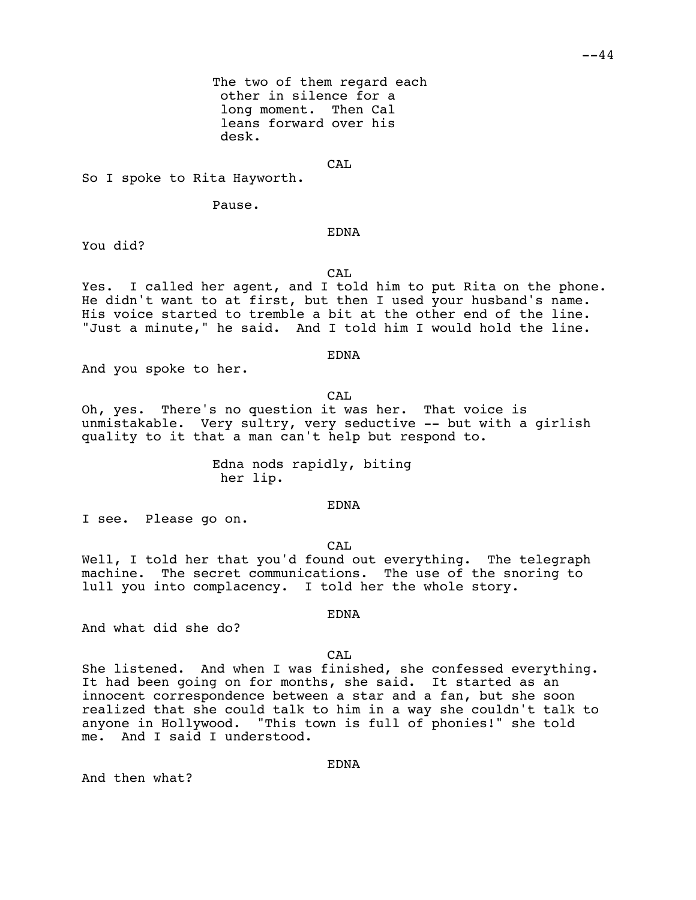The two of them regard each other in silence for a long moment. Then Cal leans forward over his desk.

CAL

So I spoke to Rita Hayworth.

Pause.

EDNA

You did?

CA<sub>L</sub>

Yes. I called her agent, and I told him to put Rita on the phone. He didn't want to at first, but then I used your husband's name. His voice started to tremble a bit at the other end of the line. "Just a minute," he said. And I told him I would hold the line.

EDNA

And you spoke to her.

CAL

Oh, yes. There's no question it was her. That voice is unmistakable. Very sultry, very seductive -- but with a girlish quality to it that a man can't help but respond to.

> Edna nods rapidly, biting her lip.

> > EDNA

I see. Please go on.

CAL

Well, I told her that you'd found out everything. The telegraph machine. The secret communications. The use of the snoring to lull you into complacency. I told her the whole story.

And what did she do?

CA<sub>L</sub>

EDNA

She listened. And when I was finished, she confessed everything. It had been going on for months, she said. It started as an innocent correspondence between a star and a fan, but she soon realized that she could talk to him in a way she couldn't talk to anyone in Hollywood. "This town is full of phonies!" she told me. And I said I understood.

And then what?

EDNA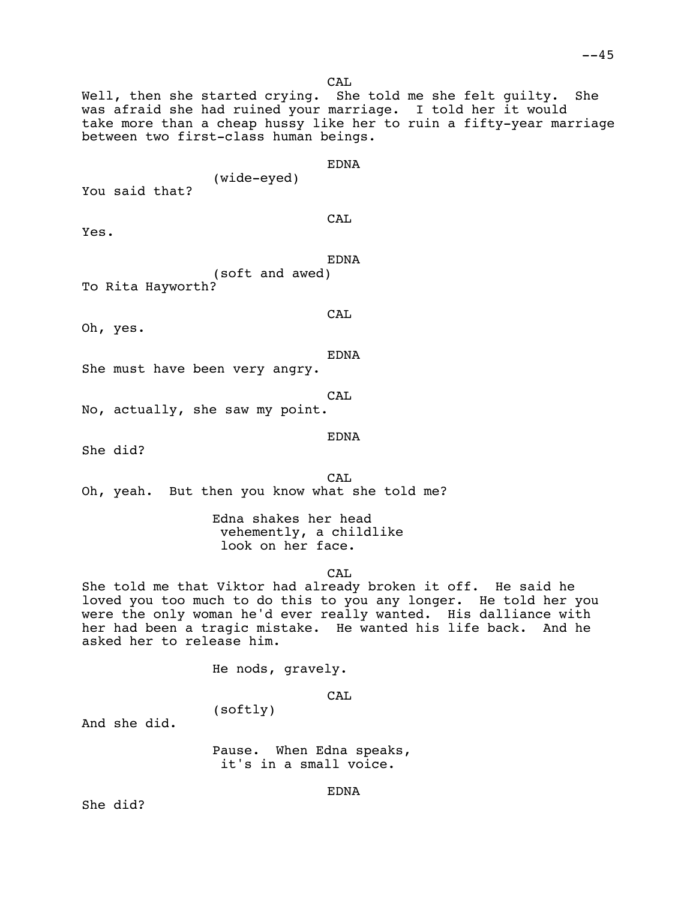CA<sub>L</sub>

Well, then she started crying. She told me she felt guilty. She was afraid she had ruined your marriage. I told her it would take more than a cheap hussy like her to ruin a fifty-year marriage between two first-class human beings.

EDNA

(wide-eyed)

You said that?

CAL

Yes.

EDNA

(soft and awed) To Rita Hayworth?

Oh, yes.

CAL

EDNA

She must have been very angry.

CAL

No, actually, she saw my point.

EDNA

She did?

CA<sub>L</sub> Oh, yeah. But then you know what she told me?

> Edna shakes her head vehemently, a childlike look on her face.

> > CAL

She told me that Viktor had already broken it off. He said he loved you too much to do this to you any longer. He told her you were the only woman he'd ever really wanted. His dalliance with her had been a tragic mistake. He wanted his life back. And he asked her to release him.

He nods, gravely.

(softly)

CAL

And she did.

Pause. When Edna speaks, it's in a small voice.

She did?

EDNA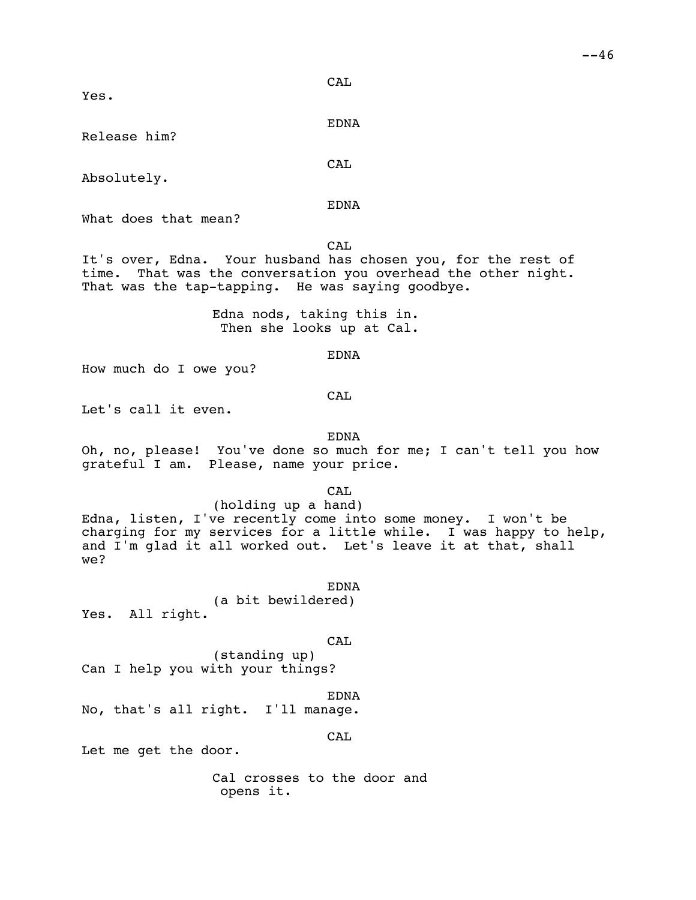**CAL** 

Yes.

EDNA

CAL

Release him?

Absolutely.

EDNA

What does that mean?

CAL

It's over, Edna. Your husband has chosen you, for the rest of time. That was the conversation you overhead the other night. That was the tap-tapping. He was saying goodbye.

> Edna nods, taking this in. Then she looks up at Cal.

> > EDNA

How much do I owe you?

CAL

Let's call it even.

EDNA

Oh, no, please! You've done so much for me; I can't tell you how grateful I am. Please, name your price.

CAL

(holding up a hand) Edna, listen, I've recently come into some money. I won't be charging for my services for a little while. I was happy to help, and I'm glad it all worked out. Let's leave it at that, shall we?

EDNA (a bit bewildered) Yes. All right.

CAL

(standing up) Can I help you with your things?

EDNA No, that's all right. I'll manage.

CAL

Let me get the door.

Cal crosses to the door and opens it.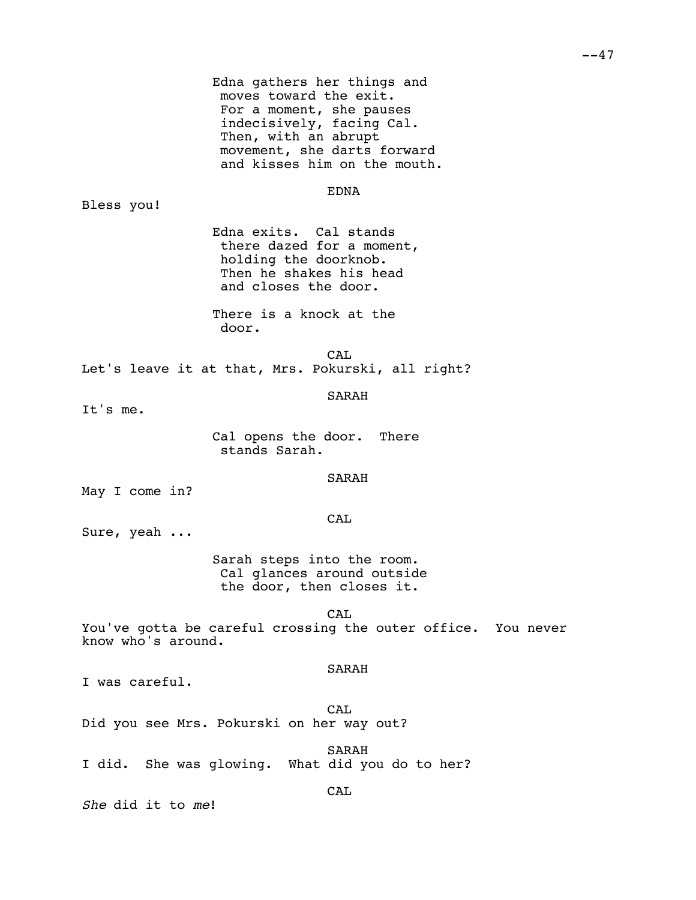| moves toward the exit.<br>For a moment, she pauses<br>indecisively, facing Cal.<br>Then, with an abrupt                         | Edna gathers her things and<br>movement, she darts forward<br>and kisses him on the mouth. |
|---------------------------------------------------------------------------------------------------------------------------------|--------------------------------------------------------------------------------------------|
| Bless you!                                                                                                                      | EDNA                                                                                       |
| Edna exits. Cal stands<br>there dazed for a moment,<br>holding the doorknob.<br>Then he shakes his head<br>and closes the door. |                                                                                            |
| There is a knock at the<br>door.                                                                                                |                                                                                            |
| Let's leave it at that, Mrs. Pokurski, all right?                                                                               | <b>CAL</b>                                                                                 |
| It's me.                                                                                                                        | SARAH                                                                                      |
| Cal opens the door. There<br>stands Sarah.                                                                                      |                                                                                            |
| May I come in?                                                                                                                  | SARAH                                                                                      |
| Sure, yeah                                                                                                                      | <b>CAL</b>                                                                                 |
| Sarah steps into the room.<br>the door, then closes it.                                                                         | Cal glances around outside                                                                 |
| know who's around.                                                                                                              | CAL<br>You've gotta be careful crossing the outer office. You never                        |
| I was careful.                                                                                                                  | SARAH                                                                                      |
| Did you see Mrs. Pokurski on her way out?                                                                                       | CAL                                                                                        |
| I did. She was glowing. What did you do to her?                                                                                 | SARAH                                                                                      |
|                                                                                                                                 | <b>CAL</b>                                                                                 |

*She* did it to *me*!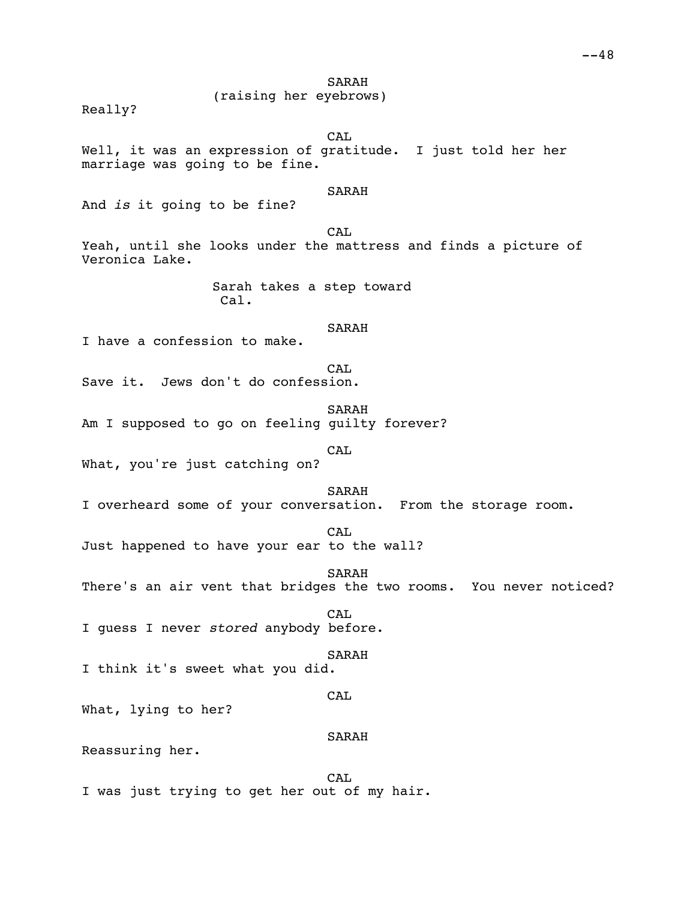## (raising her eyebrows)

Really?

CAL

Well, it was an expression of gratitude. I just told her her marriage was going to be fine.

### SARAH

And *is* it going to be fine?

CAL

Yeah, until she looks under the mattress and finds a picture of Veronica Lake.

> Sarah takes a step toward Cal.

## SARAH

I have a confession to make.

**CAL** 

Save it. Jews don't do confession.

SARAH

Am I supposed to go on feeling guilty forever?

CAL

What, you're just catching on?

SARAH

I overheard some of your conversation. From the storage room.

 $CAT$ 

Just happened to have your ear to the wall?

SARAH

There's an air vent that bridges the two rooms. You never noticed?

CAL I guess I never *stored* anybody before.

SARAH

I think it's sweet what you did.

### CAL

What, lying to her?

## SARAH

Reassuring her.

CA<sub>L</sub> I was just trying to get her out of my hair.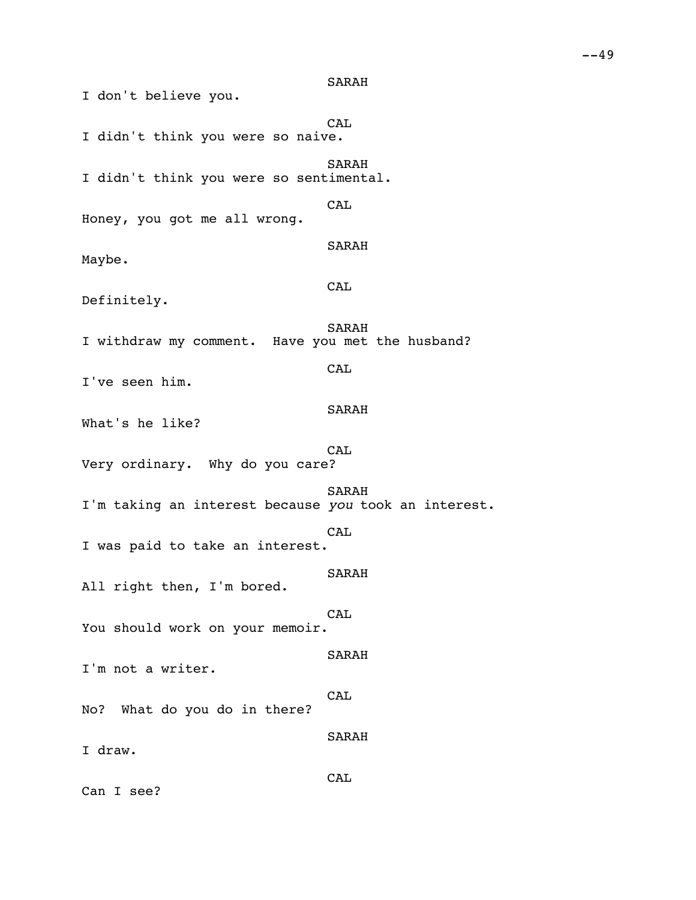SARAH CAL I didn't think you were so naive. SARAH I didn't think you were so sentimental. CAL Honey, you got me all wrong. SARAH CAL SARAH **CAL** SARAH

Definitely.

Maybe.

I don't believe you.

I withdraw my comment. Have you met the husband?

I've seen him.

What's he like?

**CAL** Very ordinary. Why do you care?

SARAH I'm taking an interest because *you* took an interest. **CAL** I was paid to take an interest.

SARAH

SARAH

All right then, I'm bored.

CAL You should work on your memoir.

I'm not a writer.

CAL No? What do you do in there?

SARAH

I draw.

CAL

Can I see?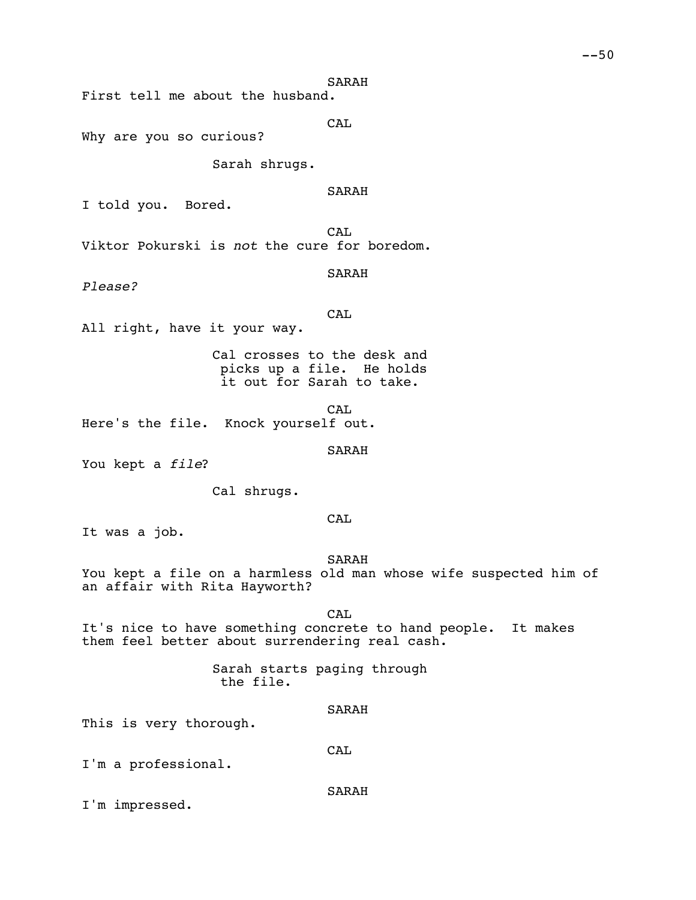First tell me about the husband.

CAL

Why are you so curious?

Sarah shrugs.

# SARAH

I told you. Bored.

CA<sub>L</sub> Viktor Pokurski is *not* the cure for boredom.

SARAH

*Please?*

**CAL** 

All right, have it your way.

Cal crosses to the desk and picks up a file. He holds it out for Sarah to take.

CA<sub>L</sub> Here's the file. Knock yourself out.

SARAH

You kept a *file*?

Cal shrugs.

# **CAL**

It was a job.

#### SARAH

You kept a file on a harmless old man whose wife suspected him of an affair with Rita Hayworth?

CAL

It's nice to have something concrete to hand people. It makes them feel better about surrendering real cash.

# Sarah starts paging through the file.

## SARAH

**CAL** 

This is very thorough.

I'm a professional.

SARAH

I'm impressed.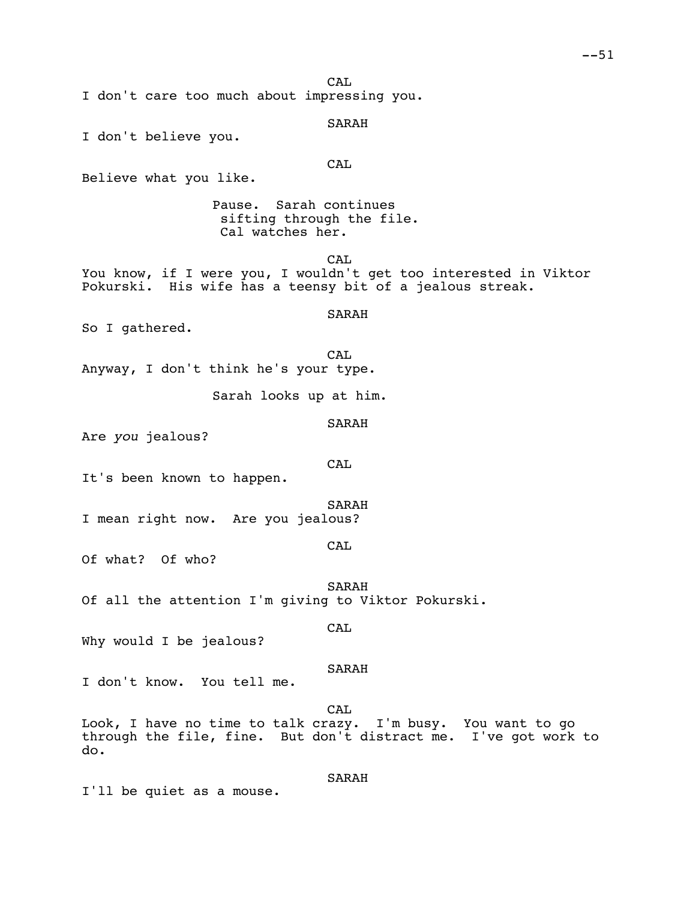CA<sub>L</sub>

I don't care too much about impressing you.

SARAH

I don't believe you.

**CAL** 

Believe what you like.

Pause. Sarah continues sifting through the file. Cal watches her.

CA<sub>L</sub> You know, if I were you, I wouldn't get too interested in Viktor Pokurski. His wife has a teensy bit of a jealous streak.

# SARAH

So I gathered.

CAL Anyway, I don't think he's your type.

Sarah looks up at him.

```
SARAH
```
Are *you* jealous?

CAL

It's been known to happen.

SARAH I mean right now. Are you jealous?

## CAL

Of what? Of who?

SARAH Of all the attention I'm giving to Viktor Pokurski.

### CA<sub>L</sub>

Why would I be jealous?

#### SARAH

I don't know. You tell me.

CAL

Look, I have no time to talk crazy. I'm busy. You want to go through the file, fine. But don't distract me. I've got work to do.

## SARAH

I'll be quiet as a mouse.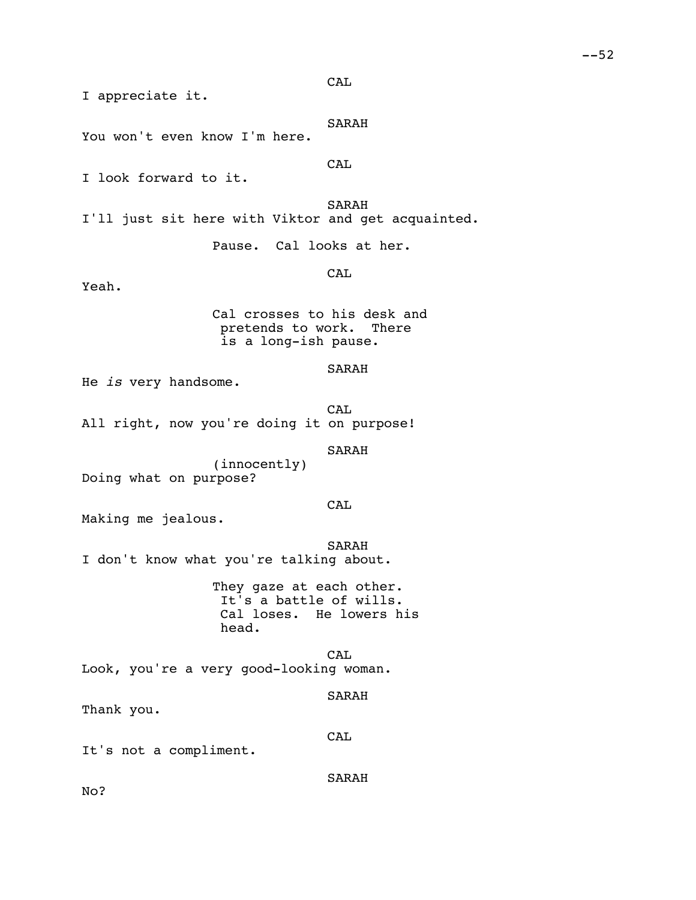CAL

I appreciate it.

SARAH

You won't even know I'm here.

**CAL** 

I look forward to it.

SARAH I'll just sit here with Viktor and get acquainted.

Pause. Cal looks at her.

CAL

Yeah.

Cal crosses to his desk and pretends to work. There is a long-ish pause.

### SARAH

He *is* very handsome.

CAL All right, now you're doing it on purpose!

SARAH

(innocently) Doing what on purpose?

CAL

Making me jealous.

SARAH I don't know what you're talking about.

> They gaze at each other. It's a battle of wills. Cal loses. He lowers his head.

CAL Look, you're a very good-looking woman.

SARAH

Thank you.

CAL

It's not a compliment.

SARAH

No?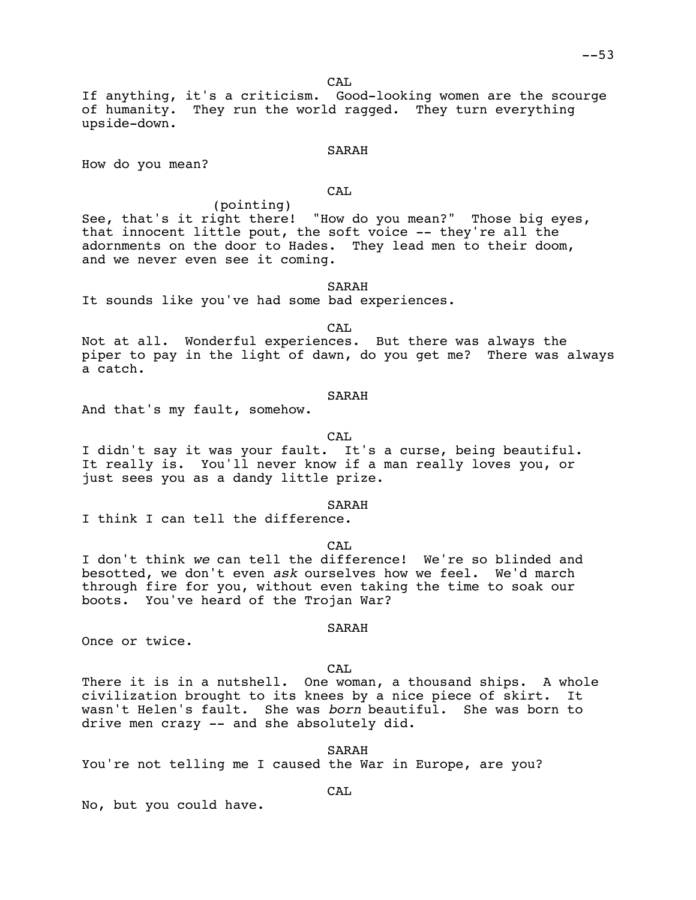CA<sub>L</sub>

If anything, it's a criticism. Good-looking women are the scourge of humanity. They run the world ragged. They turn everything upside-down.

## SARAH

How do you mean?

CAL

(pointing) See, that's it right there! "How do you mean?" Those big eyes, that innocent little pout, the soft voice -- they're all the adornments on the door to Hades. They lead men to their doom, and we never even see it coming.

### SARAH

It sounds like you've had some bad experiences.

CAL

Not at all. Wonderful experiences. But there was always the piper to pay in the light of dawn, do you get me? There was always a catch.

#### SARAH

And that's my fault, somehow.

CA<sub>L</sub>

I didn't say it was your fault. It's a curse, being beautiful. It really is. You'll never know if a man really loves you, or just sees you as a dandy little prize.

SARAH

I think I can tell the difference.

 $CAT$ 

I don't think *we* can tell the difference! We're so blinded and besotted, we don't even *ask* ourselves how we feel. We'd march through fire for you, without even taking the time to soak our boots. You've heard of the Trojan War?

#### SARAH

Once or twice.

CAL

There it is in a nutshell. One woman, a thousand ships. A whole civilization brought to its knees by a nice piece of skirt. It wasn't Helen's fault. She was *born* beautiful. She was born to drive men crazy -- and she absolutely did.

SARAH

CAL

You're not telling me I caused the War in Europe, are you?

No, but you could have.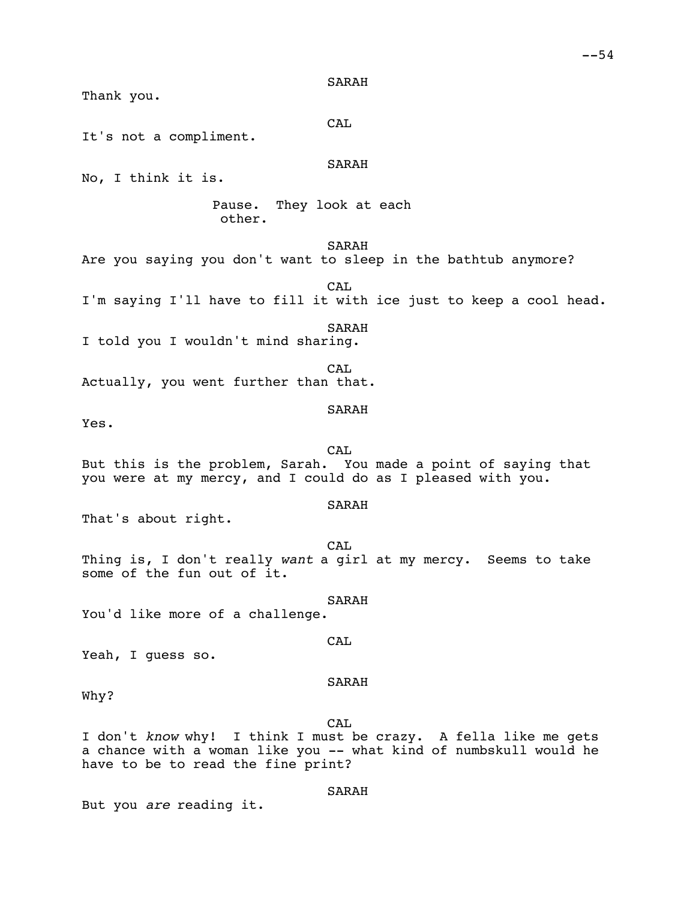Thank you.

CAL

It's not a compliment.

SARAH

No, I think it is.

Pause. They look at each other.

SARAH

Are you saying you don't want to sleep in the bathtub anymore?

CAL

I'm saying I'll have to fill it with ice just to keep a cool head.

SARAH

I told you I wouldn't mind sharing.

CAL Actually, you went further than that.

SARAH

Yes.

CAL But this is the problem, Sarah. You made a point of saying that you were at my mercy, and I could do as I pleased with you.

SARAH

That's about right.

CAL Thing is, I don't really *want* a girl at my mercy. Seems to take some of the fun out of it.

SARAH You'd like more of a challenge.

Yeah, I guess so.

## SARAH

CAL

Why?

CAL I don't *know* why! I think I must be crazy. A fella like me gets a chance with a woman like you -- what kind of numbskull would he have to be to read the fine print?

## SARAH

But you *are* reading it.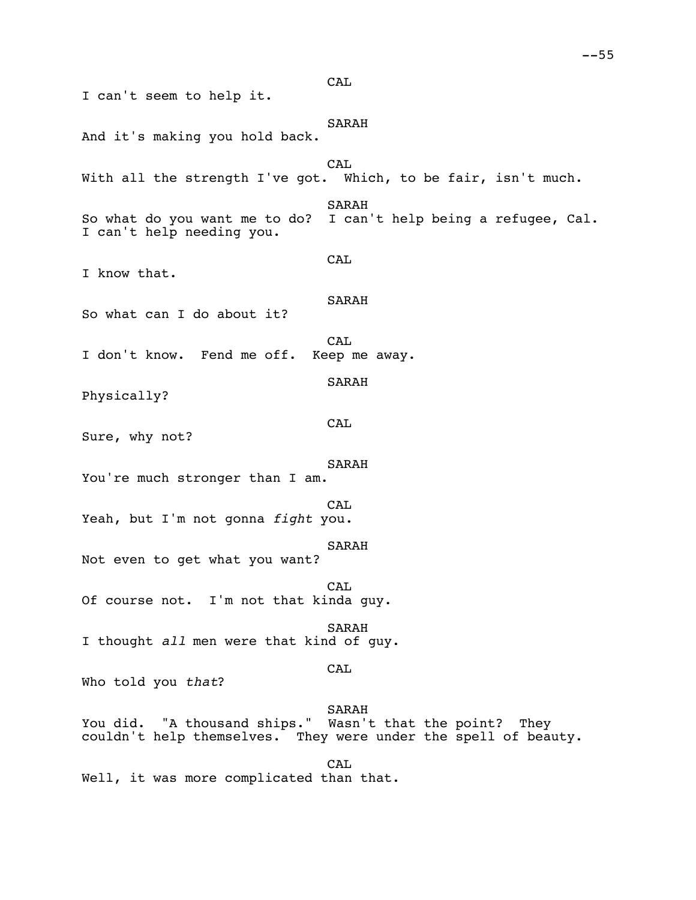I can't seem to help it. SARAH And it's making you hold back. CAL With all the strength I've got. Which, to be fair, isn't much. SARAH So what do you want me to do? I can't help being a refugee, Cal. I can't help needing you. CAL I know that. SARAH So what can I do about it? CAL<br>Keep me away. I don't know. Fend me off. SARAH Physically? CAL Sure, why not? SARAH You're much stronger than I am. CAL Yeah, but I'm not gonna *fight* you. SARAH Not even to get what you want? CAL Of course not. I'm not that kinda guy. SARAH I thought *all* men were that kind of guy. CAL Who told you *that*? SARAH You did. "A thousand ships." Wasn't that the point? They couldn't help themselves. They were under the spell of bea They were under the spell of beauty. CAL Well, it was more complicated than that.

**CAL**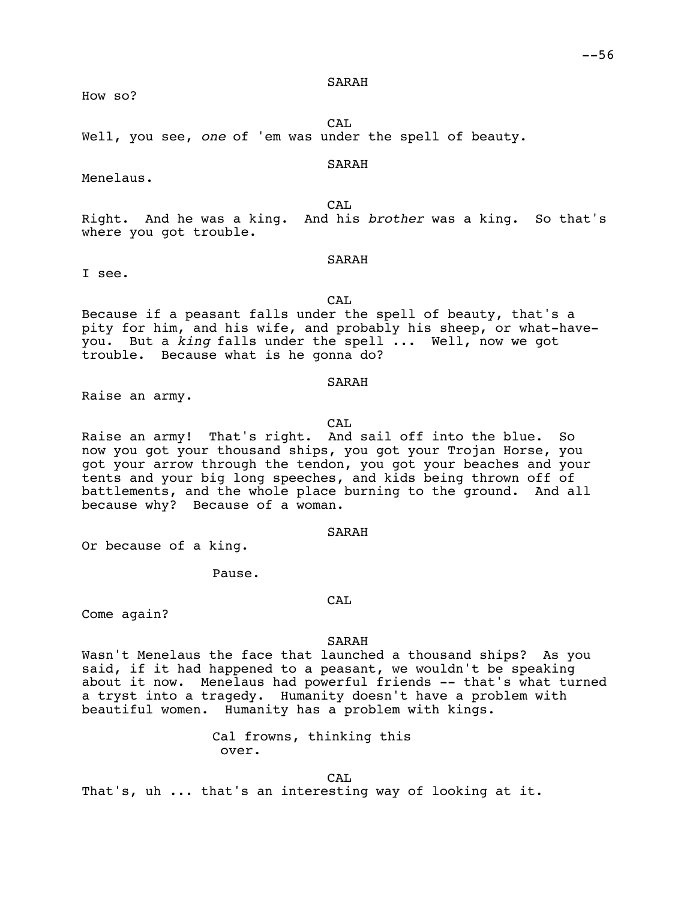How so?

CAL. Well, you see, *one* of 'em was under the spell of beauty.

## SARAH

Menelaus.

CA<sub>L</sub> Right. And he was a king. And his *brother* was a king. So that's where you got trouble.

## SARAH

I see.

CAL Because if a peasant falls under the spell of beauty, that's a pity for him, and his wife, and probably his sheep, or what-haveyou. But a *king* falls under the spell ... Well, now we got trouble. Because what is he gonna do?

## SARAH

Raise an army.

#### CAL

Raise an army! That's right. And sail off into the blue. So now you got your thousand ships, you got your Trojan Horse, you got your arrow through the tendon, you got your beaches and your tents and your big long speeches, and kids being thrown off of battlements, and the whole place burning to the ground. And all because why? Because of a woman.

## SARAH

Or because of a king.

Pause.

Come again?

#### SARAH

CAL

Wasn't Menelaus the face that launched a thousand ships? As you said, if it had happened to a peasant, we wouldn't be speaking about it now. Menelaus had powerful friends -- that's what turned a tryst into a tragedy. Humanity doesn't have a problem with beautiful women. Humanity has a problem with kings.

> Cal frowns, thinking this over.

That's, uh ... that's an interesting way of looking at it.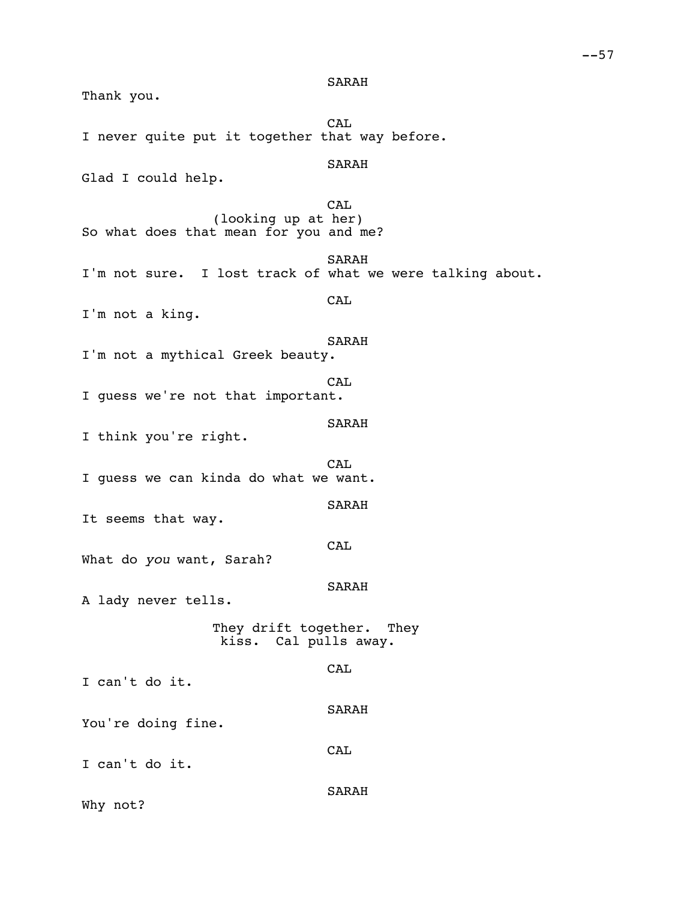Thank you. CAL I never quite put it together that way before. SARAH Glad I could help. CAL (looking up at her) So what does that mean for you and me? SARAH I'm not sure. I lost track of what we were talking about. CAL I'm not a king. SARAH I'm not a mythical Greek beauty. **CAL** I guess we're not that important. SARAH I think you're right. CAL I guess we can kinda do what we want. SARAH It seems that way. CAL What do *you* want, Sarah? SARAH A lady never tells. They drift together. They kiss. Cal pulls away. **CAL** I can't do it. SARAH You're doing fine. **CAL** I can't do it. SARAH Why not?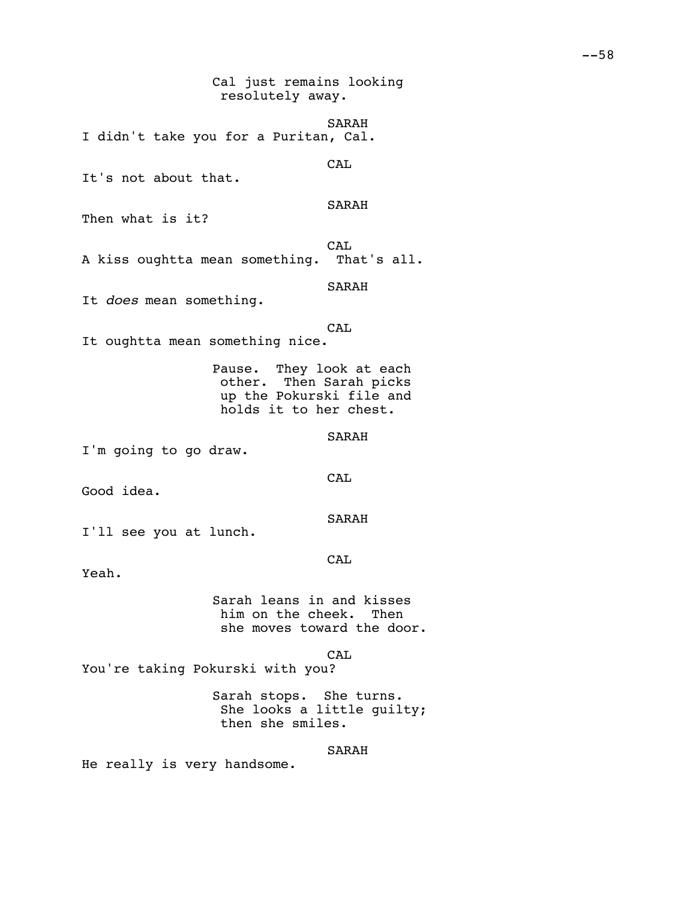resolutely away.

SARAH I didn't take you for a Puritan, Cal. CAL It's not about that. SARAH Then what is it? CAL A kiss oughtta mean something. That's all. SARAH It *does* mean something. CAL It oughtta mean something nice. Pause. They look at each other. Then Sarah picks up the Pokurski file and holds it to her chest. SARAH I'm going to go draw. CAL Good idea. SARAH I'll see you at lunch. **CAL** Yeah. Sarah leans in and kisses him on the cheek. Then she moves toward the door. CAL You're taking Pokurski with you? Sarah stops. She turns. She looks a little guilty; then she smiles. SARAH He really is very handsome.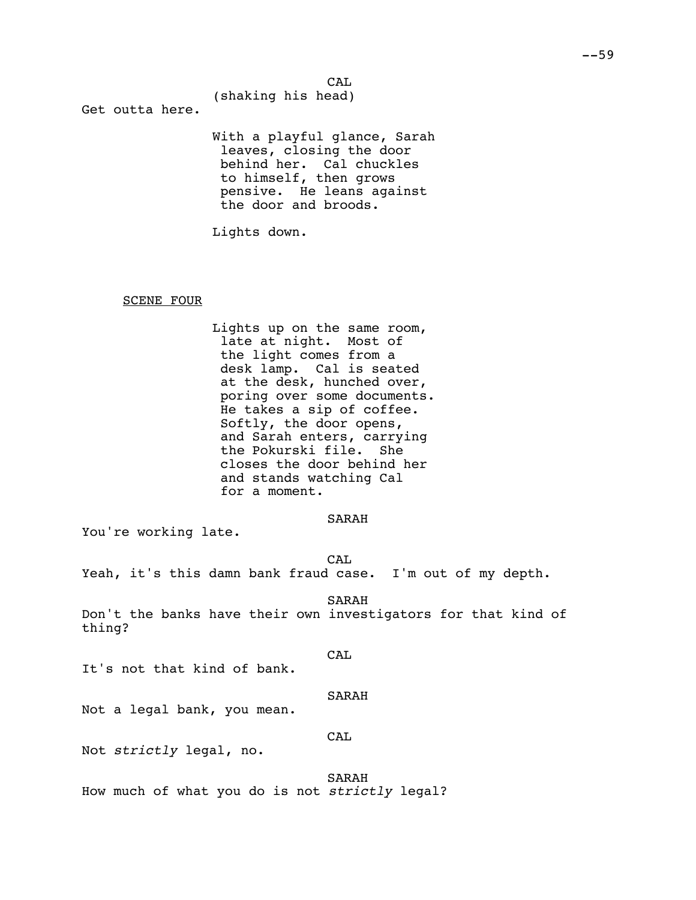CAL

(shaking his head)

Get outta here.

With a playful glance, Sarah leaves, closing the door behind her. Cal chuckles to himself, then grows pensive. He leans against the door and broods.

Lights down.

### SCENE FOUR

Lights up on the same room, late at night. Most of the light comes from a desk lamp. Cal is seated at the desk, hunched over, poring over some documents. He takes a sip of coffee. Softly, the door opens, and Sarah enters, carrying the Pokurski file. She closes the door behind her and stands watching Cal for a moment.

### SARAH

You're working late.

CA<sub>L</sub>

Yeah, it's this damn bank fraud case. I'm out of my depth.

SARAH

Don't the banks have their own investigators for that kind of thing?

CAL

It's not that kind of bank.

#### SARAH

Not a legal bank, you mean.

## CAL

Not *strictly* legal, no.

SARAH

How much of what you do is not *strictly* legal?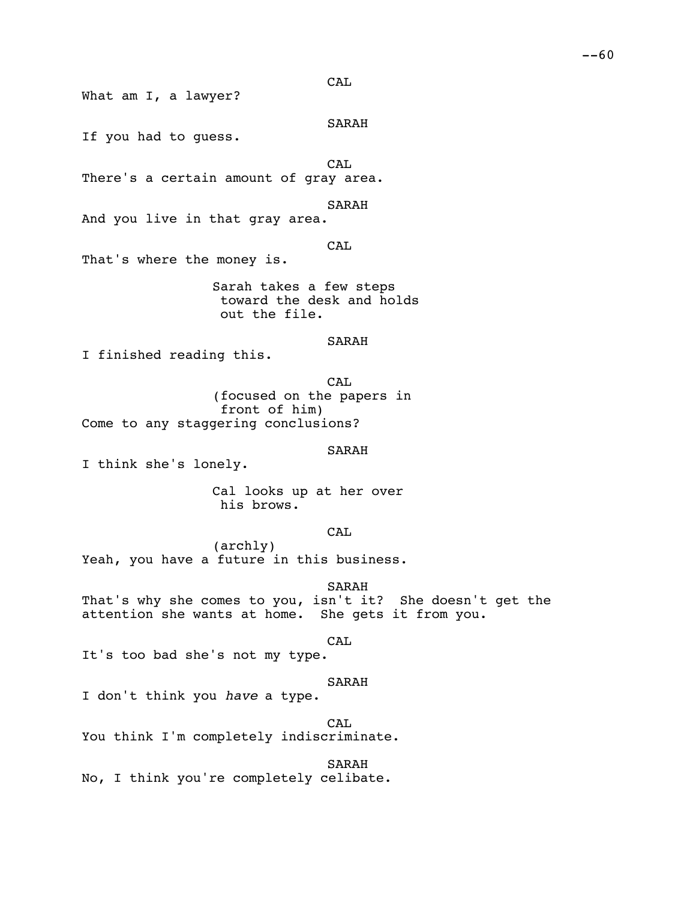CAL

What am I, a lawyer?

SARAH

If you had to guess.

CAL

There's a certain amount of gray area.

SARAH

And you live in that gray area.

CAL

That's where the money is.

Sarah takes a few steps toward the desk and holds out the file.

SARAH

I finished reading this.

CAL (focused on the papers in front of him) Come to any staggering conclusions?

SARAH

I think she's lonely.

Cal looks up at her over his brows.

**CAL** 

(archly) Yeah, you have a future in this business.

SARAH

That's why she comes to you, isn't it? She doesn't get the attention she wants at home. She gets it from you.

CAL

It's too bad she's not my type.

# SARAH

I don't think you *have* a type.

CAL

You think I'm completely indiscriminate.

SARAH

No, I think you're completely celibate.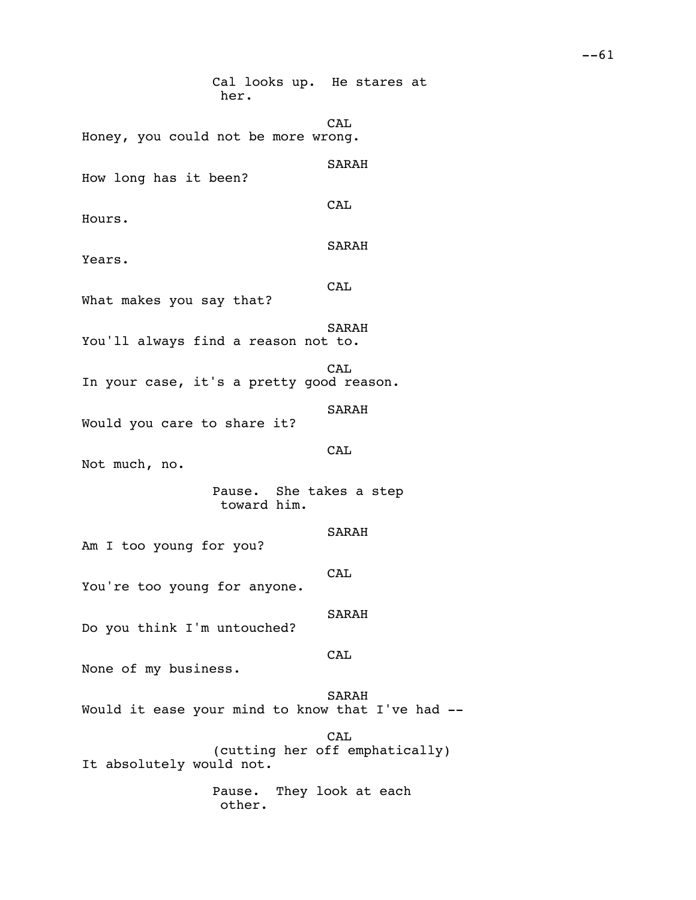Cal looks up. He stares at her. CAL Honey, you could not be more wrong. SARAH How long has it been? CAL Hours. SARAH Years. CAL What makes you say that? SARAH You'll always find a reason not to. **CAL** In your case, it's a pretty good reason. SARAH Would you care to share it? **CAL** Not much, no. Pause. She takes a step toward him. SARAH Am I too young for you? CAL You're too young for anyone. SARAH Do you think I'm untouched? CAL None of my business. SARAH Would it ease your mind to know that I've had -- CAL (cutting her off emphatically) It absolutely would not. Pause. They look at each other.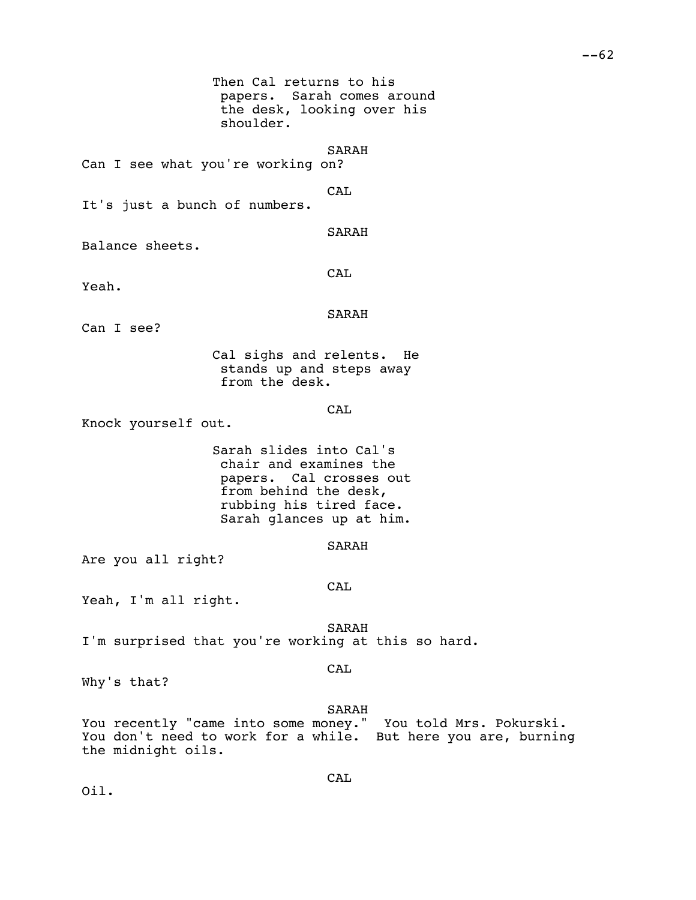papers. Sarah comes around the desk, looking over his shoulder. SARAH Can I see what you're working on? CAL It's just a bunch of numbers. SARAH Balance sheets. CAL SARAH Can I see? Cal sighs and relents. He stands up and steps away from the desk. CAL

Then Cal returns to his

Knock yourself out.

Yeah.

Sarah slides into Cal's chair and examines the papers. Cal crosses out from behind the desk, rubbing his tired face. Sarah glances up at him.

## SARAH

Are you all right?

#### CAL

Yeah, I'm all right.

SARAH I'm surprised that you're working at this so hard.

### CAL

Why's that?

### SARAH

You recently "came into some money." You told Mrs. Pokurski. You don't need to work for a while. But here you are, burning the midnight oils.

CAL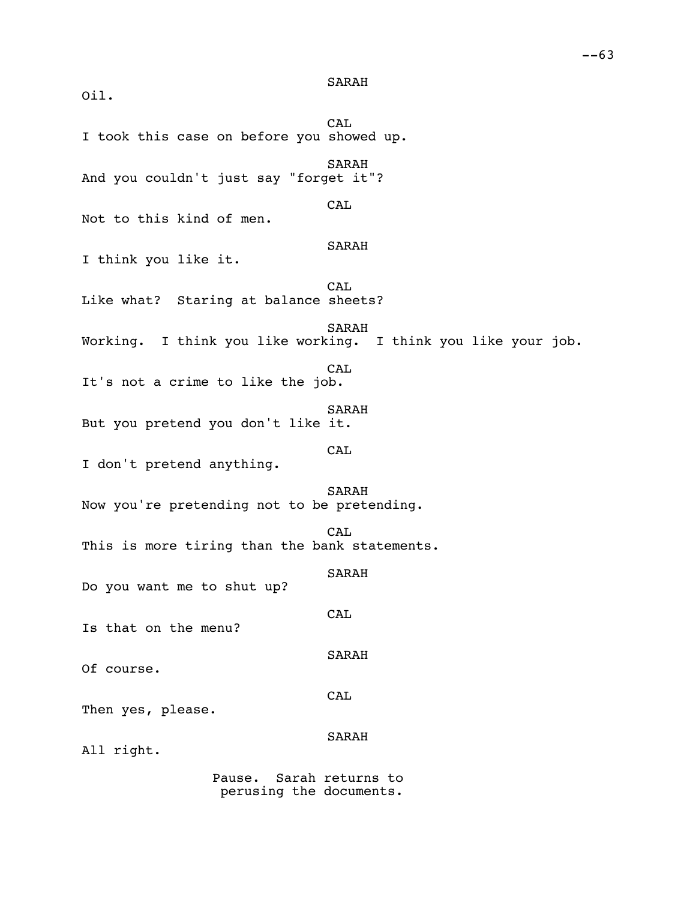Oil.

CAL I took this case on before you showed up. SARAH And you couldn't just say "forget it"? CAL Not to this kind of men. SARAH I think you like it. CAL Like what? Staring at balance sheets? SARAH Working. I think you like working. I think you like your job. CAL It's not a crime to like the job. SARAH But you pretend you don't like it. CAL I don't pretend anything. SARAH Now you're pretending not to be pretending. CAL This is more tiring than the bank statements. SARAH Do you want me to shut up? **CAL** Is that on the menu? SARAH Of course. CAL Then yes, please. SARAH All right. Pause. Sarah returns to perusing the documents.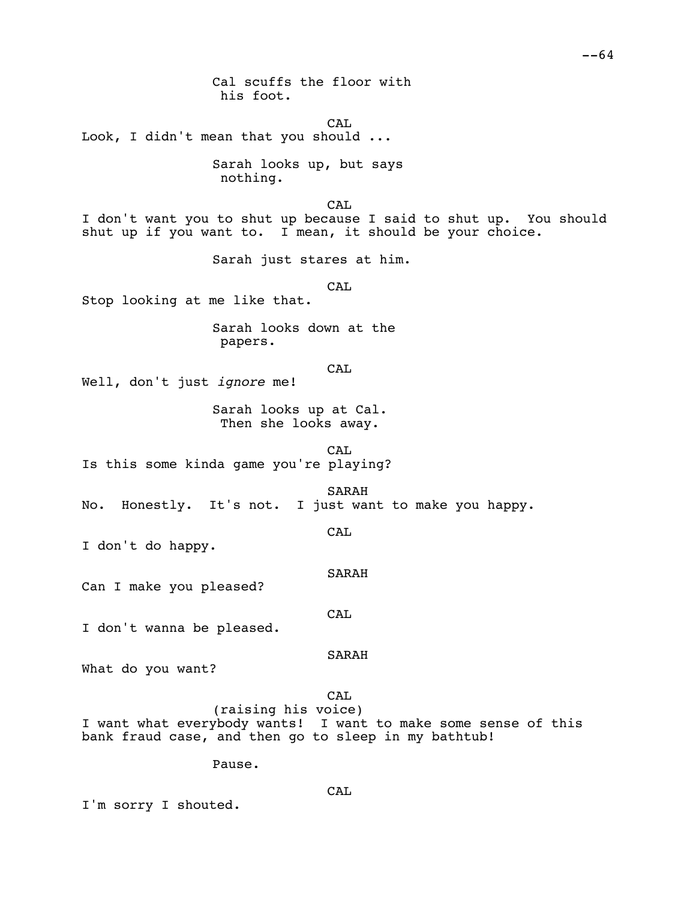Cal scuffs the floor with his foot.

CAL Look, I didn't mean that you should ...

> Sarah looks up, but says nothing.

> > CA<sub>L</sub>

I don't want you to shut up because I said to shut up. You should shut up if you want to. I mean, it should be your choice.

Sarah just stares at him.

CAL

Stop looking at me like that.

Sarah looks down at the papers.

**CAL** 

Well, don't just *ignore* me!

Sarah looks up at Cal. Then she looks away.

CAL Is this some kinda game you're playing?

SARAH No. Honestly. It's not. I just want to make you happy.

CAL

I don't do happy.

SARAH

Can I make you pleased?

CAL

I don't wanna be pleased.

SARAH

What do you want?

CAL

(raising his voice) I want what everybody wants! I want to make some sense of this bank fraud case, and then go to sleep in my bathtub!

Pause.

I'm sorry I shouted.

CAL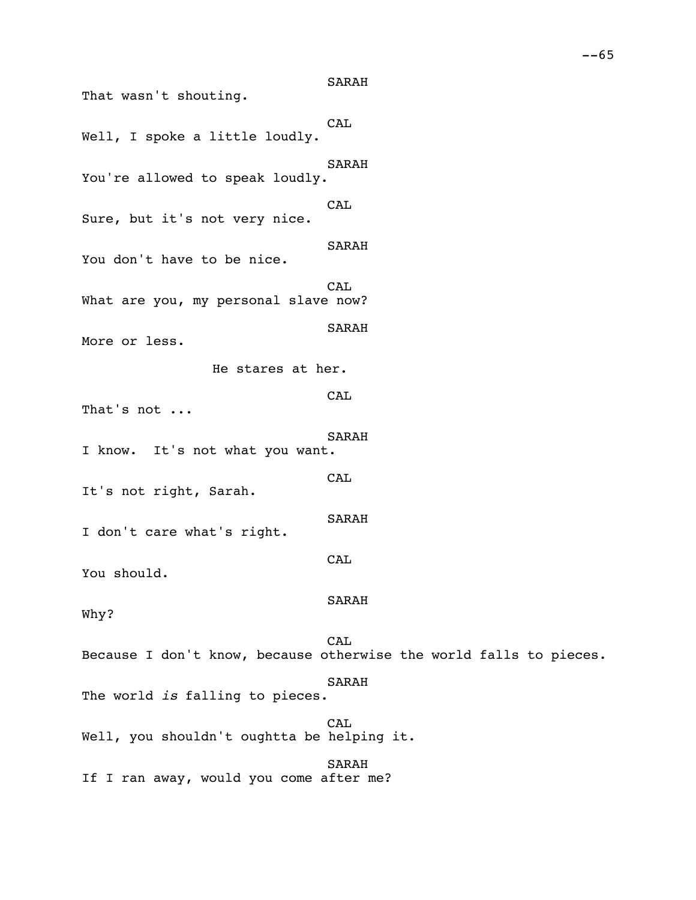SARAH That wasn't shouting. CAL Well, I spoke a little loudly. SARAH You're allowed to speak loudly. **CAL** Sure, but it's not very nice. SARAH You don't have to be nice. CAL What are you, my personal slave now? SARAH More or less. He stares at her. CAL That's not ... SARAH I know. It's not what you want. CAL It's not right, Sarah. SARAH I don't care what's right. **CAL** You should. SARAH Why? CAL Because I don't know, because otherwise the world falls to pieces. SARAH The world *is* falling to pieces. CAL Well, you shouldn't oughtta be helping it. SARAH

If I ran away, would you come after me?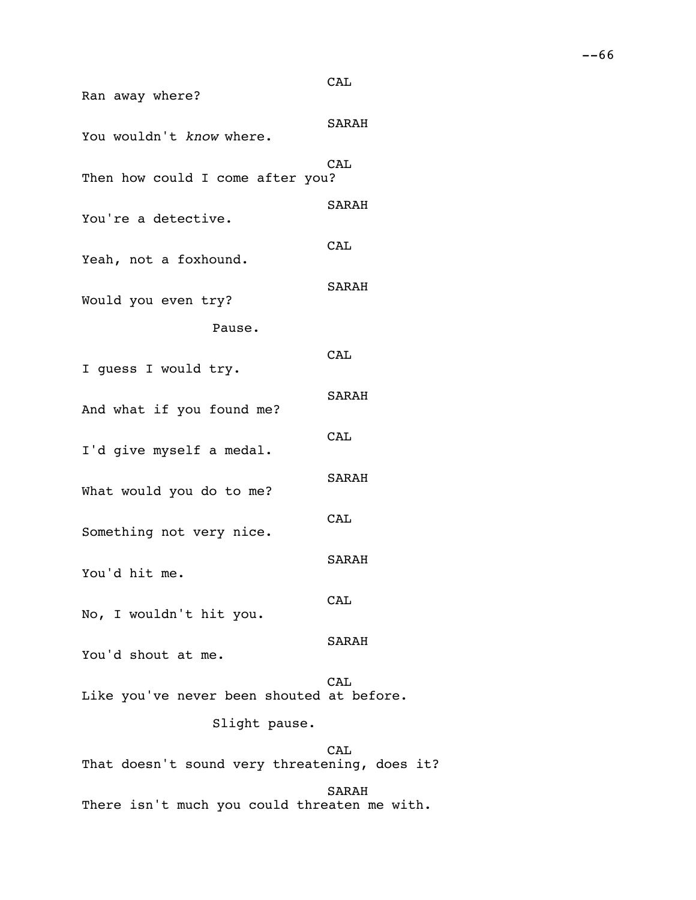| Ran away where?                               | CAL        |  |
|-----------------------------------------------|------------|--|
| You wouldn't know where.                      | SARAH      |  |
| Then how could I come after you?              | CAL        |  |
| You're a detective.                           | SARAH      |  |
| Yeah, not a foxhound.                         | CAL        |  |
| Would you even try?                           | SARAH      |  |
| Pause.                                        |            |  |
| I quess I would try.                          | CAL        |  |
| And what if you found me?                     | SARAH      |  |
| I'd give myself a medal.                      | CAL        |  |
| What would you do to me?                      | SARAH      |  |
| Something not very nice.                      | CAL        |  |
| You'd hit me.                                 | SARAH      |  |
| No, I wouldn't hit you.                       | CAL        |  |
| You'd shout at me.                            | SARAH      |  |
| Like you've never been shouted at before.     | <b>CAL</b> |  |
| Slight pause.                                 |            |  |
| That doesn't sound very threatening, does it? | CAL        |  |
|                                               | SARAH      |  |

There isn't much you could threaten me with.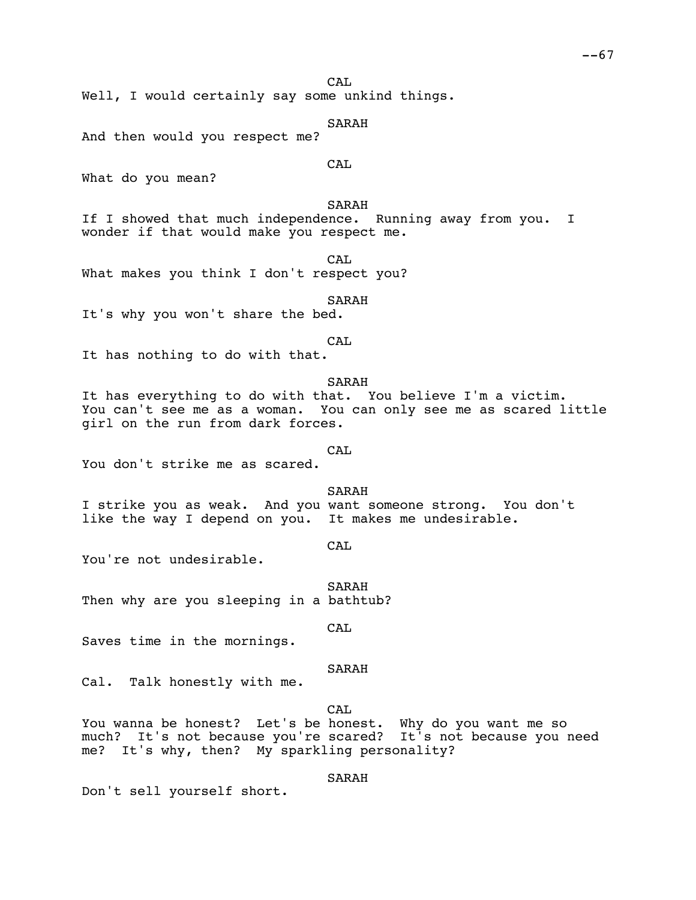CA<sub>L</sub>

Well, I would certainly say some unkind things.

SARAH

And then would you respect me?

What do you mean?

SARAH

CAL

If I showed that much independence. Running away from you. I wonder if that would make you respect me.

CA<sub>L</sub>

What makes you think I don't respect you?

SARAH

It's why you won't share the bed.

CAL

It has nothing to do with that.

SARAH

It has everything to do with that. You believe I'm a victim. You can't see me as a woman. You can only see me as scared little girl on the run from dark forces.

### CAL

You don't strike me as scared.

SARAH

I strike you as weak. And you want someone strong. You don't like the way I depend on you. It makes me undesirable.

CAL

You're not undesirable.

SARAH Then why are you sleeping in a bathtub?

CA<sub>L</sub>

Saves time in the mornings.

SARAH

Cal. Talk honestly with me.

CAL

You wanna be honest? Let's be honest. Why do you want me so much? It's not because you're scared? It's not because you need me? It's why, then? My sparkling personality?

SARAH

Don't sell yourself short.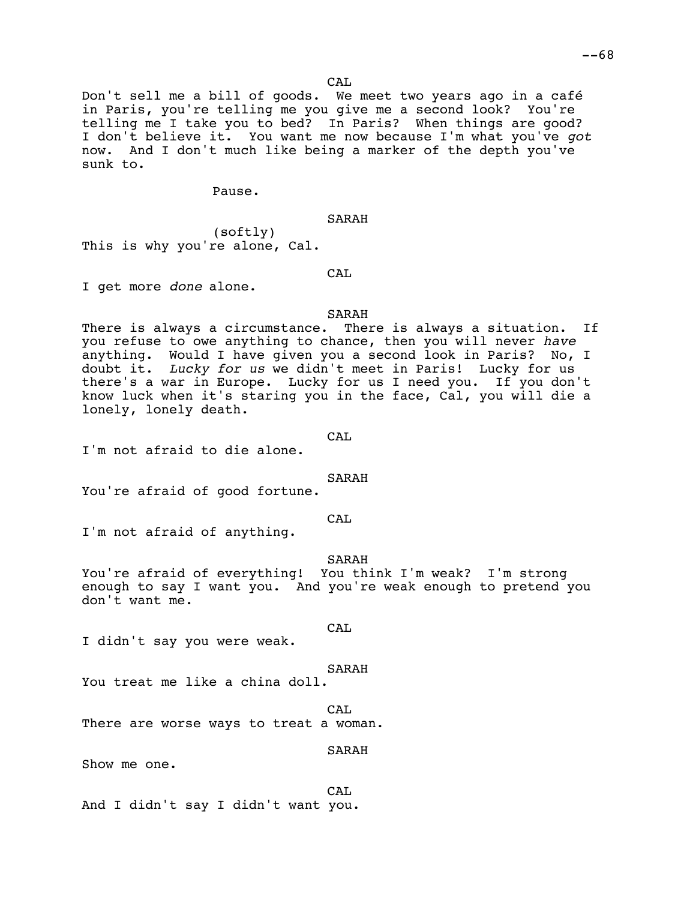CA<sub>L</sub>

Don't sell me a bill of goods. We meet two years ago in a café in Paris, you're telling me you give me a second look? You're telling me I take you to bed? In Paris? When things are good? I don't believe it. You want me now because I'm what you've *got* now. And I don't much like being a marker of the depth you've sunk to.

Pause.

SARAH

(softly) This is why you're alone, Cal.

CAL

I get more *done* alone.

#### SARAH

There is always a circumstance. There is always a situation. If you refuse to owe anything to chance, then you will never *have*<br>anything. Would I have given you a second look in Paris? No, I anything. Would I have given you a second look in Paris? doubt it. *Lucky for us* we didn't meet in Paris! Lucky for us there's a war in Europe. Lucky for us I need you. If you don't know luck when it's staring you in the face, Cal, you will die a lonely, lonely death.

#### CAL

I'm not afraid to die alone.

#### SARAH

You're afraid of good fortune.

CAL

I'm not afraid of anything.

SARAH

You're afraid of everything! You think I'm weak? I'm strong enough to say I want you. And you're weak enough to pretend you don't want me.

#### CA<sub>L</sub>

I didn't say you were weak.

#### SARAH

You treat me like a china doll.

# CA<sub>L</sub>

There are worse ways to treat a woman.

SARAH

Show me one.

CAL And I didn't say I didn't want you.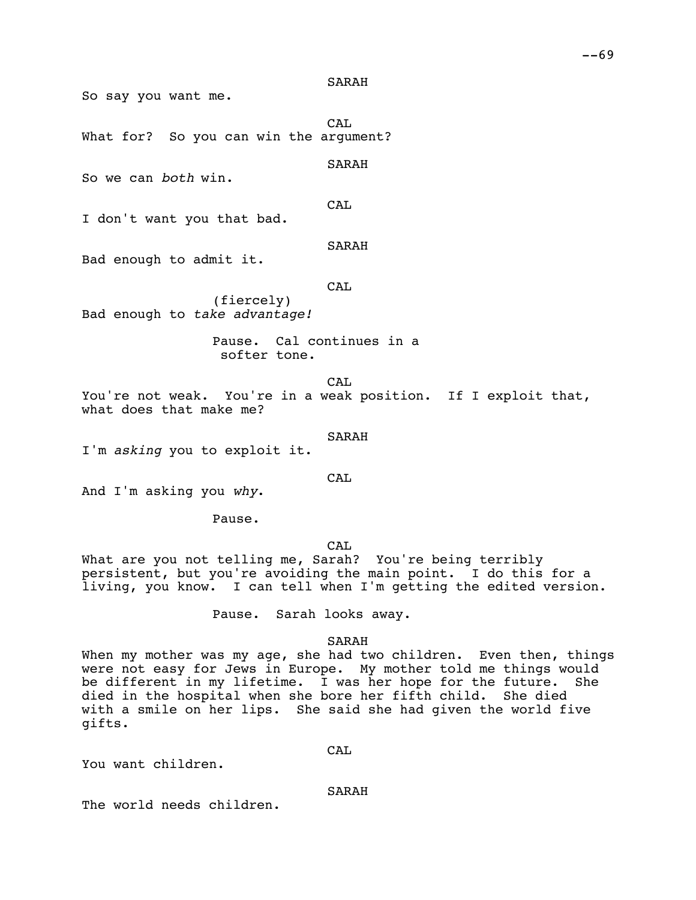So say you want me.

CAL What for? So you can win the argument?

SARAH

So we can *both* win.

CAL

I don't want you that bad.

SARAH

Bad enough to admit it.

CAL

(fiercely) Bad enough to *take advantage!*

> Pause. Cal continues in a softer tone.

CAL You're not weak. You're in a weak position. If I exploit that, what does that make me?

SARAH

I'm *asking* you to exploit it.

CA<sub>L</sub>

And I'm asking you *why*.

Pause.

CAL

What are you not telling me, Sarah? You're being terribly persistent, but you're avoiding the main point. I do this for a living, you know. I can tell when I'm getting the edited version.

Pause. Sarah looks away.

SARAH

When my mother was my age, she had two children. Even then, things were not easy for Jews in Europe. My mother told me things would<br>be different in my lifetime. I was her hope for the future. She be different in my lifetime. I was her hope for the future. died in the hospital when she bore her fifth child. She died with a smile on her lips. She said she had given the world five gifts.

You want children.

SARAH

CAL

The world needs children.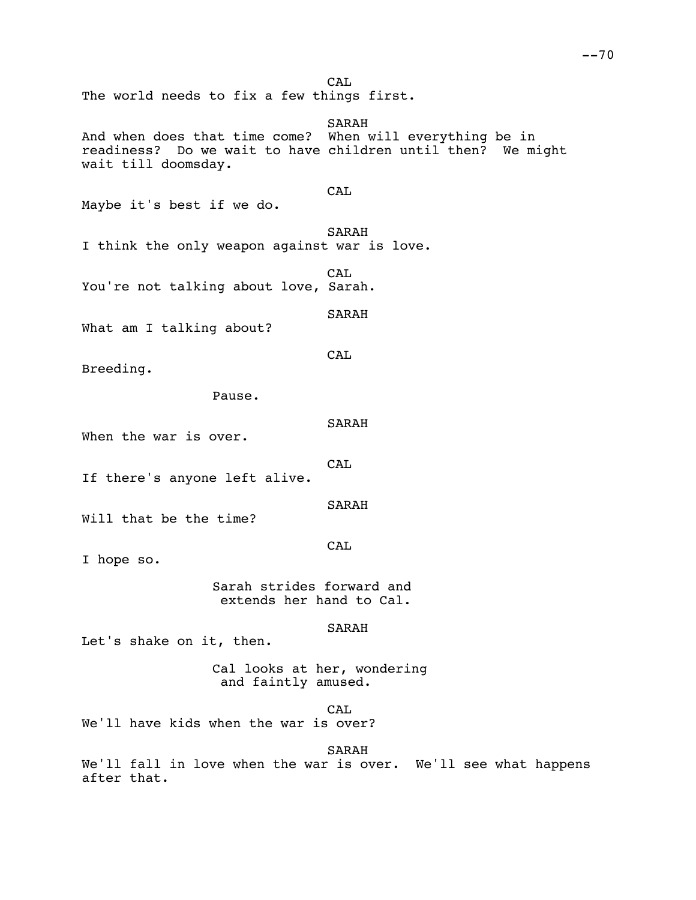CA<sub>L</sub> The world needs to fix a few things first.

SARAH And when does that time come? When will everything be in readiness? Do we wait to have children until then? We might wait till doomsday. CAL Maybe it's best if we do. SARAH I think the only weapon against war is love. CAL You're not talking about love, Sarah. SARAH What am I talking about? CAL Breeding. Pause. SARAH When the war is over. **CAL** If there's anyone left alive. SARAH Will that be the time? **CAL** I hope so. Sarah strides forward and extends her hand to Cal.

SARAH

Let's shake on it, then.

Cal looks at her, wondering and faintly amused.

CA<sub>L</sub>

We'll have kids when the war is over?

SARAH

We'll fall in love when the war is over. We'll see what happens after that.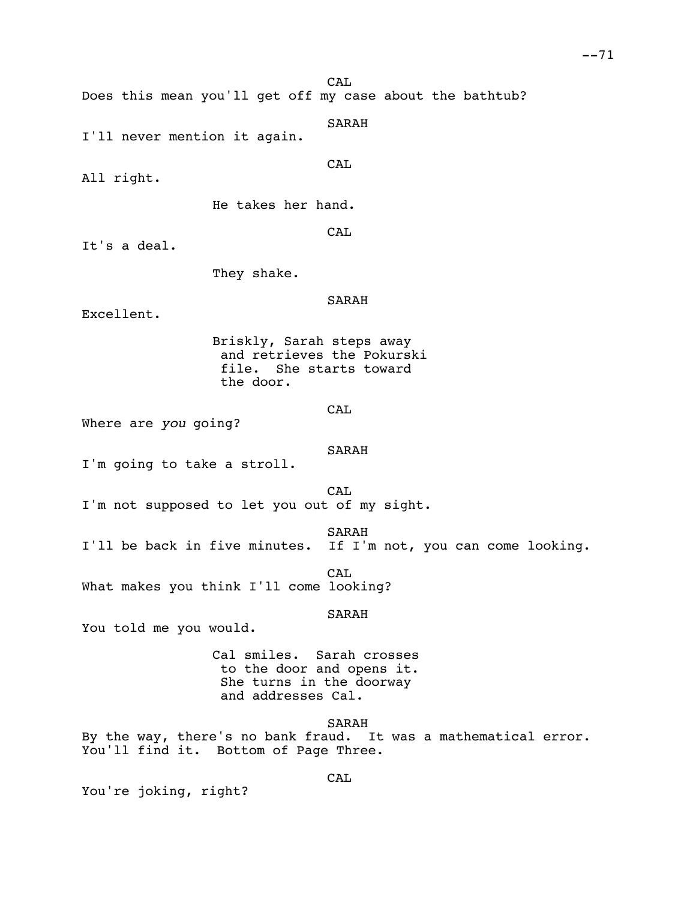CA<sub>L</sub>

Does this mean you'll get off my case about the bathtub?

SARAH

I'll never mention it again.

All right.

He takes her hand.

**CAL** 

**CAL** 

It's a deal.

They shake.

SARAH

Excellent.

Briskly, Sarah steps away and retrieves the Pokurski file. She starts toward the door.

CAL

Where are *you* going?

SARAH

I'm going to take a stroll.

CAL

I'm not supposed to let you out of my sight.

SARAH

I'll be back in five minutes. If I'm not, you can come looking.

CAL What makes you think I'll come looking?

SARAH

You told me you would.

Cal smiles. Sarah crosses to the door and opens it. She turns in the doorway and addresses Cal.

SARAH

By the way, there's no bank fraud. It was a mathematical error. You'll find it. Bottom of Page Three.

CA<sub>L</sub>

You're joking, right?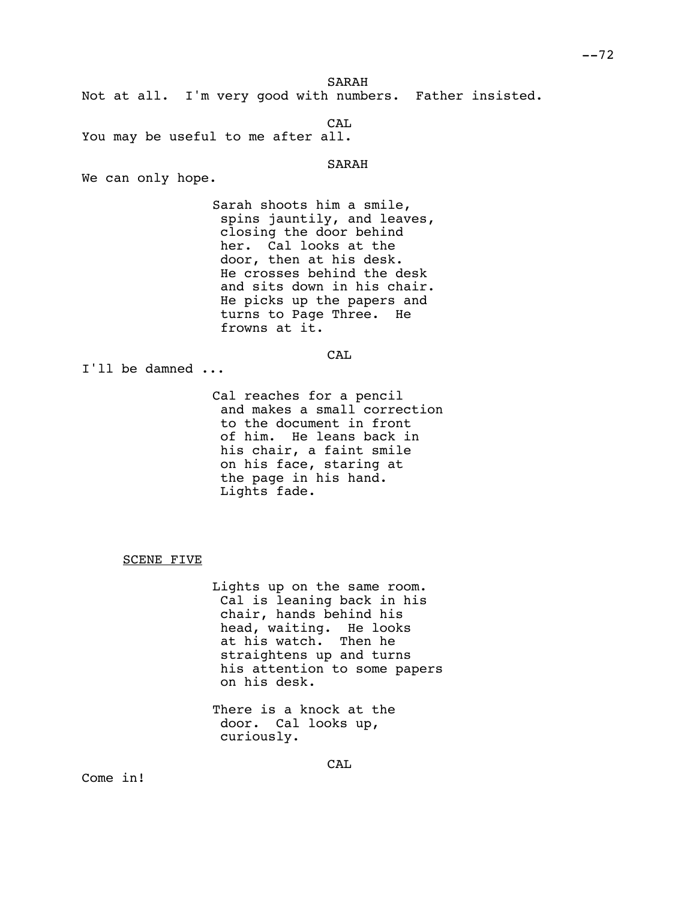SARAH

Not at all. I'm very good with numbers. Father insisted.

CAL

You may be useful to me after all.

SARAH

We can only hope.

Sarah shoots him a smile, spins jauntily, and leaves, closing the door behind her. Cal looks at the door, then at his desk. He crosses behind the desk and sits down in his chair. He picks up the papers and turns to Page Three. He frowns at it.

CA<sub>L</sub>

I'll be damned ...

Cal reaches for a pencil and makes a small correction to the document in front of him. He leans back in his chair, a faint smile on his face, staring at the page in his hand. Lights fade.

SCENE FIVE

Lights up on the same room. Cal is leaning back in his chair, hands behind his head, waiting. He looks at his watch. Then he straightens up and turns his attention to some papers on his desk.

There is a knock at the door. Cal looks up, curiously.

Come in!

**CAL**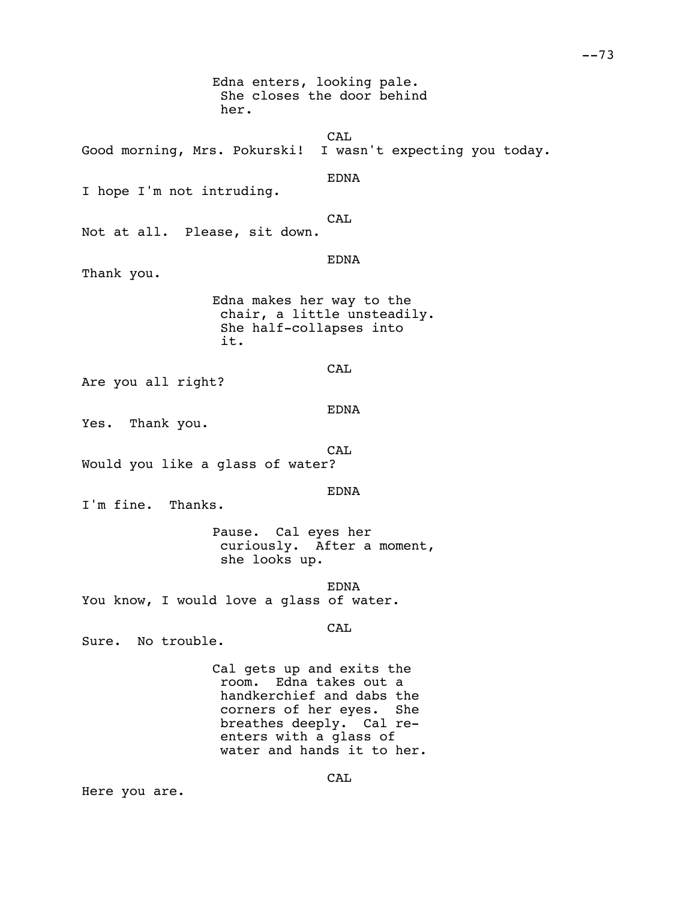Edna enters, looking pale. She closes the door behind her. CAL Good morning, Mrs. Pokurski! I wasn't expecting you today. EDNA I hope I'm not intruding. CAL Not at all. Please, sit down. EDNA Thank you. Edna makes her way to the chair, a little unsteadily. She half-collapses into it. **CAL** Are you all right? EDNA Yes. Thank you. CAL Would you like a glass of water? EDNA I'm fine. Thanks. Pause. Cal eyes her curiously. After a moment, she looks up. EDNA You know, I would love a glass of water. CA<sub>L</sub> Sure. No trouble. Cal gets up and exits the room. Edna takes out a handkerchief and dabs the corners of her eyes. She breathes deeply. Cal reenters with a glass of water and hands it to her. CA<sub>L</sub> Here you are.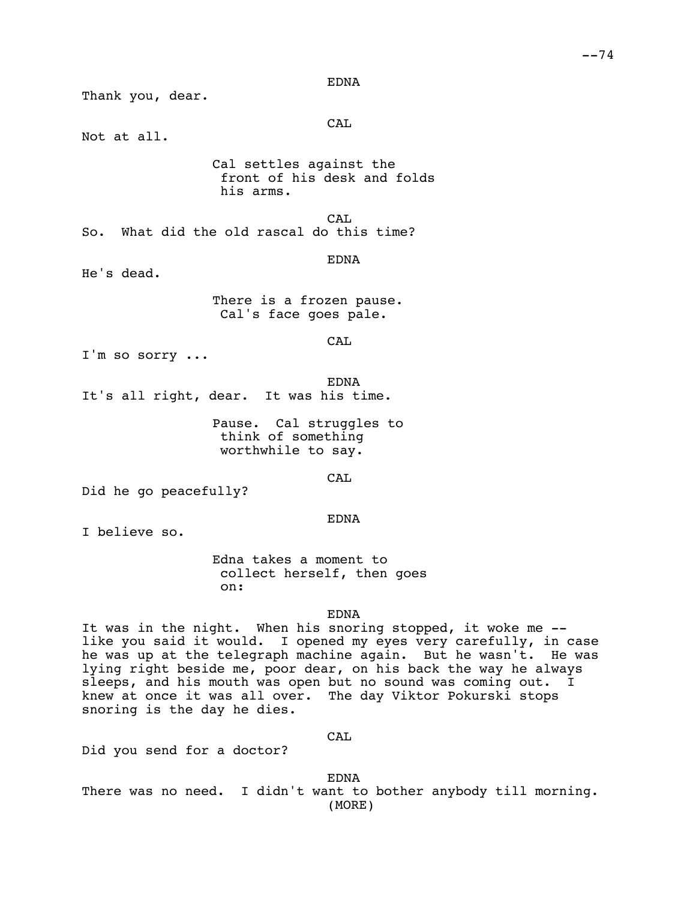EDNA

Thank you, dear. CAL Not at all. Cal settles against the front of his desk and folds his arms. CAL So. What did the old rascal do this time? EDNA He's dead. There is a frozen pause. Cal's face goes pale. CAL I'm so sorry ... EDNA It's all right, dear. It was his time. Pause. Cal struggles to think of something worthwhile to say. CA<sub>L</sub> Did he go peacefully? EDNA I believe so. Edna takes a moment to collect herself, then goes on: EDNA It was in the night. When his snoring stopped, it woke me - like you said it would. I opened my eyes very carefully, in case he was up at the telegraph machine again. But he wasn't. He was lying right beside me, poor dear, on his back the way he always sleeps, and his mouth was open but no sound was coming out. I

CAL

knew at once it was all over. The day Viktor Pokurski stops

Did you send for a doctor?

snoring is the day he dies.

EDNA

There was no need. I didn't want to bother anybody till morning. (MORE)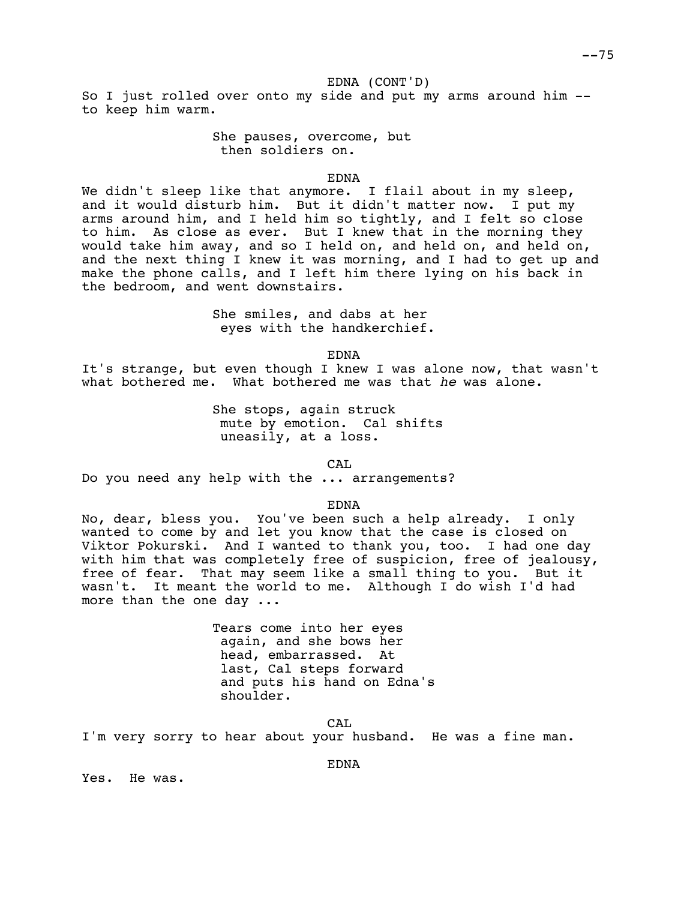EDNA (CONT'D)

So I just rolled over onto my side and put my arms around him - to keep him warm.

> She pauses, overcome, but then soldiers on.

> > EDNA

We didn't sleep like that anymore. I flail about in my sleep, and it would disturb him. But it didn't matter now. I put my arms around him, and I held him so tightly, and I felt so close to him. As close as ever. But I knew that in the morning they would take him away, and so I held on, and held on, and held on, and the next thing I knew it was morning, and I had to get up and make the phone calls, and I left him there lying on his back in the bedroom, and went downstairs.

> She smiles, and dabs at her eyes with the handkerchief.

> > EDNA

It's strange, but even though I knew I was alone now, that wasn't what bothered me. What bothered me was that *he* was alone.

> She stops, again struck mute by emotion. Cal shifts uneasily, at a loss.

> > CAL

Do you need any help with the ... arrangements?

EDNA

No, dear, bless you. You've been such a help already. I only wanted to come by and let you know that the case is closed on Viktor Pokurski. And I wanted to thank you, too. I had one day with him that was completely free of suspicion, free of jealousy, free of fear. That may seem like a small thing to you. But it wasn't. It meant the world to me. Although I do wish I'd had more than the one day ...

> Tears come into her eyes again, and she bows her head, embarrassed. At last, Cal steps forward and puts his hand on Edna's shoulder.

> > CA<sub>L</sub>

I'm very sorry to hear about your husband. He was a fine man.

EDNA

Yes. He was.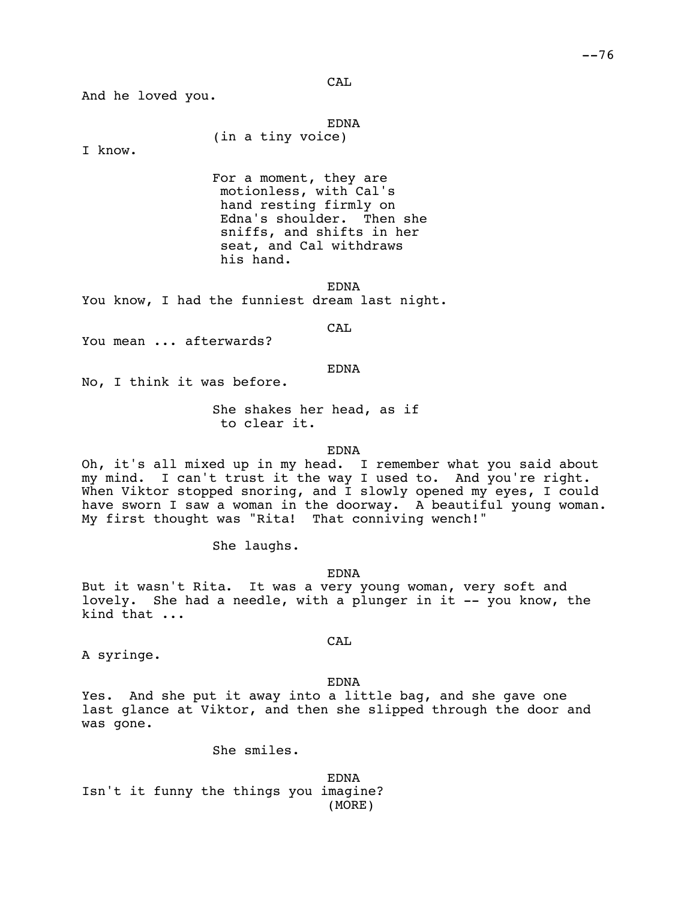CAL

And he loved you.

EDNA

I know.

For a moment, they are motionless, with Cal's hand resting firmly on Edna's shoulder. Then she sniffs, and shifts in her seat, and Cal withdraws his hand.

EDNA

You know, I had the funniest dream last night.

(in a tiny voice)

CAL

You mean ... afterwards?

#### EDNA

No, I think it was before.

She shakes her head, as if to clear it.

EDNA

Oh, it's all mixed up in my head. I remember what you said about my mind. I can't trust it the way I used to. And you're right. When Viktor stopped snoring, and  $\overline{I}$  slowly opened my eyes, I could have sworn I saw a woman in the doorway. A beautiful young woman. My first thought was "Rita! That conniving wench!"

She laughs.

EDNA

But it wasn't Rita. It was a very young woman, very soft and lovely. She had a needle, with a plunger in it -- you know, the kind that ...

A syringe.

CAL

EDNA

Yes. And she put it away into a little bag, and she gave one last glance at Viktor, and then she slipped through the door and was gone.

She smiles.

EDNA Isn't it funny the things you imagine? (MORE)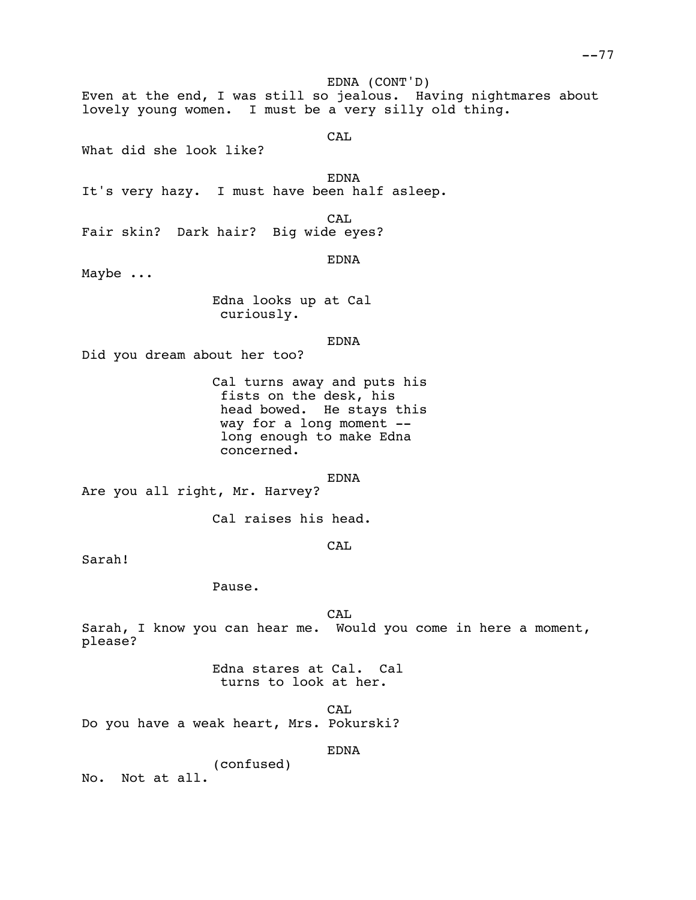EDNA (CONT'D) Even at the end, I was still so jealous. Having nightmares about lovely young women. I must be a very silly old thing. CAL What did she look like?

EDNA

It's very hazy. I must have been half asleep.

CAL

Fair skin? Dark hair? Big wide eyes?

EDNA

Maybe ...

Edna looks up at Cal curiously.

EDNA

Did you dream about her too?

Cal turns away and puts his fists on the desk, his head bowed. He stays this way for a long moment - long enough to make Edna concerned.

EDNA

Are you all right, Mr. Harvey?

Cal raises his head.

**CAL** 

Sarah!

Pause.

**CAL** Sarah, I know you can hear me. Would you come in here a moment, please?

> Edna stares at Cal. Cal turns to look at her.

CA<sub>L</sub> Do you have a weak heart, Mrs. Pokurski?

EDNA

(confused) No. Not at all.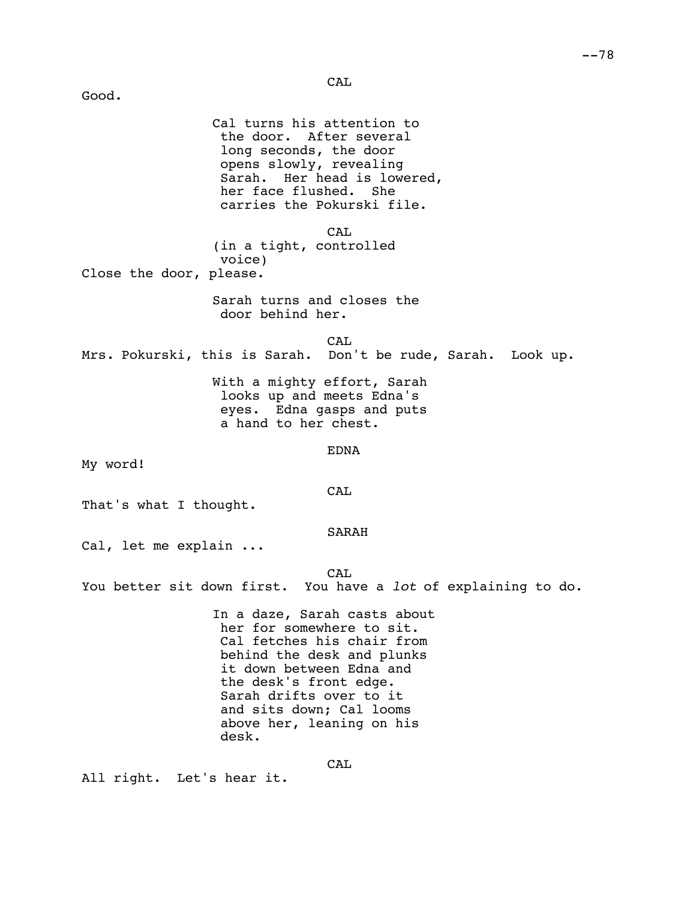CAL

Good. Cal turns his attention to the door. After several long seconds, the door opens slowly, revealing Sarah. Her head is lowered, her face flushed. She carries the Pokurski file. CAL (in a tight, controlled voice) Close the door, please. Sarah turns and closes the door behind her. CAL Mrs. Pokurski, this is Sarah. Don't be rude, Sarah. Look up. With a mighty effort, Sarah looks up and meets Edna's eyes. Edna gasps and puts a hand to her chest. EDNA My word! CAL That's what I thought. SARAH Cal, let me explain ... CAL You better sit down first. You have a *lot* of explaining to do. In a daze, Sarah casts about her for somewhere to sit. Cal fetches his chair from behind the desk and plunks it down between Edna and the desk's front edge. Sarah drifts over to it and sits down; Cal looms above her, leaning on his desk. CAL

All right. Let's hear it.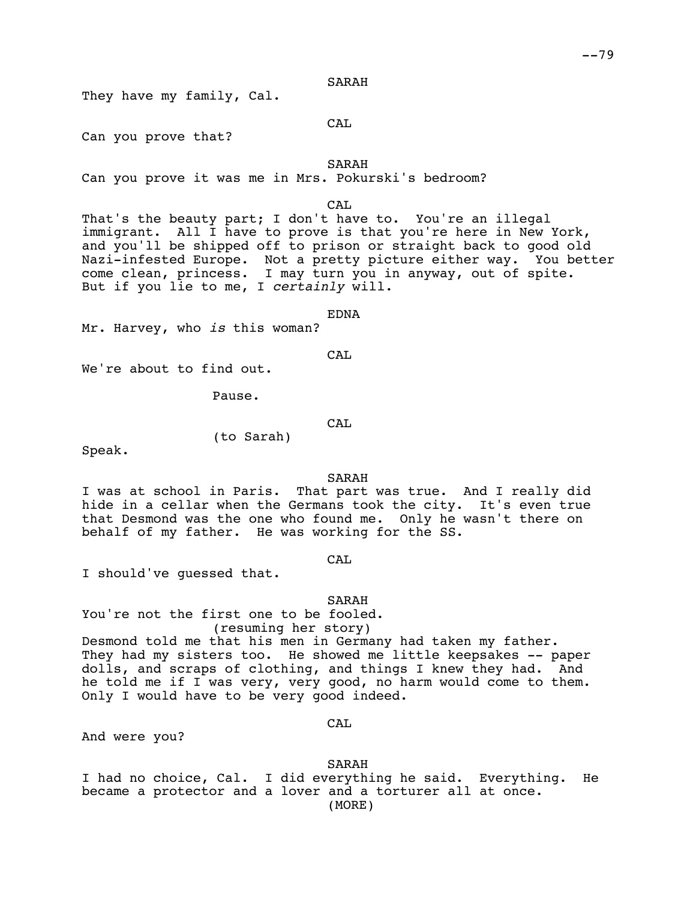#### SARAH

They have my family, Cal.

CAL

Can you prove that?

SARAH

Can you prove it was me in Mrs. Pokurski's bedroom?

CA<sub>L</sub>

That's the beauty part; I don't have to. You're an illegal immigrant. All I have to prove is that you're here in New York, and you'll be shipped off to prison or straight back to good old Nazi-infested Europe. Not a pretty picture either way. You better come clean, princess. I may turn you in anyway, out of spite. But if you lie to me, I *certainly* will.

EDNA

Mr. Harvey, who *is* this woman?

CAL

We're about to find out.

Pause.

(to Sarah)

CAL

Speak.

SARAH

I was at school in Paris. That part was true. And I really did hide in a cellar when the Germans took the city. It's even true that Desmond was the one who found me. Only he wasn't there on behalf of my father. He was working for the SS.

CAL

I should've guessed that.

SARAH

You're not the first one to be fooled. (resuming her story) Desmond told me that his men in Germany had taken my father. They had my sisters too. He showed me little keepsakes -- paper dolls, and scraps of clothing, and things I knew they had. And he told me if I was very, very good, no harm would come to them. Only I would have to be very good indeed.

CAL

And were you?

SARAH

I had no choice, Cal. I did everything he said. Everything. He became a protector and a lover and a torturer all at once. (MORE)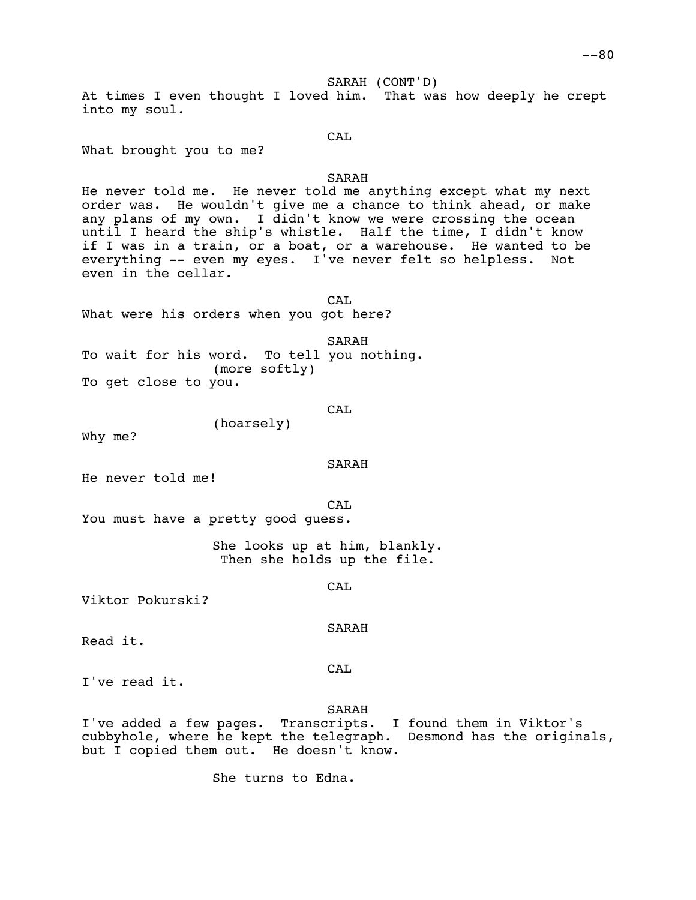SARAH (CONT'D)

At times I even thought I loved him. That was how deeply he crept into my soul.

CAL

What brought you to me?

## SARAH

He never told me. He never told me anything except what my next order was. He wouldn't give me a chance to think ahead, or make any plans of my own. I didn't know we were crossing the ocean until I heard the ship's whistle. Half the time, I didn't know if I was in a train, or a boat, or a warehouse. He wanted to be everything -- even my eyes. I've never felt so helpless. Not even in the cellar.

CAL What were his orders when you got here?

SARAH To wait for his word. To tell you nothing. (more softly) To get close to you.

```
CAL
```
(hoarsely)

Why me?

SARAH

He never told me!

CA<sub>L</sub>

You must have a pretty good guess.

She looks up at him, blankly. Then she holds up the file.

CAL

Viktor Pokurski?

SARAH

Read it.

CAL

I've read it.

SARAH

I've added a few pages. Transcripts. I found them in Viktor's cubbyhole, where he kept the telegraph. Desmond has the originals, but I copied them out. He doesn't know.

She turns to Edna.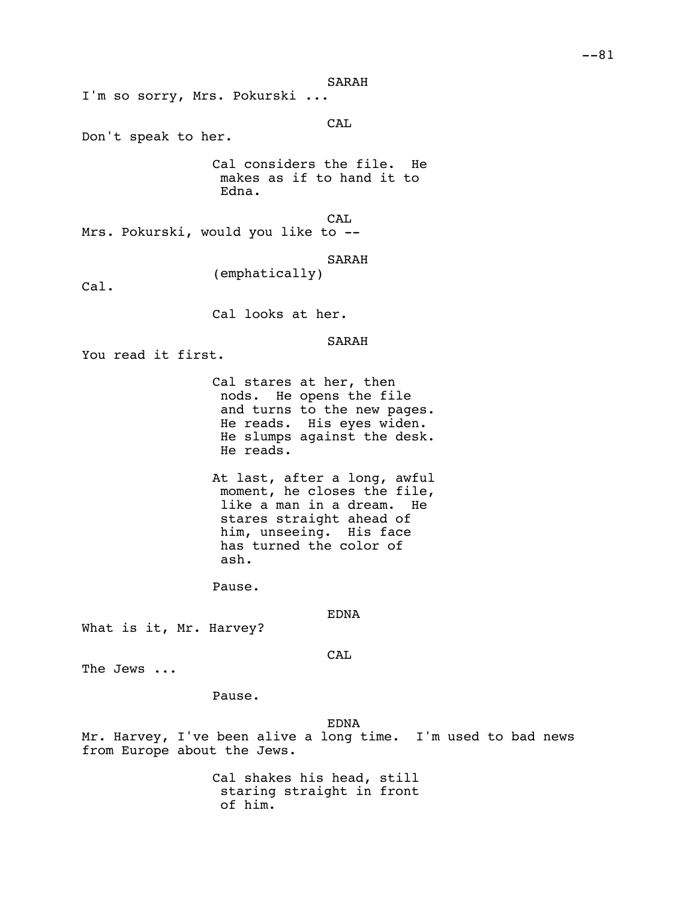SARAH

I'm so sorry, Mrs. Pokurski ...

CAL

Don't speak to her.

Cal considers the file. He makes as if to hand it to Edna.

CAL

Mrs. Pokurski, would you like to --

SARAH

Cal.

Cal looks at her.

(emphatically)

SARAH

You read it first.

Cal stares at her, then nods. He opens the file and turns to the new pages. He reads. His eyes widen. He slumps against the desk. He reads.

At last, after a long, awful moment, he closes the file, like a man in a dream. He stares straight ahead of him, unseeing. His face has turned the color of ash.

Pause.

EDNA

What is it, Mr. Harvey?

CAL

The Jews ...

Pause.

EDNA

Mr. Harvey, I've been alive a long time. I'm used to bad news from Europe about the Jews.

> Cal shakes his head, still staring straight in front of him.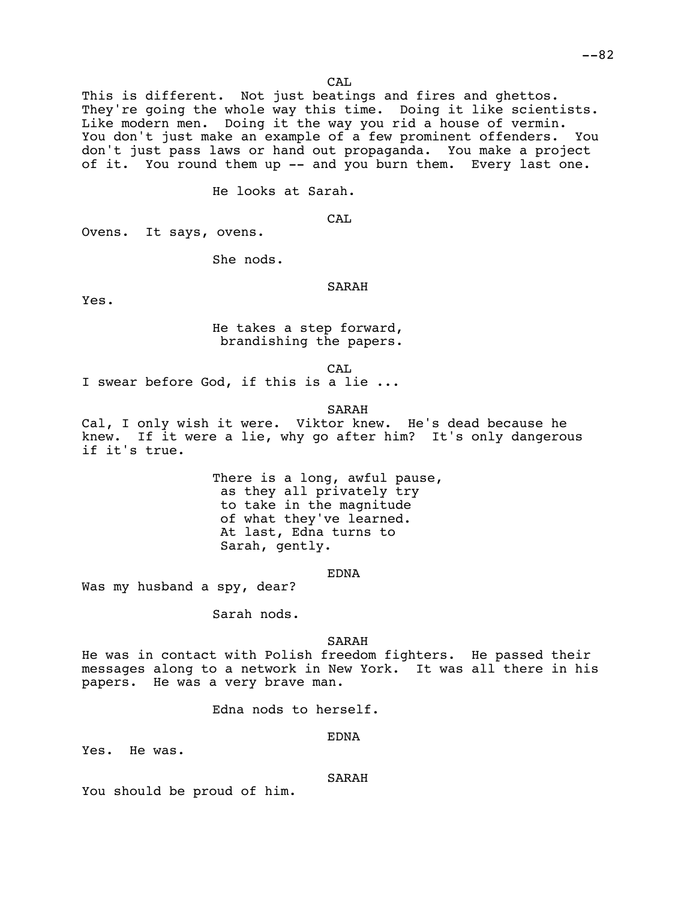$-82$ 

CA<sub>L</sub>

This is different. Not just beatings and fires and ghettos. They're going the whole way this time. Doing it like scientists. Like modern men. Doing it the way you rid a house of vermin. You don't just make an example of a few prominent offenders. You don't just pass laws or hand out propaganda. You make a project of it. You round them up -- and you burn them. Every last one.

He looks at Sarah.

CAL

Ovens. It says, ovens.

She nods.

# SARAH

Yes.

He takes a step forward, brandishing the papers.

CAL

I swear before God, if this is a lie ...

SARAH

Cal, I only wish it were. Viktor knew. He's dead because he knew. If it were a lie, why go after him? It's only dangerous if it's true.

> There is a long, awful pause, as they all privately try to take in the magnitude of what they've learned. At last, Edna turns to Sarah, gently.

> > EDNA

Was my husband a spy, dear?

Sarah nods.

## SARAH

He was in contact with Polish freedom fighters. He passed their messages along to a network in New York. It was all there in his papers. He was a very brave man.

Edna nods to herself.

# EDNA

Yes. He was.

### SARAH

You should be proud of him.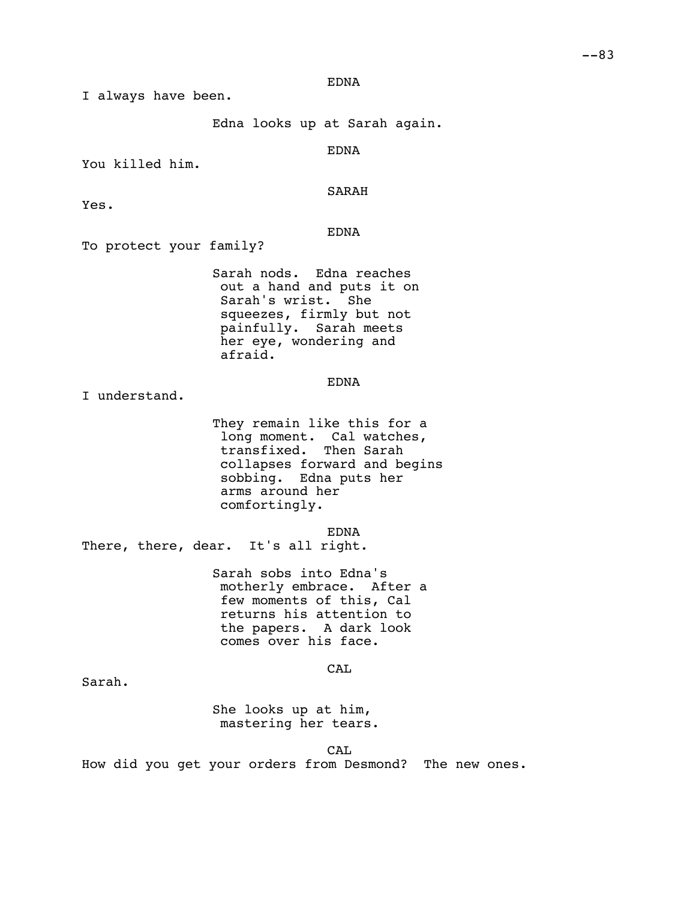#### EDNA

I always have been.

Edna looks up at Sarah again.

EDNA

You killed him.

## SARAH

Yes.

EDNA

To protect your family?

Sarah nods. Edna reaches out a hand and puts it on Sarah's wrist. She squeezes, firmly but not painfully. Sarah meets her eye, wondering and afraid.

EDNA

I understand.

They remain like this for a long moment. Cal watches, transfixed. Then Sarah collapses forward and begins sobbing. Edna puts her arms around her comfortingly.

EDNA

There, there, dear. It's all right.

Sarah sobs into Edna's motherly embrace. After a few moments of this, Cal returns his attention to the papers. A dark look comes over his face.

**CAL** 

Sarah.

She looks up at him, mastering her tears.

CAL

How did you get your orders from Desmond? The new ones.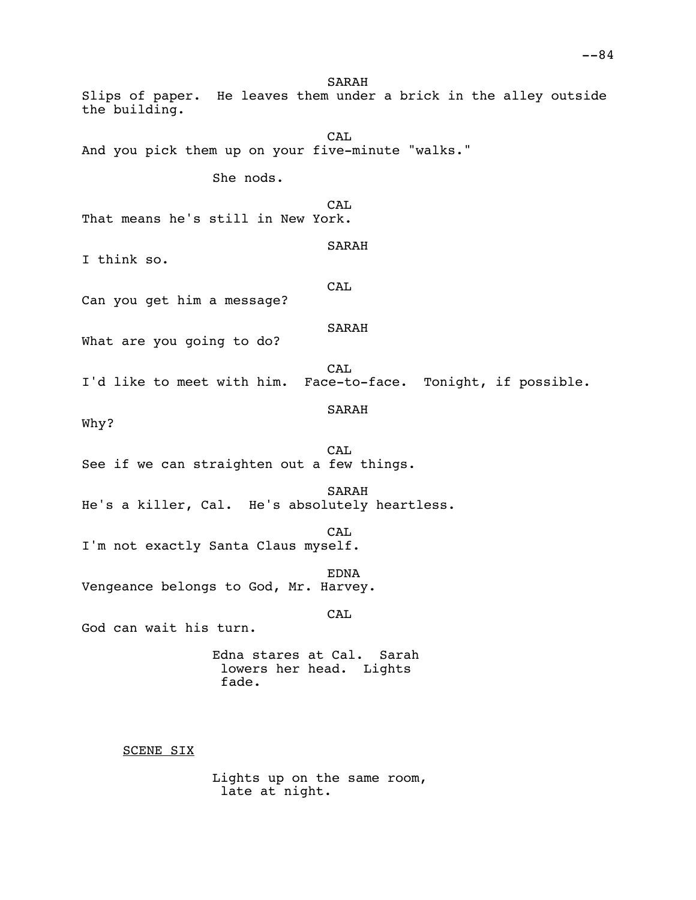SARAH Slips of paper. He leaves them under a brick in the alley outside the building. CA<sub>L</sub> And you pick them up on your five-minute "walks." She nods. CA<sub>L</sub> That means he's still in New York. SARAH I think so. CAL Can you get him a message? SARAH What are you going to do? **CAL** I'd like to meet with him. Face-to-face. Tonight, if possible. SARAH Why? CAL See if we can straighten out a few things. SARAH He's a killer, Cal. He's absolutely heartless. CAL I'm not exactly Santa Claus myself. EDNA Vengeance belongs to God, Mr. Harvey. CAL God can wait his turn. Edna stares at Cal. Sarah lowers her head. Lights fade. SCENE SIX

Lights up on the same room, late at night.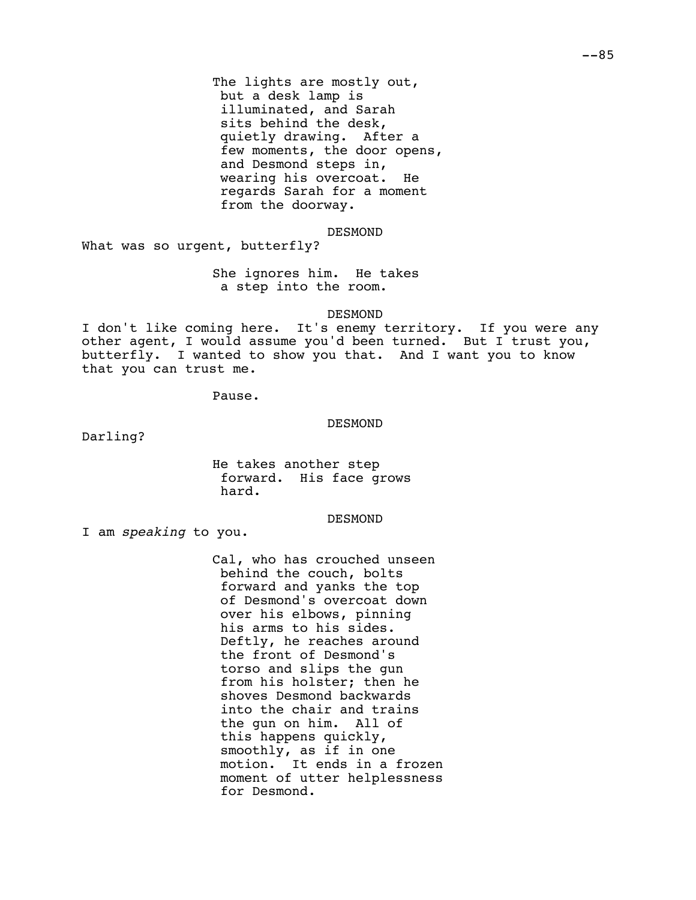The lights are mostly out, but a desk lamp is illuminated, and Sarah sits behind the desk, quietly drawing. After a few moments, the door opens, and Desmond steps in, wearing his overcoat. He regards Sarah for a moment from the doorway.

DESMOND

What was so urgent, butterfly?

She ignores him. He takes a step into the room.

DESMOND

I don't like coming here. It's enemy territory. If you were any other agent, I would assume you'd been turned. But I trust you,<br>butterfly. I wanted to show you that. And I want you to know I wanted to show you that. And I want you to know that you can trust me.

Pause.

DESMOND

Darling?

He takes another step forward. His face grows hard.

DESMOND

I am *speaking* to you.

Cal, who has crouched unseen behind the couch, bolts forward and yanks the top of Desmond's overcoat down over his elbows, pinning his arms to his sides. Deftly, he reaches around the front of Desmond's torso and slips the gun from his holster; then he shoves Desmond backwards into the chair and trains the gun on him. All of this happens quickly, smoothly, as if in one motion. It ends in a frozen moment of utter helplessness for Desmond.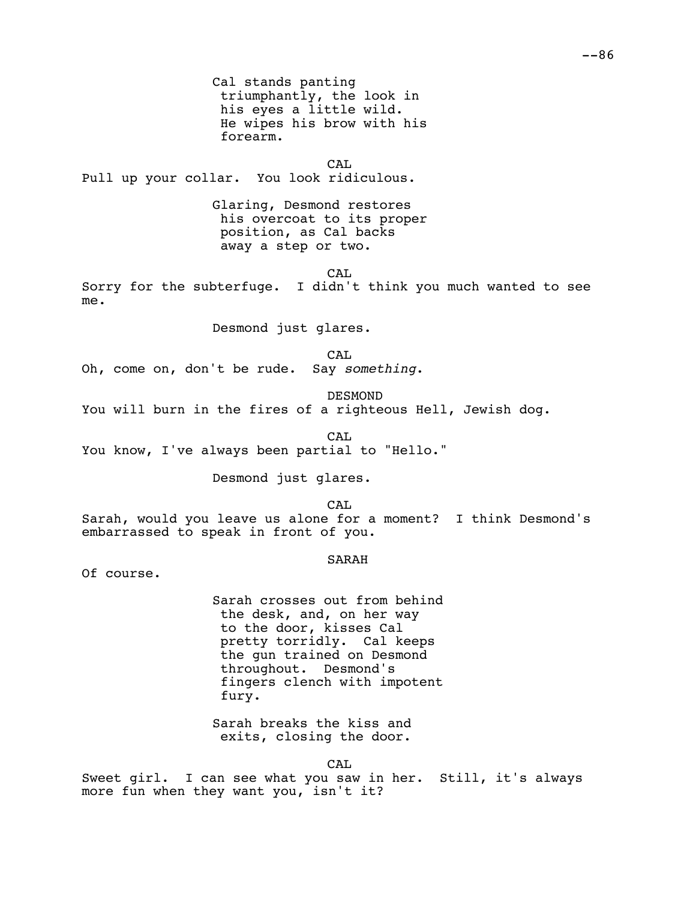Cal stands panting triumphantly, the look in his eyes a little wild. He wipes his brow with his forearm.

CAL Pull up your collar. You look ridiculous.

> Glaring, Desmond restores his overcoat to its proper position, as Cal backs away a step or two.

> > CA<sub>L</sub>

Sorry for the subterfuge. I didn't think you much wanted to see me.

Desmond just glares.

CAL

Oh, come on, don't be rude. Say *something*.

DESMOND

You will burn in the fires of a righteous Hell, Jewish dog.

CA<sub>L</sub> You know, I've always been partial to "Hello."

Desmond just glares.

CA<sub>L</sub>

Sarah, would you leave us alone for a moment? I think Desmond's embarrassed to speak in front of you.

## SARAH

Of course.

Sarah crosses out from behind the desk, and, on her way to the door, kisses Cal pretty torridly. Cal keeps the gun trained on Desmond throughout. Desmond's fingers clench with impotent fury.

Sarah breaks the kiss and exits, closing the door.

CAL

Sweet girl. I can see what you saw in her. Still, it's always more fun when they want you, isn't it?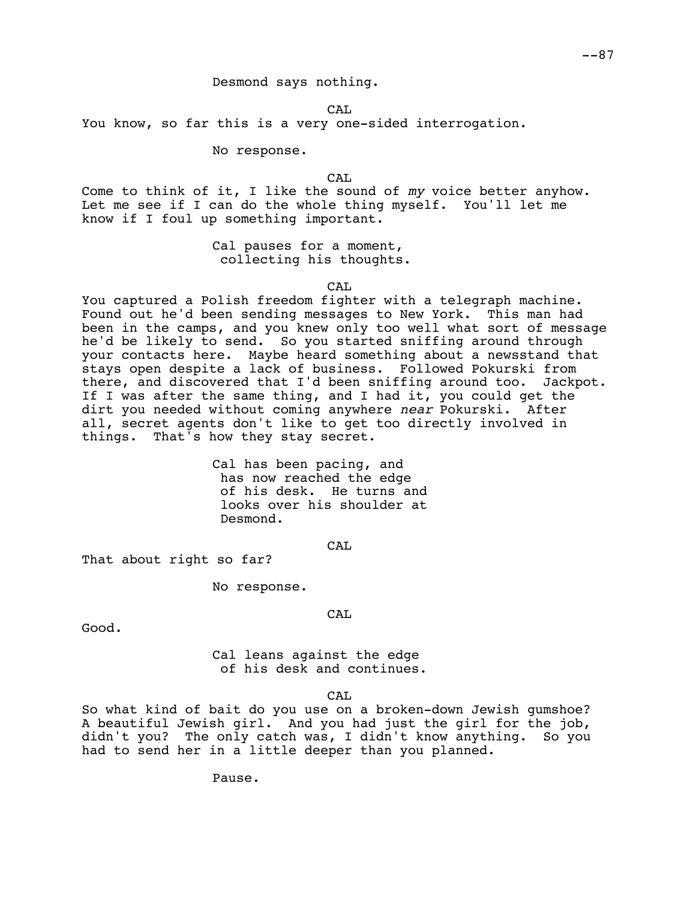Desmond says nothing.

CA<sub>L</sub>

You know, so far this is a very one-sided interrogation.

No response.

CA<sub>L</sub>

Come to think of it, I like the sound of *my* voice better anyhow. Let me see if I can do the whole thing myself. You'll let me know if I foul up something important.

> Cal pauses for a moment, collecting his thoughts.

> > CAL

You captured a Polish freedom fighter with a telegraph machine. Found out he'd been sending messages to New York. This man had been in the camps, and you knew only too well what sort of message he'd be likely to send. So you started sniffing around through your contacts here. Maybe heard something about a newsstand that stays open despite a lack of business. Followed Pokurski from there, and discovered that I'd been sniffing around too. Jackpot. If I was after the same thing, and I had it, you could get the dirt you needed without coming anywhere *near* Pokurski. After all, secret agents don't like to get too directly involved in things. That's how they stay secret.

> Cal has been pacing, and has now reached the edge of his desk. He turns and looks over his shoulder at Desmond.

> > CAL

CAL

That about right so far?

No response.

Good.

Cal leans against the edge of his desk and continues.

CAL

So what kind of bait do you use on a broken-down Jewish gumshoe? A beautiful Jewish girl. And you had just the girl for the job, didn't you? The only catch was, I didn't know anything. So you had to send her in a little deeper than you planned.

Pause.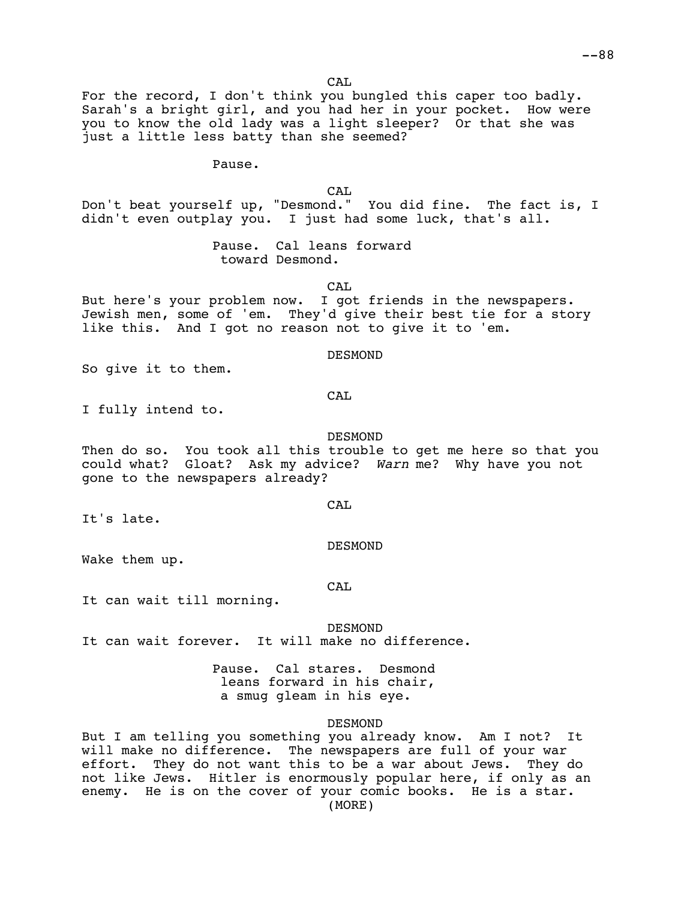CA<sub>L</sub>

For the record, I don't think you bungled this caper too badly. Sarah's a bright girl, and you had her in your pocket. How were you to know the old lady was a light sleeper? Or that she was just a little less batty than she seemed?

Pause.

CAL

Don't beat yourself up, "Desmond." You did fine. The fact is, I didn't even outplay you. I just had some luck, that's all.

> Pause. Cal leans forward toward Desmond.

> > CAL

But here's your problem now. I got friends in the newspapers. Jewish men, some of 'em. They'd give their best tie for a story like this. And I got no reason not to give it to 'em.

DESMOND

So give it to them.

CAL

I fully intend to.

#### DESMOND

Then do so. You took all this trouble to get me here so that you could what? Gloat? Ask my advice? *Warn* me? Why have you not gone to the newspapers already?

CAL

It's late.

DESMOND

Wake them up.

CAL

It can wait till morning.

**DESMOND** It can wait forever. It will make no difference.

> Pause. Cal stares. Desmond leans forward in his chair, a smug gleam in his eye.

### DESMOND

But I am telling you something you already know. Am I not? It will make no difference. The newspapers are full of your war effort. They do not want this to be a war about Jews. They do not like Jews. Hitler is enormously popular here, if only as an enemy. He is on the cover of your comic books. He is a star. (MORE)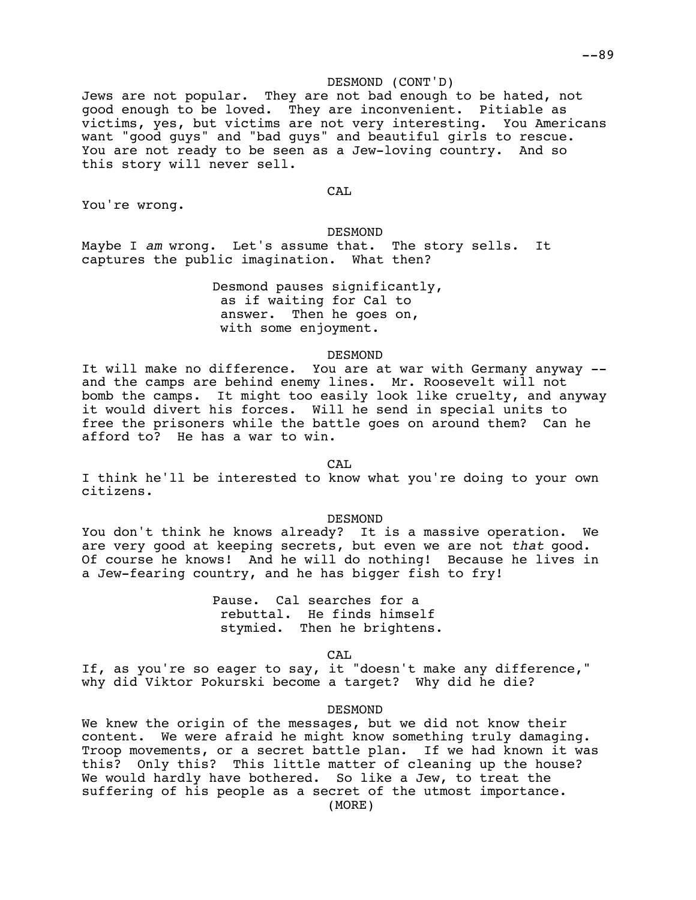## DESMOND (CONT'D)

Jews are not popular. They are not bad enough to be hated, not good enough to be loved. They are inconvenient. Pitiable as victims, yes, but victims are not very interesting. You Americans want "good guys" and "bad guys" and beautiful girls to rescue. You are not ready to be seen as a Jew-loving country. And so this story will never sell.

CAL

You're wrong.

DESMOND Maybe I *am* wrong. Let's assume that. The story sells. It captures the public imagination. What then?

> Desmond pauses significantly, as if waiting for Cal to answer. Then he goes on, with some enjoyment.

> > DESMOND

It will make no difference. You are at war with Germany anyway - and the camps are behind enemy lines. Mr. Roosevelt will not bomb the camps. It might too easily look like cruelty, and anyway it would divert his forces. Will he send in special units to free the prisoners while the battle goes on around them? Can he afford to? He has a war to win.

CAL

I think he'll be interested to know what you're doing to your own citizens.

DESMOND

You don't think he knows already? It is a massive operation. We are very good at keeping secrets, but even we are not *that* good. Of course he knows! And he will do nothing! Because he lives in a Jew-fearing country, and he has bigger fish to fry!

> Pause. Cal searches for a rebuttal. He finds himself stymied. Then he brightens.

> > CAL

If, as you're so eager to say, it "doesn't make any difference," why did Viktor Pokurski become a target? Why did he die?

DESMOND

We knew the origin of the messages, but we did not know their content. We were afraid he might know something truly damaging. Troop movements, or a secret battle plan. If we had known it was this? Only this? This little matter of cleaning up the house? We would hardly have bothered. So like a Jew, to treat the suffering of his people as a secret of the utmost importance. (MORE)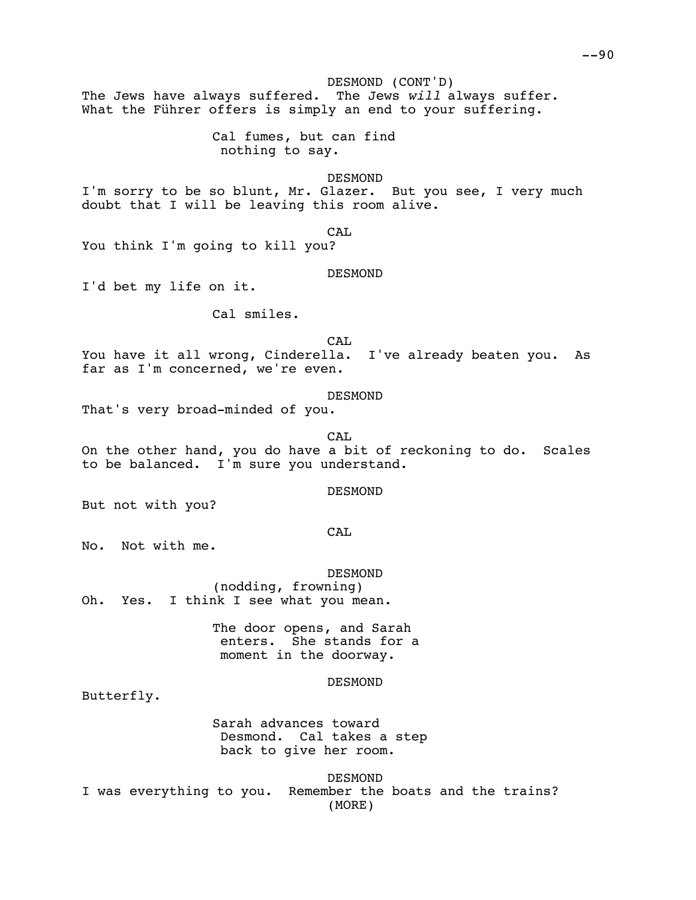DESMOND (CONT'D) The Jews have always suffered. The Jews *will* always suffer. What the Führer offers is simply an end to your suffering.

> Cal fumes, but can find nothing to say.

> > DESMOND

I'm sorry to be so blunt, Mr. Glazer. But you see, I very much doubt that I will be leaving this room alive.

CAL

You think I'm going to kill you?

DESMOND

I'd bet my life on it.

Cal smiles.

CAL

You have it all wrong, Cinderella. I've already beaten you. As far as I'm concerned, we're even.

DESMOND

That's very broad-minded of you.

CA<sub>L</sub>

On the other hand, you do have a bit of reckoning to do. Scales to be balanced. I'm sure you understand.

DESMOND

But not with you?

CAL

No. Not with me.

DESMOND (nodding, frowning) Oh. Yes. I think I see what you mean.

> The door opens, and Sarah enters. She stands for a moment in the doorway.

> > DESMOND

Butterfly.

Sarah advances toward Desmond. Cal takes a step back to give her room.

DESMOND I was everything to you. Remember the boats and the trains? (MORE)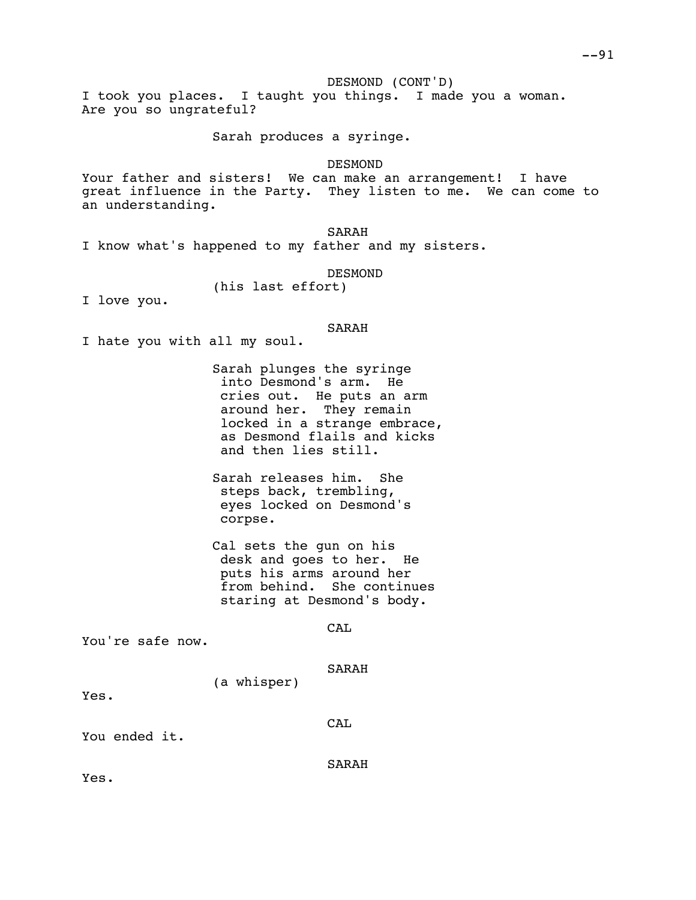DESMOND (CONT'D)

I took you places. I taught you things. I made you a woman. Are you so ungrateful?

Sarah produces a syringe.

DESMOND

Your father and sisters! We can make an arrangement! I have great influence in the Party. They listen to me. We can come to an understanding.

SARAH I know what's happened to my father and my sisters.

DESMOND

(his last effort)

I love you.

SARAH

I hate you with all my soul.

Sarah plunges the syringe into Desmond's arm. He cries out. He puts an arm around her. They remain locked in a strange embrace, as Desmond flails and kicks and then lies still.

Sarah releases him. She steps back, trembling, eyes locked on Desmond's corpse.

Cal sets the gun on his desk and goes to her. He puts his arms around her from behind. She continues staring at Desmond's body.

CA<sub>L</sub>

You're safe now.

SARAH

(a whisper)

Yes.

CAL

You ended it.

SARAH

Yes.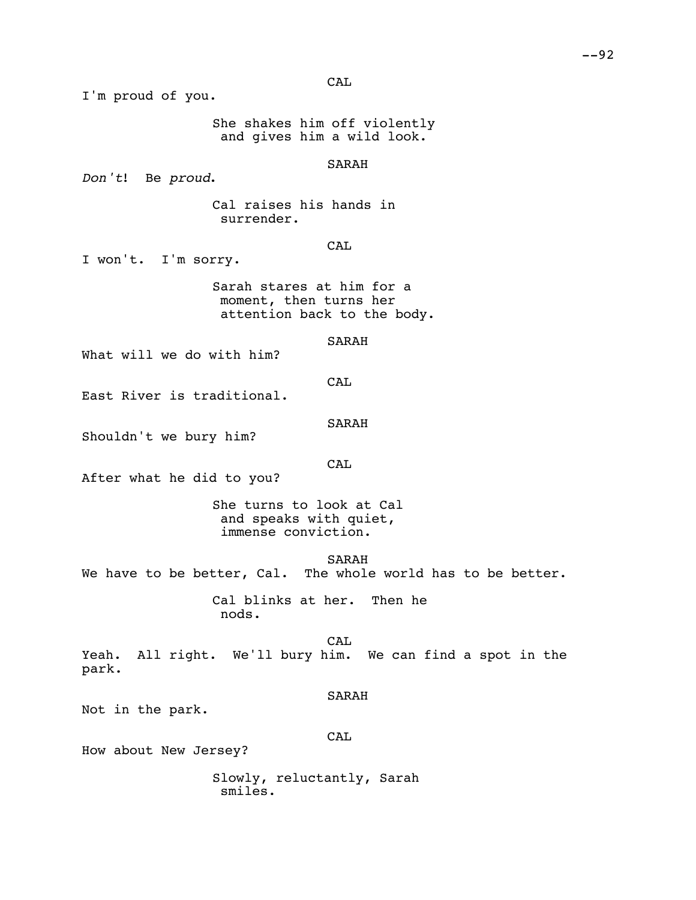CAL

I'm proud of you.

She shakes him off violently and gives him a wild look.

# SARAH

*Don't*! Be *proud*.

Cal raises his hands in surrender.

# **CAL**

I won't. I'm sorry.

Sarah stares at him for a moment, then turns her attention back to the body.

## SARAH

What will we do with him?

**CAL** 

East River is traditional.

#### SARAH

Shouldn't we bury him?

**CAL** 

After what he did to you?

She turns to look at Cal and speaks with quiet, immense conviction.

SARAH

We have to be better, Cal. The whole world has to be better.

Cal blinks at her. Then he nods.

CAL Yeah. All right. We'll bury him. We can find a spot in the park.

## SARAH

Not in the park.

## CAL

How about New Jersey?

Slowly, reluctantly, Sarah smiles.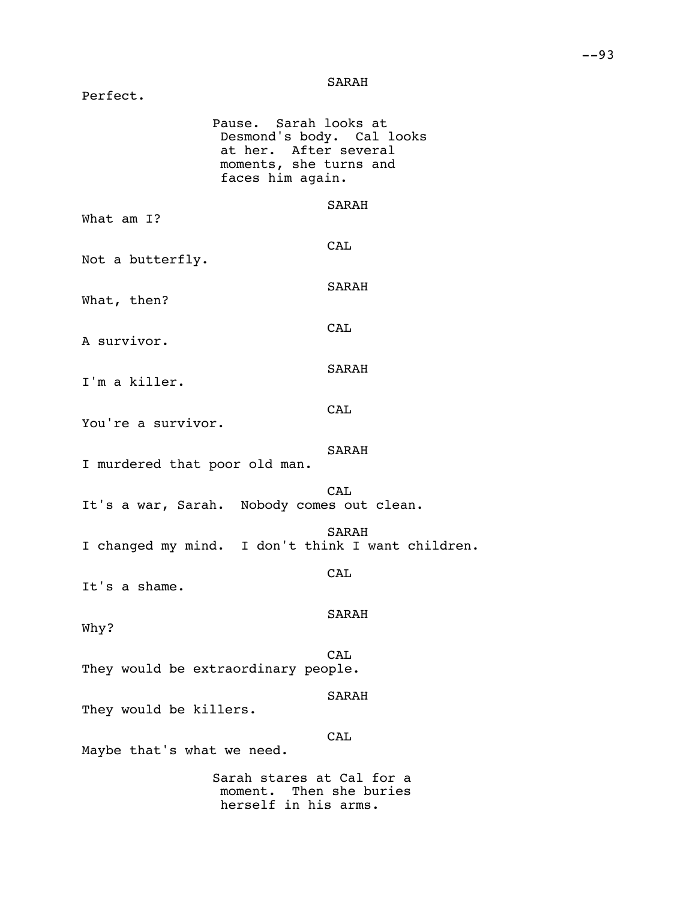# SARAH

| Perfect.                      |                                                                                                                           |
|-------------------------------|---------------------------------------------------------------------------------------------------------------------------|
|                               | Pause. Sarah looks at<br>Desmond's body. Cal looks<br>at her. After several<br>moments, she turns and<br>faces him again. |
| What am I?                    | SARAH                                                                                                                     |
| Not a butterfly.              | CAL                                                                                                                       |
| What, then?                   | SARAH                                                                                                                     |
| A survivor.                   | CAL                                                                                                                       |
| I'm a killer.                 | SARAH                                                                                                                     |
| You're a survivor.            | CAL                                                                                                                       |
| I murdered that poor old man. | SARAH                                                                                                                     |
|                               | CAT.<br>It's a war, Sarah. Nobody comes out clean.                                                                        |
|                               | SARAH<br>I changed my mind. I don't think I want children.                                                                |
| It's a shame.                 | CAL                                                                                                                       |
| Why?                          | <b>SARAH</b>                                                                                                              |
|                               | CAT.<br>They would be extraordinary people.                                                                               |
| They would be killers.        | SARAH                                                                                                                     |
| Maybe that's what we need.    | CAT.                                                                                                                      |
|                               | Sarah stares at Cal for a<br>moment. Then she buries<br>herself in his arms.                                              |